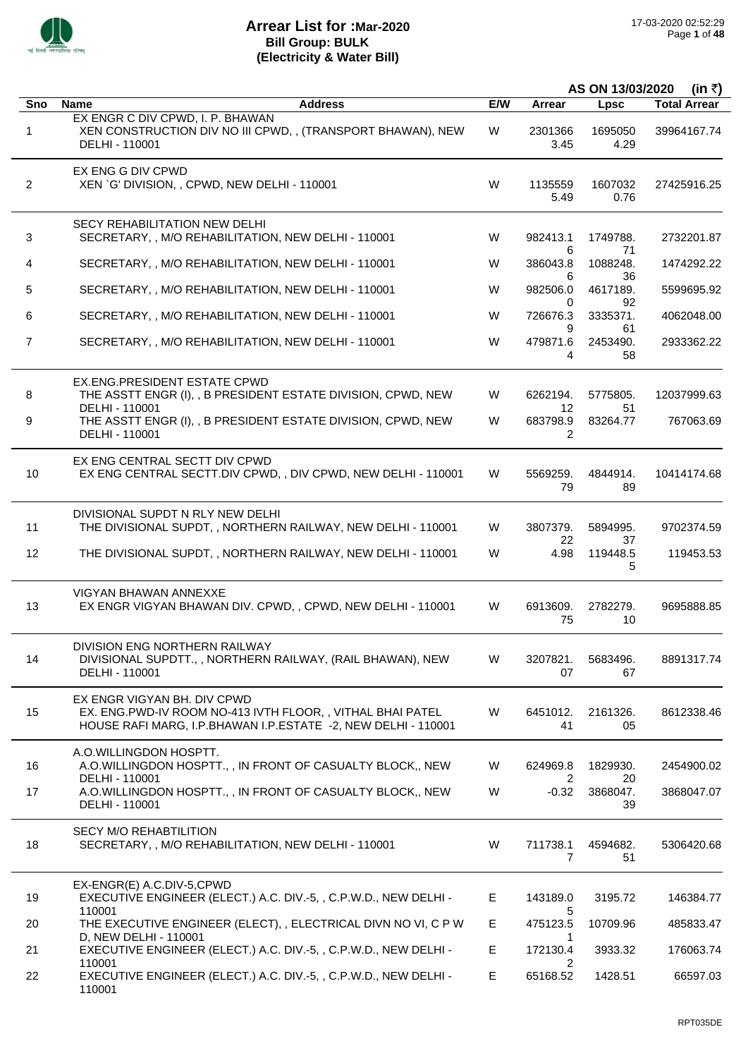

|                |                                                                                                                                                           | AS ON 13/03/2020<br>(in ₹) |                            |                      |                     |
|----------------|-----------------------------------------------------------------------------------------------------------------------------------------------------------|----------------------------|----------------------------|----------------------|---------------------|
| Sno            | <b>Name</b><br><b>Address</b>                                                                                                                             | E/W                        | Arrear                     | Lpsc                 | <b>Total Arrear</b> |
| 1              | EX ENGR C DIV CPWD, I. P. BHAWAN<br>XEN CONSTRUCTION DIV NO III CPWD, , (TRANSPORT BHAWAN), NEW<br>DELHI - 110001                                         | W                          | 2301366<br>3.45            | 1695050<br>4.29      | 39964167.74         |
| $\overline{2}$ | EX ENG G DIV CPWD<br>XEN `G' DIVISION, , CPWD, NEW DELHI - 110001                                                                                         | W                          | 1135559<br>5.49            | 1607032<br>0.76      | 27425916.25         |
| 3              | <b>SECY REHABILITATION NEW DELHI</b><br>SECRETARY, , M/O REHABILITATION, NEW DELHI - 110001                                                               | W                          | 982413.1<br>6              | 1749788.<br>71       | 2732201.87          |
| 4              | SECRETARY, , M/O REHABILITATION, NEW DELHI - 110001                                                                                                       | W                          | 386043.8                   | 1088248.             | 1474292.22          |
| 5              | SECRETARY, , M/O REHABILITATION, NEW DELHI - 110001                                                                                                       | W                          | 6<br>982506.0              | 36<br>4617189.       | 5599695.92          |
| 6              | SECRETARY, , M/O REHABILITATION, NEW DELHI - 110001                                                                                                       | W                          | 0<br>726676.3              | 92<br>3335371.       | 4062048.00          |
| 7              | SECRETARY, , M/O REHABILITATION, NEW DELHI - 110001                                                                                                       | W                          | 9<br>479871.6<br>4         | 61<br>2453490.<br>58 | 2933362.22          |
| 8              | EX.ENG.PRESIDENT ESTATE CPWD<br>THE ASSTT ENGR (I), , B PRESIDENT ESTATE DIVISION, CPWD, NEW                                                              | W                          | 6262194.                   | 5775805.             | 12037999.63         |
| 9              | DELHI - 110001<br>THE ASSTT ENGR (I), , B PRESIDENT ESTATE DIVISION, CPWD, NEW<br>DELHI - 110001                                                          | W                          | 12<br>683798.9<br>2        | 51<br>83264.77       | 767063.69           |
| 10             | EX ENG CENTRAL SECTT DIV CPWD<br>EX ENG CENTRAL SECTT.DIV CPWD,, DIV CPWD, NEW DELHI - 110001                                                             | W                          | 5569259.<br>79             | 4844914.<br>89       | 10414174.68         |
| 11             | DIVISIONAL SUPDT N RLY NEW DELHI<br>THE DIVISIONAL SUPDT, , NORTHERN RAILWAY, NEW DELHI - 110001                                                          | W                          | 3807379.                   | 5894995.             | 9702374.59          |
| 12             | THE DIVISIONAL SUPDT, , NORTHERN RAILWAY, NEW DELHI - 110001                                                                                              | W                          | 22<br>4.98                 | 37<br>119448.5<br>5  | 119453.53           |
| 13             | <b>VIGYAN BHAWAN ANNEXXE</b><br>EX ENGR VIGYAN BHAWAN DIV. CPWD, , CPWD, NEW DELHI - 110001                                                               | W                          | 6913609.<br>75             | 2782279.<br>10       | 9695888.85          |
| 14             | DIVISION ENG NORTHERN RAILWAY<br>DIVISIONAL SUPDTT., , NORTHERN RAILWAY, (RAIL BHAWAN), NEW<br>DELHI - 110001                                             | W                          | 3207821.<br>07             | 5683496.<br>67       | 8891317.74          |
| 15             | EX ENGR VIGYAN BH. DIV CPWD<br>EX. ENG.PWD-IV ROOM NO-413 IVTH FLOOR,, VITHAL BHAI PATEL<br>HOUSE RAFI MARG, I.P.BHAWAN I.P.ESTATE -2, NEW DELHI - 110001 | W                          | 6451012.<br>41             | 2161326.<br>05       | 8612338.46          |
| 16             | A.O.WILLINGDON HOSPTT.<br>A.O.WILLINGDON HOSPTT., , IN FRONT OF CASUALTY BLOCK,, NEW<br>DELHI - 110001                                                    | W                          | 624969.8                   | 1829930.<br>20       | 2454900.02          |
| 17             | A.O.WILLINGDON HOSPTT., , IN FRONT OF CASUALTY BLOCK,, NEW<br>DELHI - 110001                                                                              | W                          | 2<br>$-0.32$               | 3868047.<br>39       | 3868047.07          |
| 18             | <b>SECY M/O REHABTILITION</b><br>SECRETARY, , M/O REHABILITATION, NEW DELHI - 110001                                                                      | W                          | 711738.1<br>$\overline{7}$ | 4594682.<br>51       | 5306420.68          |
| 19             | EX-ENGR(E) A.C.DIV-5,CPWD<br>EXECUTIVE ENGINEER (ELECT.) A.C. DIV.-5, , C.P.W.D., NEW DELHI -<br>110001                                                   | E.                         | 143189.0                   | 3195.72              | 146384.77           |
| 20             | THE EXECUTIVE ENGINEER (ELECT), , ELECTRICAL DIVN NO VI, C P W                                                                                            | E.                         | 5<br>475123.5              | 10709.96             | 485833.47           |
| 21             | D, NEW DELHI - 110001<br>EXECUTIVE ENGINEER (ELECT.) A.C. DIV.-5, , C.P.W.D., NEW DELHI -                                                                 | E.                         | 1<br>172130.4              | 3933.32              | 176063.74           |
| 22             | 110001<br>EXECUTIVE ENGINEER (ELECT.) A.C. DIV.-5, , C.P.W.D., NEW DELHI -<br>110001                                                                      | E.                         | 2<br>65168.52              | 1428.51              | 66597.03            |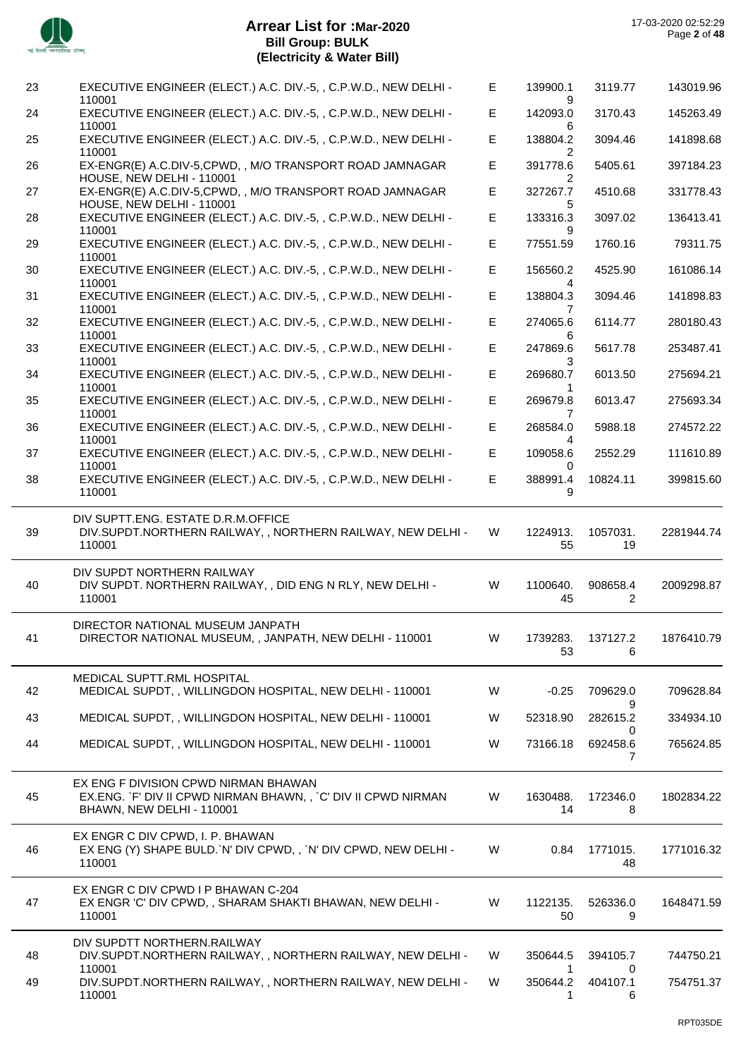

 $\sim$ 

| 23       | EXECUTIVE ENGINEER (ELECT.) A.C. DIV.-5, , C.P.W.D., NEW DELHI -<br>110001                                                         | E.     | 139900.1                  | 3119.77                    | 143019.96              |
|----------|------------------------------------------------------------------------------------------------------------------------------------|--------|---------------------------|----------------------------|------------------------|
| 24       | EXECUTIVE ENGINEER (ELECT.) A.C. DIV.-5, , C.P.W.D., NEW DELHI -<br>110001                                                         | E.     | 142093.0<br>6             | 3170.43                    | 145263.49              |
| 25       | EXECUTIVE ENGINEER (ELECT.) A.C. DIV.-5, , C.P.W.D., NEW DELHI -<br>110001                                                         | E      | 138804.2<br>2             | 3094.46                    | 141898.68              |
| 26       | EX-ENGR(E) A.C.DIV-5,CPWD,, M/O TRANSPORT ROAD JAMNAGAR<br>HOUSE, NEW DELHI - 110001                                               | E      | 391778.6<br>2             | 5405.61                    | 397184.23              |
| 27       | EX-ENGR(E) A.C.DIV-5,CPWD, , M/O TRANSPORT ROAD JAMNAGAR<br>HOUSE, NEW DELHI - 110001                                              | E      | 327267.7<br>5             | 4510.68                    | 331778.43              |
| 28       | EXECUTIVE ENGINEER (ELECT.) A.C. DIV.-5, , C.P.W.D., NEW DELHI -<br>110001                                                         | E.     | 133316.3<br>9             | 3097.02                    | 136413.41              |
| 29       | EXECUTIVE ENGINEER (ELECT.) A.C. DIV.-5, , C.P.W.D., NEW DELHI -<br>110001                                                         | E      | 77551.59                  | 1760.16                    | 79311.75               |
| 30       | EXECUTIVE ENGINEER (ELECT.) A.C. DIV.-5, , C.P.W.D., NEW DELHI -<br>110001                                                         | E.     | 156560.2<br>4             | 4525.90                    | 161086.14              |
| 31       | EXECUTIVE ENGINEER (ELECT.) A.C. DIV.-5, , C.P.W.D., NEW DELHI -<br>110001                                                         | E.     | 138804.3<br>7             | 3094.46                    | 141898.83              |
| 32       | EXECUTIVE ENGINEER (ELECT.) A.C. DIV.-5, , C.P.W.D., NEW DELHI -<br>110001                                                         | E.     | 274065.6                  | 6114.77                    | 280180.43              |
| 33       | EXECUTIVE ENGINEER (ELECT.) A.C. DIV.-5, , C.P.W.D., NEW DELHI -<br>110001                                                         | E      | 6<br>247869.6             | 5617.78                    | 253487.41              |
| 34       | EXECUTIVE ENGINEER (ELECT.) A.C. DIV.-5, , C.P.W.D., NEW DELHI -<br>110001                                                         | E.     | 3<br>269680.7             | 6013.50                    | 275694.21              |
| 35       | EXECUTIVE ENGINEER (ELECT.) A.C. DIV.-5, , C.P.W.D., NEW DELHI -<br>110001                                                         | E.     | 269679.8                  | 6013.47                    | 275693.34              |
| 36       | EXECUTIVE ENGINEER (ELECT.) A.C. DIV.-5, , C.P.W.D., NEW DELHI -                                                                   | E.     | 7<br>268584.0             | 5988.18                    | 274572.22              |
| 37       | 110001<br>EXECUTIVE ENGINEER (ELECT.) A.C. DIV.-5, , C.P.W.D., NEW DELHI -                                                         | E      | 109058.6                  | 2552.29                    | 111610.89              |
| 38       | 110001<br>EXECUTIVE ENGINEER (ELECT.) A.C. DIV.-5, , C.P.W.D., NEW DELHI -<br>110001                                               | E      | 0<br>388991.4<br>9        | 10824.11                   | 399815.60              |
| 39       | DIV SUPTT.ENG. ESTATE D.R.M.OFFICE<br>DIV.SUPDT.NORTHERN RAILWAY,, NORTHERN RAILWAY, NEW DELHI -                                   | W      | 1224913.                  | 1057031.                   | 2281944.74             |
|          | 110001                                                                                                                             |        | 55                        | 19                         |                        |
| 40       | DIV SUPDT NORTHERN RAILWAY<br>DIV SUPDT. NORTHERN RAILWAY, , DID ENG N RLY, NEW DELHI -<br>110001                                  | W      | 1100640.<br>45            | 908658.4<br>$\overline{2}$ | 2009298.87             |
| 41       | DIRECTOR NATIONAL MUSEUM JANPATH<br>DIRECTOR NATIONAL MUSEUM, , JANPATH, NEW DELHI - 110001                                        | W      | 1739283.<br>53            | 137127.2<br>6              | 1876410.79             |
| 42       | MEDICAL SUPTT.RML HOSPITAL<br>MEDICAL SUPDT,, WILLINGDON HOSPITAL, NEW DELHI - 110001                                              | W      | $-0.25$                   | 709629.0                   | 709628.84              |
| 43       | MEDICAL SUPDT,, WILLINGDON HOSPITAL, NEW DELHI - 110001                                                                            | W      | 52318.90                  | 9<br>282615.2              | 334934.10              |
| 44       | MEDICAL SUPDT,, WILLINGDON HOSPITAL, NEW DELHI - 110001                                                                            | W      | 73166.18                  | 0<br>692458.6<br>7         | 765624.85              |
| 45       | EX ENG F DIVISION CPWD NIRMAN BHAWAN<br>EX.ENG. `F' DIV II CPWD NIRMAN BHAWN,, `C' DIV II CPWD NIRMAN<br>BHAWN, NEW DELHI - 110001 | W      | 1630488.<br>14            | 172346.0<br>8              | 1802834.22             |
| 46       | EX ENGR C DIV CPWD, I. P. BHAWAN<br>EX ENG (Y) SHAPE BULD. N' DIV CPWD,, 'N' DIV CPWD, NEW DELHI -<br>110001                       | W      | 0.84                      | 1771015.<br>48             | 1771016.32             |
| 47       | EX ENGR C DIV CPWD I P BHAWAN C-204<br>EX ENGR 'C' DIV CPWD, , SHARAM SHAKTI BHAWAN, NEW DELHI -<br>110001                         | W      | 1122135.<br>50            | 526336.0<br>9              | 1648471.59             |
|          | DIV SUPDTT NORTHERN.RAILWAY                                                                                                        |        |                           |                            |                        |
| 48<br>49 | DIV.SUPDT.NORTHERN RAILWAY,, NORTHERN RAILWAY, NEW DELHI -<br>110001<br>DIV.SUPDT.NORTHERN RAILWAY,, NORTHERN RAILWAY, NEW DELHI - | W<br>W | 350644.5<br>1<br>350644.2 | 394105.7<br>0<br>404107.1  | 744750.21<br>754751.37 |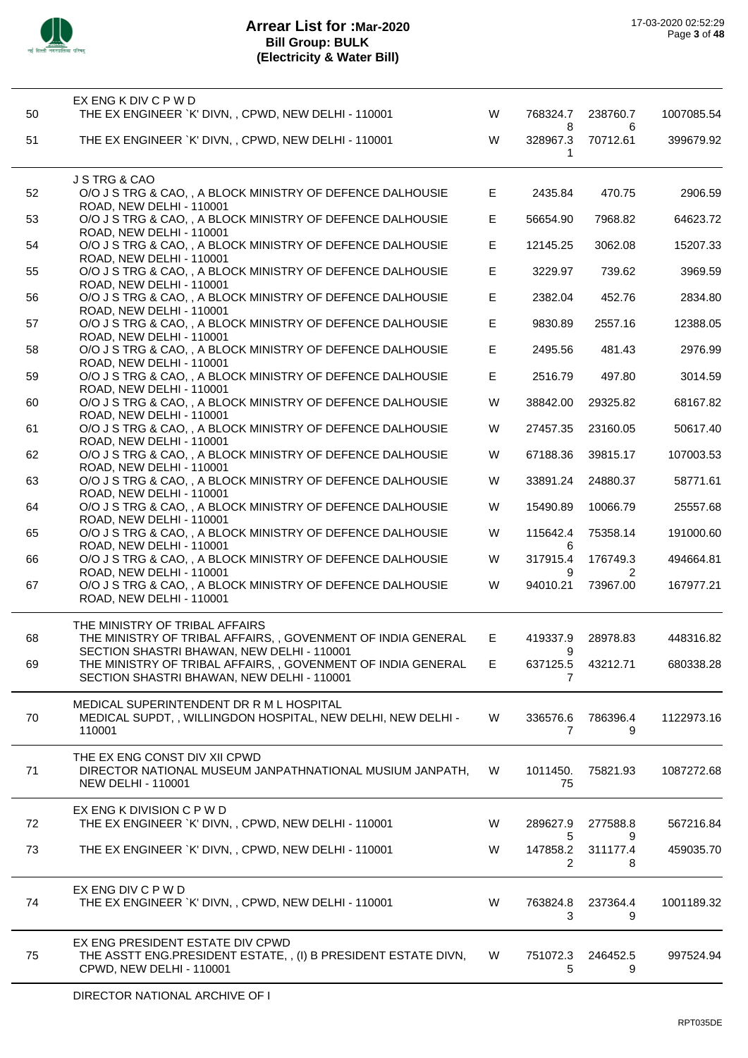

| 50 | EX ENG K DIV C P W D<br>THE EX ENGINEER `K' DIVN, , CPWD, NEW DELHI - 110001                                                         | W  | 768324.7           | 238760.7           | 1007085.54 |
|----|--------------------------------------------------------------------------------------------------------------------------------------|----|--------------------|--------------------|------------|
| 51 | THE EX ENGINEER `K' DIVN, , CPWD, NEW DELHI - 110001                                                                                 | W  | 8<br>328967.3<br>1 | 6<br>70712.61      | 399679.92  |
| 52 | J S TRG & CAO<br>O/O J S TRG & CAO, , A BLOCK MINISTRY OF DEFENCE DALHOUSIE                                                          | Е  | 2435.84            | 470.75             | 2906.59    |
| 53 | ROAD, NEW DELHI - 110001<br>O/O J S TRG & CAO, , A BLOCK MINISTRY OF DEFENCE DALHOUSIE<br>ROAD, NEW DELHI - 110001                   | E  | 56654.90           | 7968.82            | 64623.72   |
| 54 | O/O J S TRG & CAO, , A BLOCK MINISTRY OF DEFENCE DALHOUSIE<br>ROAD, NEW DELHI - 110001                                               | Е  | 12145.25           | 3062.08            | 15207.33   |
| 55 | O/O J S TRG & CAO, , A BLOCK MINISTRY OF DEFENCE DALHOUSIE<br>ROAD, NEW DELHI - 110001                                               | Е  | 3229.97            | 739.62             | 3969.59    |
| 56 | O/O J S TRG & CAO, , A BLOCK MINISTRY OF DEFENCE DALHOUSIE<br>ROAD, NEW DELHI - 110001                                               | Е  | 2382.04            | 452.76             | 2834.80    |
| 57 | O/O J S TRG & CAO, , A BLOCK MINISTRY OF DEFENCE DALHOUSIE<br>ROAD, NEW DELHI - 110001                                               | E  | 9830.89            | 2557.16            | 12388.05   |
| 58 | O/O J S TRG & CAO, , A BLOCK MINISTRY OF DEFENCE DALHOUSIE<br>ROAD, NEW DELHI - 110001                                               | E  | 2495.56            | 481.43             | 2976.99    |
| 59 | O/O J S TRG & CAO, , A BLOCK MINISTRY OF DEFENCE DALHOUSIE<br>ROAD, NEW DELHI - 110001                                               | E  | 2516.79            | 497.80             | 3014.59    |
| 60 | O/O J S TRG & CAO, , A BLOCK MINISTRY OF DEFENCE DALHOUSIE<br>ROAD, NEW DELHI - 110001                                               | W  | 38842.00           | 29325.82           | 68167.82   |
| 61 | O/O J S TRG & CAO, , A BLOCK MINISTRY OF DEFENCE DALHOUSIE                                                                           | W  | 27457.35           | 23160.05           | 50617.40   |
| 62 | ROAD, NEW DELHI - 110001<br>O/O J S TRG & CAO, , A BLOCK MINISTRY OF DEFENCE DALHOUSIE                                               | W  | 67188.36           | 39815.17           | 107003.53  |
| 63 | ROAD, NEW DELHI - 110001<br>O/O J S TRG & CAO, , A BLOCK MINISTRY OF DEFENCE DALHOUSIE                                               | W  | 33891.24           | 24880.37           | 58771.61   |
| 64 | ROAD, NEW DELHI - 110001<br>O/O J S TRG & CAO, , A BLOCK MINISTRY OF DEFENCE DALHOUSIE                                               | W  | 15490.89           | 10066.79           | 25557.68   |
| 65 | ROAD, NEW DELHI - 110001<br>O/O J S TRG & CAO, , A BLOCK MINISTRY OF DEFENCE DALHOUSIE                                               | W  | 115642.4           | 75358.14           | 191000.60  |
| 66 | ROAD, NEW DELHI - 110001<br>O/O J S TRG & CAO, , A BLOCK MINISTRY OF DEFENCE DALHOUSIE                                               | W  | 6<br>317915.4      | 176749.3           | 494664.81  |
| 67 | ROAD, NEW DELHI - 110001<br>O/O J S TRG & CAO, , A BLOCK MINISTRY OF DEFENCE DALHOUSIE<br>ROAD, NEW DELHI - 110001                   | W  | 9<br>94010.21      | 2<br>73967.00      | 167977.21  |
| 68 | THE MINISTRY OF TRIBAL AFFAIRS                                                                                                       | E. | 419337.9           | 28978.83           | 448316.82  |
|    | THE MINISTRY OF TRIBAL AFFAIRS, , GOVENMENT OF INDIA GENERAL<br>SECTION SHASTRI BHAWAN, NEW DELHI - 110001                           |    | 9                  |                    |            |
| 69 | THE MINISTRY OF TRIBAL AFFAIRS, , GOVENMENT OF INDIA GENERAL<br>SECTION SHASTRI BHAWAN, NEW DELHI - 110001                           | Е  | 637125.5<br>7      | 43212.71           | 680338.28  |
| 70 | MEDICAL SUPERINTENDENT DR R M L HOSPITAL<br>MEDICAL SUPDT,, WILLINGDON HOSPITAL, NEW DELHI, NEW DELHI -<br>110001                    | W  | 336576.6<br>7      | 786396.4<br>9      | 1122973.16 |
| 71 | THE EX ENG CONST DIV XII CPWD<br>DIRECTOR NATIONAL MUSEUM JANPATHNATIONAL MUSIUM JANPATH,<br><b>NEW DELHI - 110001</b>               | W  | 1011450.<br>75     | 75821.93           | 1087272.68 |
| 72 | EX ENG K DIVISION C P W D<br>THE EX ENGINEER `K' DIVN,, CPWD, NEW DELHI - 110001                                                     | W  | 289627.9           | 277588.8           | 567216.84  |
| 73 | THE EX ENGINEER `K' DIVN, , CPWD, NEW DELHI - 110001                                                                                 | W  | 5<br>147858.2<br>2 | 9<br>311177.4<br>8 | 459035.70  |
| 74 | EX ENG DIV C P W D<br>THE EX ENGINEER `K' DIVN,, CPWD, NEW DELHI - 110001                                                            | W  | 763824.8<br>3      | 237364.4<br>9      | 1001189.32 |
| 75 | EX ENG PRESIDENT ESTATE DIV CPWD<br>THE ASSTT ENG.PRESIDENT ESTATE,, (I) B PRESIDENT ESTATE DIVN,<br><b>CPWD, NEW DELHI - 110001</b> | W  | 751072.3<br>5      | 246452.5<br>9      | 997524.94  |
|    |                                                                                                                                      |    |                    |                    |            |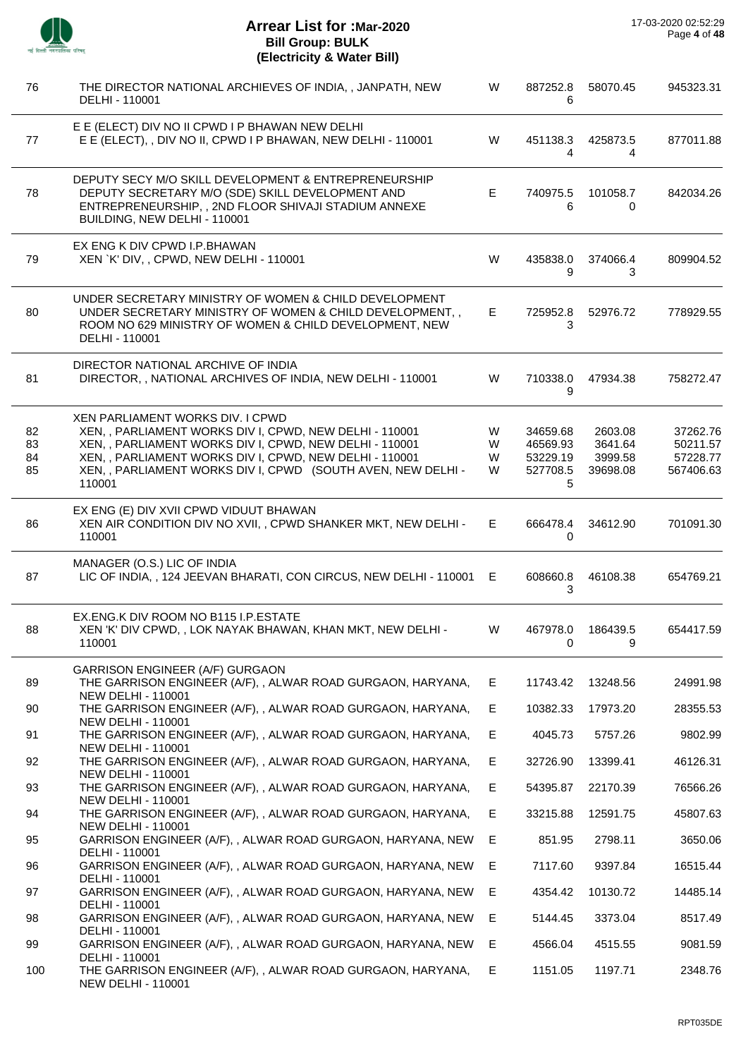

| 76                   | THE DIRECTOR NATIONAL ARCHIEVES OF INDIA, , JANPATH, NEW<br>DELHI - 110001                                                                                                                                                                                                                         | W                | 887252.8<br>6                                     | 58070.45                                  | 945323.31                                     |
|----------------------|----------------------------------------------------------------------------------------------------------------------------------------------------------------------------------------------------------------------------------------------------------------------------------------------------|------------------|---------------------------------------------------|-------------------------------------------|-----------------------------------------------|
| 77                   | E E (ELECT) DIV NO II CPWD I P BHAWAN NEW DELHI<br>E E (ELECT), , DIV NO II, CPWD I P BHAWAN, NEW DELHI - 110001                                                                                                                                                                                   | W                | 451138.3<br>4                                     | 425873.5<br>4                             | 877011.88                                     |
| 78                   | DEPUTY SECY M/O SKILL DEVELOPMENT & ENTREPRENEURSHIP<br>DEPUTY SECRETARY M/O (SDE) SKILL DEVELOPMENT AND<br>ENTREPRENEURSHIP, , 2ND FLOOR SHIVAJI STADIUM ANNEXE<br>BUILDING, NEW DELHI - 110001                                                                                                   | E                | 740975.5<br>6                                     | 101058.7<br>0                             | 842034.26                                     |
| 79                   | EX ENG K DIV CPWD I.P.BHAWAN<br>XEN `K' DIV, , CPWD, NEW DELHI - 110001                                                                                                                                                                                                                            | W                | 435838.0<br>9                                     | 374066.4<br>3                             | 809904.52                                     |
| 80                   | UNDER SECRETARY MINISTRY OF WOMEN & CHILD DEVELOPMENT<br>UNDER SECRETARY MINISTRY OF WOMEN & CHILD DEVELOPMENT,,<br>ROOM NO 629 MINISTRY OF WOMEN & CHILD DEVELOPMENT, NEW<br>DELHI - 110001                                                                                                       | E                | 725952.8<br>3                                     | 52976.72                                  | 778929.55                                     |
| 81                   | DIRECTOR NATIONAL ARCHIVE OF INDIA<br>DIRECTOR, , NATIONAL ARCHIVES OF INDIA, NEW DELHI - 110001                                                                                                                                                                                                   | W                | 710338.0<br>9                                     | 47934.38                                  | 758272.47                                     |
| 82<br>83<br>84<br>85 | <b>XEN PARLIAMENT WORKS DIV. I CPWD</b><br>XEN, , PARLIAMENT WORKS DIV I, CPWD, NEW DELHI - 110001<br>XEN, , PARLIAMENT WORKS DIV I, CPWD, NEW DELHI - 110001<br>XEN, , PARLIAMENT WORKS DIV I, CPWD, NEW DELHI - 110001<br>XEN, , PARLIAMENT WORKS DIV I, CPWD (SOUTH AVEN, NEW DELHI -<br>110001 | W<br>W<br>W<br>W | 34659.68<br>46569.93<br>53229.19<br>527708.5<br>5 | 2603.08<br>3641.64<br>3999.58<br>39698.08 | 37262.76<br>50211.57<br>57228.77<br>567406.63 |
| 86                   | EX ENG (E) DIV XVII CPWD VIDUUT BHAWAN<br>XEN AIR CONDITION DIV NO XVII, , CPWD SHANKER MKT, NEW DELHI -<br>110001                                                                                                                                                                                 | E.               | 666478.4<br>0                                     | 34612.90                                  | 701091.30                                     |
| 87                   | MANAGER (O.S.) LIC OF INDIA<br>LIC OF INDIA,, 124 JEEVAN BHARATI, CON CIRCUS, NEW DELHI - 110001                                                                                                                                                                                                   | E.               | 608660.8<br>3                                     | 46108.38                                  | 654769.21                                     |
| 88                   | EX.ENG.K DIV ROOM NO B115 I.P.ESTATE<br>XEN 'K' DIV CPWD, , LOK NAYAK BHAWAN, KHAN MKT, NEW DELHI -<br>110001                                                                                                                                                                                      | W                | 467978.0<br>$\overline{0}$                        | 186439.5<br>- 9                           | 654417.59                                     |
| 89                   | GARRISON ENGINEER (A/F) GURGAON<br>THE GARRISON ENGINEER (A/F), , ALWAR ROAD GURGAON, HARYANA,<br><b>NEW DELHI - 110001</b>                                                                                                                                                                        | Е                | 11743.42                                          | 13248.56                                  | 24991.98                                      |
| 90                   | THE GARRISON ENGINEER (A/F), , ALWAR ROAD GURGAON, HARYANA,                                                                                                                                                                                                                                        | E                | 10382.33                                          | 17973.20                                  | 28355.53                                      |
| 91                   | <b>NEW DELHI - 110001</b><br>THE GARRISON ENGINEER (A/F), , ALWAR ROAD GURGAON, HARYANA,                                                                                                                                                                                                           | E.               | 4045.73                                           | 5757.26                                   | 9802.99                                       |
| 92                   | <b>NEW DELHI - 110001</b><br>THE GARRISON ENGINEER (A/F), , ALWAR ROAD GURGAON, HARYANA,                                                                                                                                                                                                           | E.               | 32726.90                                          | 13399.41                                  | 46126.31                                      |
| 93                   | <b>NEW DELHI - 110001</b><br>THE GARRISON ENGINEER (A/F), , ALWAR ROAD GURGAON, HARYANA,                                                                                                                                                                                                           | E.               | 54395.87                                          | 22170.39                                  | 76566.26                                      |
| 94                   | <b>NEW DELHI - 110001</b><br>THE GARRISON ENGINEER (A/F), , ALWAR ROAD GURGAON, HARYANA,                                                                                                                                                                                                           | E                | 33215.88                                          | 12591.75                                  | 45807.63                                      |
| 95                   | <b>NEW DELHI - 110001</b><br>GARRISON ENGINEER (A/F), , ALWAR ROAD GURGAON, HARYANA, NEW                                                                                                                                                                                                           | Е                | 851.95                                            | 2798.11                                   | 3650.06                                       |
| 96                   | DELHI - 110001<br>GARRISON ENGINEER (A/F), , ALWAR ROAD GURGAON, HARYANA, NEW                                                                                                                                                                                                                      | E                | 7117.60                                           | 9397.84                                   | 16515.44                                      |
| 97                   | DELHI - 110001<br>GARRISON ENGINEER (A/F), , ALWAR ROAD GURGAON, HARYANA, NEW                                                                                                                                                                                                                      | E                | 4354.42                                           | 10130.72                                  | 14485.14                                      |
| 98                   | DELHI - 110001<br>GARRISON ENGINEER (A/F), , ALWAR ROAD GURGAON, HARYANA, NEW<br>DELHI - 110001                                                                                                                                                                                                    | E                | 5144.45                                           | 3373.04                                   | 8517.49                                       |
| 99                   | GARRISON ENGINEER (A/F), , ALWAR ROAD GURGAON, HARYANA, NEW<br>DELHI - 110001                                                                                                                                                                                                                      | E                | 4566.04                                           | 4515.55                                   | 9081.59                                       |
| 100                  | THE GARRISON ENGINEER (A/F), , ALWAR ROAD GURGAON, HARYANA,<br><b>NEW DELHI - 110001</b>                                                                                                                                                                                                           | E                | 1151.05                                           | 1197.71                                   | 2348.76                                       |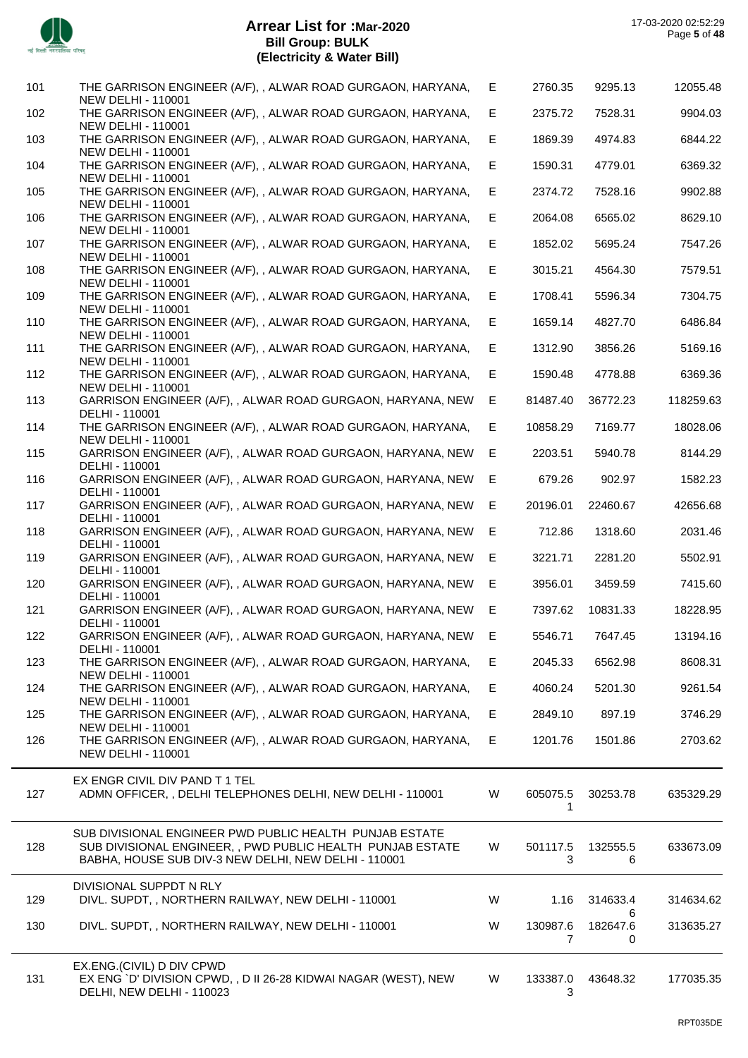

| 101 | THE GARRISON ENGINEER (A/F), , ALWAR ROAD GURGAON, HARYANA,                                                        | E. | 2760.35       | 9295.13       | 12055.48  |
|-----|--------------------------------------------------------------------------------------------------------------------|----|---------------|---------------|-----------|
| 102 | NEW DELHI - 110001<br>THE GARRISON ENGINEER (A/F), , ALWAR ROAD GURGAON, HARYANA,                                  | E  | 2375.72       | 7528.31       | 9904.03   |
| 103 | <b>NEW DELHI - 110001</b><br>THE GARRISON ENGINEER (A/F), , ALWAR ROAD GURGAON, HARYANA,                           | E  | 1869.39       | 4974.83       | 6844.22   |
| 104 | <b>NEW DELHI - 110001</b><br>THE GARRISON ENGINEER (A/F), , ALWAR ROAD GURGAON, HARYANA,                           | Е  | 1590.31       | 4779.01       | 6369.32   |
|     | <b>NEW DELHI - 110001</b>                                                                                          |    |               |               |           |
| 105 | THE GARRISON ENGINEER (A/F), , ALWAR ROAD GURGAON, HARYANA,<br><b>NEW DELHI - 110001</b>                           | Е  | 2374.72       | 7528.16       | 9902.88   |
| 106 | THE GARRISON ENGINEER (A/F), , ALWAR ROAD GURGAON, HARYANA,<br><b>NEW DELHI - 110001</b>                           | E  | 2064.08       | 6565.02       | 8629.10   |
| 107 | THE GARRISON ENGINEER (A/F), , ALWAR ROAD GURGAON, HARYANA,<br><b>NEW DELHI - 110001</b>                           | E. | 1852.02       | 5695.24       | 7547.26   |
| 108 | THE GARRISON ENGINEER (A/F), , ALWAR ROAD GURGAON, HARYANA,                                                        | Е  | 3015.21       | 4564.30       | 7579.51   |
| 109 | <b>NEW DELHI - 110001</b><br>THE GARRISON ENGINEER (A/F), , ALWAR ROAD GURGAON, HARYANA,                           | E. | 1708.41       | 5596.34       | 7304.75   |
| 110 | <b>NEW DELHI - 110001</b><br>THE GARRISON ENGINEER (A/F), , ALWAR ROAD GURGAON, HARYANA,                           | E  | 1659.14       | 4827.70       | 6486.84   |
| 111 | <b>NEW DELHI - 110001</b><br>THE GARRISON ENGINEER (A/F), , ALWAR ROAD GURGAON, HARYANA,                           | E  | 1312.90       | 3856.26       | 5169.16   |
| 112 | <b>NEW DELHI - 110001</b><br>THE GARRISON ENGINEER (A/F), , ALWAR ROAD GURGAON, HARYANA,                           | E  | 1590.48       | 4778.88       | 6369.36   |
|     | <b>NEW DELHI - 110001</b>                                                                                          |    |               |               |           |
| 113 | GARRISON ENGINEER (A/F), , ALWAR ROAD GURGAON, HARYANA, NEW<br>DELHI - 110001                                      | E. | 81487.40      | 36772.23      | 118259.63 |
| 114 | THE GARRISON ENGINEER (A/F), , ALWAR ROAD GURGAON, HARYANA,<br><b>NEW DELHI - 110001</b>                           | E. | 10858.29      | 7169.77       | 18028.06  |
| 115 | GARRISON ENGINEER (A/F), , ALWAR ROAD GURGAON, HARYANA, NEW<br>DELHI - 110001                                      | E  | 2203.51       | 5940.78       | 8144.29   |
| 116 | GARRISON ENGINEER (A/F), , ALWAR ROAD GURGAON, HARYANA, NEW                                                        | E  | 679.26        | 902.97        | 1582.23   |
| 117 | DELHI - 110001<br>GARRISON ENGINEER (A/F), , ALWAR ROAD GURGAON, HARYANA, NEW                                      | E  | 20196.01      | 22460.67      | 42656.68  |
| 118 | DELHI - 110001<br>GARRISON ENGINEER (A/F), , ALWAR ROAD GURGAON, HARYANA, NEW                                      | E  | 712.86        | 1318.60       | 2031.46   |
| 119 | DELHI - 110001<br>GARRISON ENGINEER (A/F), , ALWAR ROAD GURGAON, HARYANA, NEW                                      | Е  | 3221.71       | 2281.20       | 5502.91   |
|     | DELHI - 110001                                                                                                     |    |               |               |           |
| 120 | GARRISON ENGINEER (A/F), , ALWAR ROAD GURGAON, HARYANA, NEW<br>DELHI - 110001                                      | Е  | 3956.01       | 3459.59       | 7415.60   |
| 121 | GARRISON ENGINEER (A/F), , ALWAR ROAD GURGAON, HARYANA, NEW<br>DELHI - 110001                                      | E. | 7397.62       | 10831.33      | 18228.95  |
| 122 | GARRISON ENGINEER (A/F), , ALWAR ROAD GURGAON, HARYANA, NEW<br>DELHI - 110001                                      | Е  | 5546.71       | 7647.45       | 13194.16  |
| 123 | THE GARRISON ENGINEER (A/F), , ALWAR ROAD GURGAON, HARYANA,                                                        | E. | 2045.33       | 6562.98       | 8608.31   |
| 124 | <b>NEW DELHI - 110001</b><br>THE GARRISON ENGINEER (A/F), , ALWAR ROAD GURGAON, HARYANA,                           | Е  | 4060.24       | 5201.30       | 9261.54   |
| 125 | <b>NEW DELHI - 110001</b><br>THE GARRISON ENGINEER (A/F), , ALWAR ROAD GURGAON, HARYANA,                           | Е  | 2849.10       | 897.19        | 3746.29   |
| 126 | <b>NEW DELHI - 110001</b><br>THE GARRISON ENGINEER (A/F), , ALWAR ROAD GURGAON, HARYANA,                           | Е  | 1201.76       | 1501.86       | 2703.62   |
|     | <b>NEW DELHI - 110001</b>                                                                                          |    |               |               |           |
|     | EX ENGR CIVIL DIV PAND T 1 TEL                                                                                     |    |               |               |           |
| 127 | ADMN OFFICER, , DELHI TELEPHONES DELHI, NEW DELHI - 110001                                                         | W  | 605075.5<br>1 | 30253.78      | 635329.29 |
|     | SUB DIVISIONAL ENGINEER PWD PUBLIC HEALTH PUNJAB ESTATE                                                            |    |               |               |           |
| 128 | SUB DIVISIONAL ENGINEER, , PWD PUBLIC HEALTH PUNJAB ESTATE<br>BABHA, HOUSE SUB DIV-3 NEW DELHI, NEW DELHI - 110001 | W  | 501117.5<br>3 | 132555.5<br>6 | 633673.09 |
|     | DIVISIONAL SUPPDT N RLY                                                                                            |    |               |               |           |
| 129 | DIVL. SUPDT, , NORTHERN RAILWAY, NEW DELHI - 110001                                                                | W  | 1.16          | 314633.4      | 314634.62 |
| 130 | DIVL. SUPDT, , NORTHERN RAILWAY, NEW DELHI - 110001                                                                | W  | 130987.6      | 6<br>182647.6 | 313635.27 |
|     |                                                                                                                    |    | 7             | 0             |           |
| 131 | EX.ENG.(CIVIL) D DIV CPWD<br>EX ENG `D' DIVISION CPWD, , D II 26-28 KIDWAI NAGAR (WEST), NEW                       | W  | 133387.0      | 43648.32      | 177035.35 |
|     | DELHI, NEW DELHI - 110023                                                                                          |    | 3             |               |           |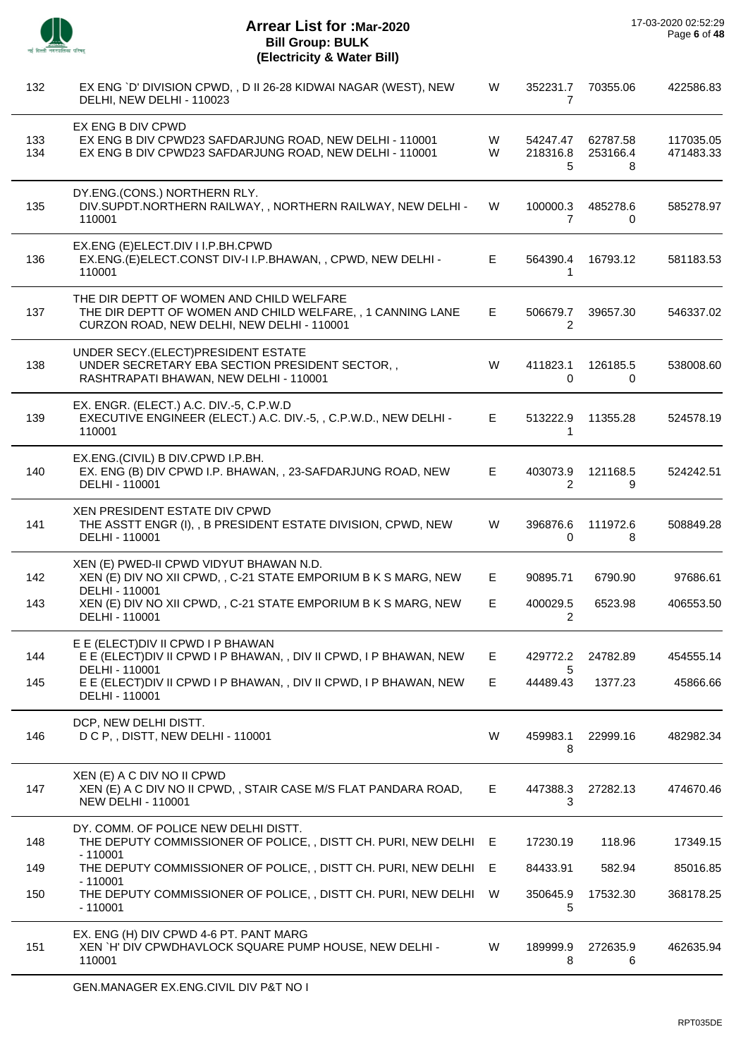

÷,

| 132        | EX ENG `D' DIVISION CPWD, , D II 26-28 KIDWAI NAGAR (WEST), NEW<br>DELHI, NEW DELHI - 110023                                                         | W      | 352231.7<br>$\overline{7}$ | 70355.06                  | 422586.83              |
|------------|------------------------------------------------------------------------------------------------------------------------------------------------------|--------|----------------------------|---------------------------|------------------------|
| 133<br>134 | EX ENG B DIV CPWD<br>EX ENG B DIV CPWD23 SAFDARJUNG ROAD, NEW DELHI - 110001<br>EX ENG B DIV CPWD23 SAFDARJUNG ROAD, NEW DELHI - 110001              | W<br>W | 54247.47<br>218316.8<br>5  | 62787.58<br>253166.4<br>8 | 117035.05<br>471483.33 |
| 135        | DY.ENG.(CONS.) NORTHERN RLY.<br>DIV.SUPDT.NORTHERN RAILWAY,, NORTHERN RAILWAY, NEW DELHI -<br>110001                                                 | W      | 100000.3<br>$\overline{7}$ | 485278.6<br>0             | 585278.97              |
| 136        | EX.ENG (E)ELECT.DIV I I.P.BH.CPWD<br>EX.ENG.(E)ELECT.CONST DIV-I I.P.BHAWAN,, CPWD, NEW DELHI -<br>110001                                            | E.     | 564390.4<br>1              | 16793.12                  | 581183.53              |
| 137        | THE DIR DEPTT OF WOMEN AND CHILD WELFARE<br>THE DIR DEPTT OF WOMEN AND CHILD WELFARE, , 1 CANNING LANE<br>CURZON ROAD, NEW DELHI, NEW DELHI - 110001 | E.     | 506679.7<br>2              | 39657.30                  | 546337.02              |
| 138        | UNDER SECY.(ELECT)PRESIDENT ESTATE<br>UNDER SECRETARY EBA SECTION PRESIDENT SECTOR,,<br>RASHTRAPATI BHAWAN, NEW DELHI - 110001                       | W      | 411823.1<br>0              | 126185.5<br>0             | 538008.60              |
| 139        | EX. ENGR. (ELECT.) A.C. DIV.-5, C.P.W.D<br>EXECUTIVE ENGINEER (ELECT.) A.C. DIV.-5, , C.P.W.D., NEW DELHI -<br>110001                                | E.     | 513222.9<br>1              | 11355.28                  | 524578.19              |
| 140        | EX.ENG.(CIVIL) B DIV.CPWD I.P.BH.<br>EX. ENG (B) DIV CPWD I.P. BHAWAN, , 23-SAFDARJUNG ROAD, NEW<br>DELHI - 110001                                   | E.     | 403073.9<br>$\overline{2}$ | 121168.5<br>9             | 524242.51              |
| 141        | XEN PRESIDENT ESTATE DIV CPWD<br>THE ASSTT ENGR (I), , B PRESIDENT ESTATE DIVISION, CPWD, NEW<br>DELHI - 110001                                      | W      | 396876.6<br>0              | 111972.6<br>8             | 508849.28              |
| 142        | XEN (E) PWED-II CPWD VIDYUT BHAWAN N.D.<br>XEN (E) DIV NO XII CPWD, , C-21 STATE EMPORIUM B K S MARG, NEW<br>DELHI - 110001                          | E.     | 90895.71                   | 6790.90                   | 97686.61               |
| 143        | XEN (E) DIV NO XII CPWD, , C-21 STATE EMPORIUM B K S MARG, NEW<br>DELHI - 110001                                                                     | E      | 400029.5<br>2              | 6523.98                   | 406553.50              |
| 144        | E E (ELECT) DIV II CPWD I P BHAWAN<br>E E (ELECT) DIV II CPWD I P BHAWAN, , DIV II CPWD, I P BHAWAN, NEW<br>DELHI - 110001                           | Е      | 429772.2<br>5              | 24782.89                  | 454555.14              |
| 145        | E E (ELECT) DIV II CPWD I P BHAWAN, , DIV II CPWD, I P BHAWAN, NEW<br>DELHI - 110001                                                                 | E.     | 44489.43                   | 1377.23                   | 45866.66               |
| 146        | DCP, NEW DELHI DISTT.<br>D C P., DISTT, NEW DELHI - 110001                                                                                           | W      | 459983.1<br>8              | 22999.16                  | 482982.34              |
| 147        | XEN (E) A C DIV NO II CPWD<br>XEN (E) A C DIV NO II CPWD, , STAIR CASE M/S FLAT PANDARA ROAD,<br><b>NEW DELHI - 110001</b>                           | E.     | 447388.3<br>3              | 27282.13                  | 474670.46              |
| 148        | DY. COMM. OF POLICE NEW DELHI DISTT.<br>THE DEPUTY COMMISSIONER OF POLICE, , DISTT CH. PURI, NEW DELHI E<br>$-110001$                                |        | 17230.19                   | 118.96                    | 17349.15               |
| 149        | THE DEPUTY COMMISSIONER OF POLICE, , DISTT CH. PURI, NEW DELHI                                                                                       | E.     | 84433.91                   | 582.94                    | 85016.85               |
| 150        | $-110001$<br>THE DEPUTY COMMISSIONER OF POLICE, , DISTT CH. PURI, NEW DELHI<br>$-110001$                                                             | W      | 350645.9<br>5              | 17532.30                  | 368178.25              |
| 151        | EX. ENG (H) DIV CPWD 4-6 PT. PANT MARG<br>XEN `H' DIV CPWDHAVLOCK SQUARE PUMP HOUSE, NEW DELHI -<br>110001                                           | W      | 189999.9<br>8              | 272635.9<br>6             | 462635.94              |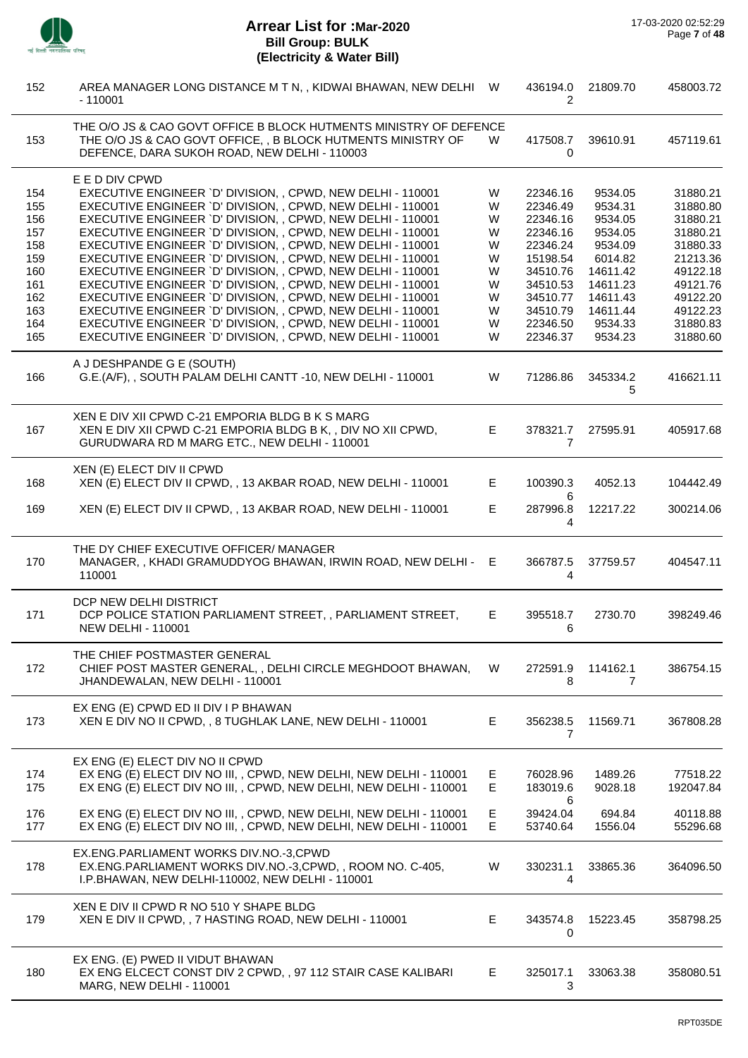

Ĭ.

| 152        | AREA MANAGER LONG DISTANCE M T N, , KIDWAI BHAWAN, NEW DELHI<br>- 110001                                                                                                          | W      | 436194.0<br>2        | 21809.70                   | 458003.72            |
|------------|-----------------------------------------------------------------------------------------------------------------------------------------------------------------------------------|--------|----------------------|----------------------------|----------------------|
| 153        | THE O/O JS & CAO GOVT OFFICE B BLOCK HUTMENTS MINISTRY OF DEFENCE<br>THE O/O JS & CAO GOVT OFFICE, , B BLOCK HUTMENTS MINISTRY OF<br>DEFENCE, DARA SUKOH ROAD, NEW DELHI - 110003 | W      | 417508.7<br>0        | 39610.91                   | 457119.61            |
|            | E E D DIV CPWD                                                                                                                                                                    |        |                      |                            |                      |
| 154        | EXECUTIVE ENGINEER 'D' DIVISION, , CPWD, NEW DELHI - 110001                                                                                                                       | W      | 22346.16             | 9534.05                    | 31880.21             |
| 155        | EXECUTIVE ENGINEER 'D' DIVISION, , CPWD, NEW DELHI - 110001                                                                                                                       | W      | 22346.49             | 9534.31                    | 31880.80             |
| 156        | EXECUTIVE ENGINEER 'D' DIVISION, , CPWD, NEW DELHI - 110001                                                                                                                       | W      | 22346.16             | 9534.05                    | 31880.21             |
| 157        | EXECUTIVE ENGINEER 'D' DIVISION, , CPWD, NEW DELHI - 110001                                                                                                                       | W      | 22346.16             | 9534.05                    | 31880.21             |
| 158        | EXECUTIVE ENGINEER 'D' DIVISION, , CPWD, NEW DELHI - 110001                                                                                                                       | W      | 22346.24             | 9534.09                    | 31880.33             |
| 159        | EXECUTIVE ENGINEER 'D' DIVISION, , CPWD, NEW DELHI - 110001                                                                                                                       | W      | 15198.54             | 6014.82                    | 21213.36             |
| 160        | EXECUTIVE ENGINEER 'D' DIVISION, , CPWD, NEW DELHI - 110001                                                                                                                       | W      | 34510.76             | 14611.42                   | 49122.18             |
| 161        | EXECUTIVE ENGINEER 'D' DIVISION, , CPWD, NEW DELHI - 110001                                                                                                                       | W      | 34510.53             | 14611.23                   | 49121.76             |
| 162        | EXECUTIVE ENGINEER 'D' DIVISION, , CPWD, NEW DELHI - 110001                                                                                                                       | W      | 34510.77             | 14611.43                   | 49122.20             |
| 163        | EXECUTIVE ENGINEER 'D' DIVISION, , CPWD, NEW DELHI - 110001                                                                                                                       | W      | 34510.79             | 14611.44                   | 49122.23             |
| 164        | EXECUTIVE ENGINEER 'D' DIVISION, , CPWD, NEW DELHI - 110001                                                                                                                       | W      | 22346.50             | 9534.33                    | 31880.83             |
| 165        | EXECUTIVE ENGINEER 'D' DIVISION, , CPWD, NEW DELHI - 110001                                                                                                                       | W      | 22346.37             | 9534.23                    | 31880.60             |
|            |                                                                                                                                                                                   |        |                      |                            |                      |
| 166        | A J DESHPANDE G E (SOUTH)<br>G.E.(A/F), , SOUTH PALAM DELHI CANTT -10, NEW DELHI - 110001                                                                                         | W      | 71286.86             | 345334.2<br>5              | 416621.11            |
|            | XEN E DIV XII CPWD C-21 EMPORIA BLDG B K S MARG                                                                                                                                   |        |                      |                            |                      |
| 167        | XEN E DIV XII CPWD C-21 EMPORIA BLDG B K, , DIV NO XII CPWD,<br>GURUDWARA RD M MARG ETC., NEW DELHI - 110001                                                                      | E      | 378321.7<br>7        | 27595.91                   | 405917.68            |
|            | XEN (E) ELECT DIV II CPWD                                                                                                                                                         |        |                      |                            |                      |
| 168        | XEN (E) ELECT DIV II CPWD, , 13 AKBAR ROAD, NEW DELHI - 110001                                                                                                                    | Е      | 100390.3             | 4052.13                    | 104442.49            |
| 169        | XEN (E) ELECT DIV II CPWD, , 13 AKBAR ROAD, NEW DELHI - 110001                                                                                                                    | E      | 6<br>287996.8<br>4   | 12217.22                   | 300214.06            |
| 170        | THE DY CHIEF EXECUTIVE OFFICER/ MANAGER<br>MANAGER,, KHADI GRAMUDDYOG BHAWAN, IRWIN ROAD, NEW DELHI - E<br>110001                                                                 |        | 366787.5<br>4        | 37759.57                   | 404547.11            |
| 171        | DCP NEW DELHI DISTRICT<br>DCP POLICE STATION PARLIAMENT STREET, , PARLIAMENT STREET,<br><b>NEW DELHI - 110001</b>                                                                 | Е      | 395518.7<br>6        | 2730.70                    | 398249.46            |
| 172        | THE CHIEF POSTMASTER GENERAL<br>CHIEF POST MASTER GENERAL, , DELHI CIRCLE MEGHDOOT BHAWAN,<br>JHANDEWALAN, NEW DELHI - 110001                                                     | W      | 272591.9<br>8        | 114162.1<br>$\overline{7}$ | 386754.15            |
| 173        | EX ENG (E) CPWD ED II DIV I P BHAWAN<br>XEN E DIV NO II CPWD, , 8 TUGHLAK LANE, NEW DELHI - 110001                                                                                | E      | 356238.5<br>7        | 11569.71                   | 367808.28            |
|            | EX ENG (E) ELECT DIV NO II CPWD                                                                                                                                                   |        |                      |                            |                      |
| 174        | EX ENG (E) ELECT DIV NO III, , CPWD, NEW DELHI, NEW DELHI - 110001                                                                                                                | E.     | 76028.96             | 1489.26                    | 77518.22             |
| 175        | EX ENG (E) ELECT DIV NO III, , CPWD, NEW DELHI, NEW DELHI - 110001                                                                                                                | E      | 183019.6<br>6        | 9028.18                    | 192047.84            |
| 176<br>177 | EX ENG (E) ELECT DIV NO III, , CPWD, NEW DELHI, NEW DELHI - 110001<br>EX ENG (E) ELECT DIV NO III, , CPWD, NEW DELHI, NEW DELHI - 110001                                          | E<br>E | 39424.04<br>53740.64 | 694.84<br>1556.04          | 40118.88<br>55296.68 |
| 178        | EX.ENG.PARLIAMENT WORKS DIV.NO.-3,CPWD<br>EX.ENG.PARLIAMENT WORKS DIV.NO.-3,CPWD,, ROOM NO. C-405,<br>I.P.BHAWAN, NEW DELHI-110002, NEW DELHI - 110001                            | W      | 330231.1<br>4        | 33865.36                   | 364096.50            |
| 179        | XEN E DIV II CPWD R NO 510 Y SHAPE BLDG<br>XEN E DIV II CPWD, , 7 HASTING ROAD, NEW DELHI - 110001                                                                                | E      | 343574.8<br>0        | 15223.45                   | 358798.25            |
| 180        | EX ENG. (E) PWED II VIDUT BHAWAN<br>EX ENG ELCECT CONST DIV 2 CPWD, , 97 112 STAIR CASE KALIBARI<br>MARG, NEW DELHI - 110001                                                      | E.     | 325017.1<br>3        | 33063.38                   | 358080.51            |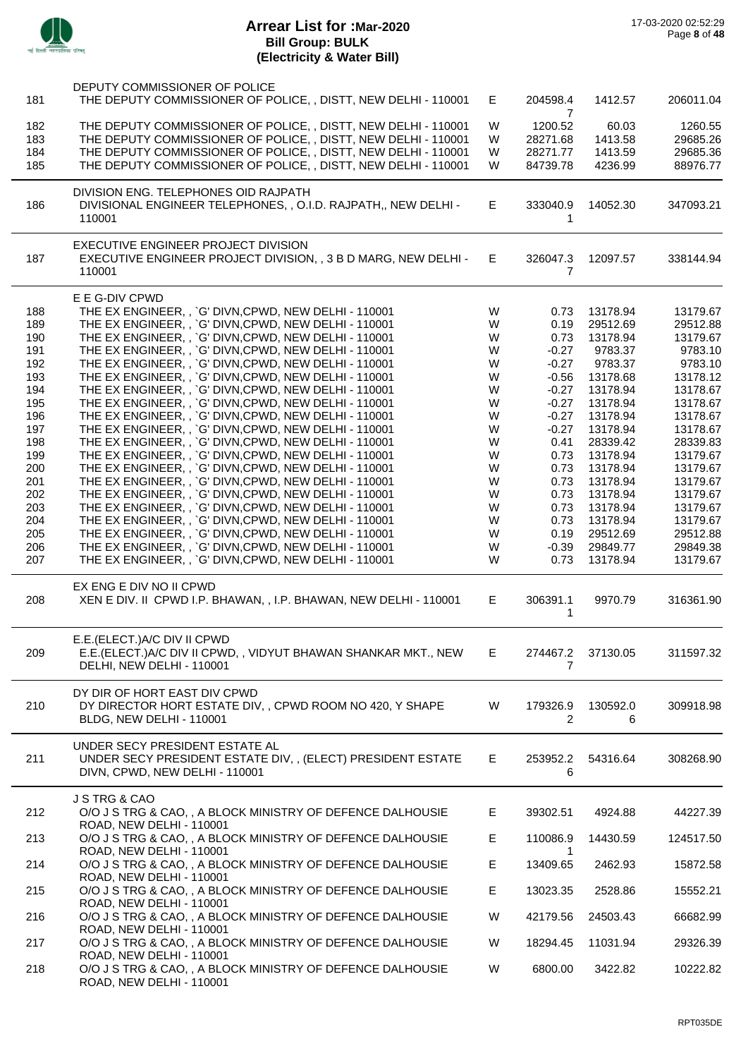

| 181 | DEPUTY COMMISSIONER OF POLICE<br>THE DEPUTY COMMISSIONER OF POLICE, , DISTT, NEW DELHI - 110001                | E. | 204598.4                 | 1412.57           | 206011.04            |
|-----|----------------------------------------------------------------------------------------------------------------|----|--------------------------|-------------------|----------------------|
| 182 | THE DEPUTY COMMISSIONER OF POLICE, , DISTT, NEW DELHI - 110001                                                 | W  | 7<br>1200.52             | 60.03             | 1260.55              |
| 183 | THE DEPUTY COMMISSIONER OF POLICE, , DISTT, NEW DELHI - 110001                                                 | W  | 28271.68                 | 1413.58           | 29685.26             |
| 184 | THE DEPUTY COMMISSIONER OF POLICE, , DISTT, NEW DELHI - 110001                                                 | W  | 28271.77                 | 1413.59           | 29685.36             |
| 185 | THE DEPUTY COMMISSIONER OF POLICE, , DISTT, NEW DELHI - 110001                                                 | W  | 84739.78                 | 4236.99           | 88976.77             |
|     | DIVISION ENG. TELEPHONES OID RAJPATH                                                                           |    |                          |                   |                      |
| 186 | DIVISIONAL ENGINEER TELEPHONES, , O.I.D. RAJPATH,, NEW DELHI -<br>110001                                       | E. | 333040.9<br>$\mathbf{1}$ | 14052.30          | 347093.21            |
|     |                                                                                                                |    |                          |                   |                      |
| 187 | EXECUTIVE ENGINEER PROJECT DIVISION<br>EXECUTIVE ENGINEER PROJECT DIVISION, , 3 B D MARG, NEW DELHI -          | E. | 326047.3                 | 12097.57          | 338144.94            |
|     | 110001                                                                                                         |    | $\overline{7}$           |                   |                      |
|     |                                                                                                                |    |                          |                   |                      |
| 188 | E E G-DIV CPWD<br>THE EX ENGINEER, , `G' DIVN, CPWD, NEW DELHI - 110001                                        | W  | 0.73                     | 13178.94          | 13179.67             |
| 189 | THE EX ENGINEER, , `G' DIVN, CPWD, NEW DELHI - 110001                                                          | W  | 0.19                     | 29512.69          | 29512.88             |
| 190 | THE EX ENGINEER, , `G' DIVN, CPWD, NEW DELHI - 110001                                                          | W  | 0.73                     | 13178.94          | 13179.67             |
| 191 | THE EX ENGINEER, , `G' DIVN, CPWD, NEW DELHI - 110001                                                          | W  | $-0.27$                  | 9783.37           | 9783.10              |
| 192 | THE EX ENGINEER, , `G' DIVN, CPWD, NEW DELHI - 110001                                                          | W  | $-0.27$                  | 9783.37           | 9783.10              |
| 193 | THE EX ENGINEER, , `G' DIVN, CPWD, NEW DELHI - 110001                                                          | W  | $-0.56$                  | 13178.68          | 13178.12             |
| 194 | THE EX ENGINEER, , `G' DIVN, CPWD, NEW DELHI - 110001                                                          | W  | $-0.27$                  | 13178.94          | 13178.67             |
| 195 |                                                                                                                | W  | $-0.27$                  | 13178.94          | 13178.67             |
|     | THE EX ENGINEER, , `G' DIVN, CPWD, NEW DELHI - 110001                                                          |    |                          |                   |                      |
| 196 | THE EX ENGINEER, , `G' DIVN, CPWD, NEW DELHI - 110001<br>THE EX ENGINEER, , `G' DIVN, CPWD, NEW DELHI - 110001 | W  | $-0.27$                  | 13178.94          | 13178.67<br>13178.67 |
| 197 |                                                                                                                | W  | $-0.27$                  | 13178.94          |                      |
| 198 | THE EX ENGINEER, , `G' DIVN, CPWD, NEW DELHI - 110001                                                          | W  | 0.41                     | 28339.42          | 28339.83             |
| 199 | THE EX ENGINEER, , `G' DIVN, CPWD, NEW DELHI - 110001                                                          | W  | 0.73                     | 13178.94          | 13179.67             |
| 200 | THE EX ENGINEER, , `G' DIVN, CPWD, NEW DELHI - 110001                                                          | W  | 0.73                     | 13178.94          | 13179.67             |
| 201 | THE EX ENGINEER, , `G' DIVN, CPWD, NEW DELHI - 110001                                                          | W  | 0.73                     | 13178.94          | 13179.67             |
| 202 | THE EX ENGINEER, , `G' DIVN, CPWD, NEW DELHI - 110001                                                          | W  | 0.73                     | 13178.94          | 13179.67             |
| 203 | THE EX ENGINEER, , `G' DIVN, CPWD, NEW DELHI - 110001                                                          | W  | 0.73                     | 13178.94          | 13179.67             |
| 204 | THE EX ENGINEER, , `G' DIVN, CPWD, NEW DELHI - 110001                                                          | W  | 0.73                     | 13178.94          | 13179.67             |
| 205 | THE EX ENGINEER, , `G' DIVN, CPWD, NEW DELHI - 110001                                                          | W  | 0.19                     | 29512.69          | 29512.88             |
| 206 | THE EX ENGINEER, , `G' DIVN, CPWD, NEW DELHI - 110001                                                          | W  | $-0.39$                  | 29849.77          | 29849.38             |
| 207 | THE EX ENGINEER, , `G' DIVN, CPWD, NEW DELHI - 110001                                                          | W  | 0.73                     | 13178.94          | 13179.67             |
| 208 | EX ENG E DIV NO II CPWD<br>XEN E DIV. II CPWD I.P. BHAWAN, , I.P. BHAWAN, NEW DELHI - 110001                   | E  | 306391.1                 | 9970.79           | 316361.90            |
|     |                                                                                                                |    | 1                        |                   |                      |
|     | E.E. (ELECT.) A/C DIV II CPWD                                                                                  |    |                          |                   |                      |
| 209 | E.E.(ELECT.)A/C DIV II CPWD, , VIDYUT BHAWAN SHANKAR MKT., NEW                                                 | Е. |                          | 274467.2 37130.05 | 311597.32            |
|     | DELHI, NEW DELHI - 110001                                                                                      |    | 7                        |                   |                      |
|     | DY DIR OF HORT EAST DIV CPWD                                                                                   |    |                          |                   |                      |
| 210 | DY DIRECTOR HORT ESTATE DIV, , CPWD ROOM NO 420, Y SHAPE                                                       | W  | 179326.9                 | 130592.0          | 309918.98            |
|     | BLDG, NEW DELHI - 110001                                                                                       |    | 2                        | 6                 |                      |
|     | UNDER SECY PRESIDENT ESTATE AL                                                                                 |    |                          |                   |                      |
| 211 | UNDER SECY PRESIDENT ESTATE DIV,, (ELECT) PRESIDENT ESTATE                                                     | E. | 253952.2                 | 54316.64          | 308268.90            |
|     | DIVN, CPWD, NEW DELHI - 110001                                                                                 |    | 6                        |                   |                      |
|     |                                                                                                                |    |                          |                   |                      |
|     | J S TRG & CAO                                                                                                  |    |                          |                   |                      |
| 212 | O/O J S TRG & CAO, , A BLOCK MINISTRY OF DEFENCE DALHOUSIE                                                     | E. | 39302.51                 | 4924.88           | 44227.39             |
|     | ROAD, NEW DELHI - 110001                                                                                       |    |                          |                   |                      |
| 213 | O/O J S TRG & CAO, , A BLOCK MINISTRY OF DEFENCE DALHOUSIE                                                     | E  | 110086.9                 | 14430.59          | 124517.50            |
|     | ROAD, NEW DELHI - 110001                                                                                       |    | 1                        |                   |                      |
| 214 | O/O J S TRG & CAO, , A BLOCK MINISTRY OF DEFENCE DALHOUSIE<br>ROAD, NEW DELHI - 110001                         | E. | 13409.65                 | 2462.93           | 15872.58             |
| 215 | O/O J S TRG & CAO, , A BLOCK MINISTRY OF DEFENCE DALHOUSIE                                                     | E  | 13023.35                 | 2528.86           | 15552.21             |
|     | ROAD, NEW DELHI - 110001                                                                                       |    |                          |                   |                      |
| 216 | O/O J S TRG & CAO, , A BLOCK MINISTRY OF DEFENCE DALHOUSIE                                                     | W  | 42179.56                 | 24503.43          | 66682.99             |
| 217 | ROAD, NEW DELHI - 110001<br>O/O J S TRG & CAO, , A BLOCK MINISTRY OF DEFENCE DALHOUSIE                         | W  | 18294.45                 | 11031.94          | 29326.39             |
|     | ROAD, NEW DELHI - 110001                                                                                       |    |                          |                   |                      |
| 218 | O/O J S TRG & CAO, , A BLOCK MINISTRY OF DEFENCE DALHOUSIE<br>ROAD, NEW DELHI - 110001                         | W  | 6800.00                  | 3422.82           | 10222.82             |
|     |                                                                                                                |    |                          |                   |                      |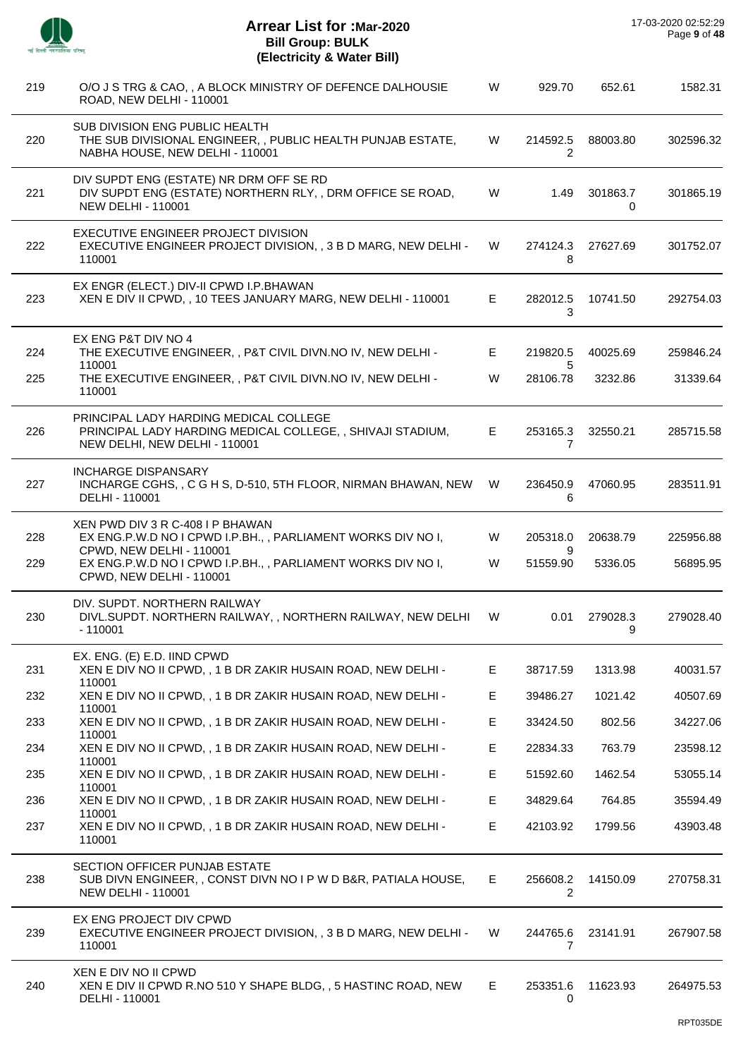| -- |  |
|----|--|
|    |  |

| 219 | O/O J S TRG & CAO, , A BLOCK MINISTRY OF DEFENCE DALHOUSIE<br>ROAD, NEW DELHI - 110001                                                | W  | 929.70                     | 652.61        | 1582.31   |
|-----|---------------------------------------------------------------------------------------------------------------------------------------|----|----------------------------|---------------|-----------|
| 220 | SUB DIVISION ENG PUBLIC HEALTH<br>THE SUB DIVISIONAL ENGINEER,, PUBLIC HEALTH PUNJAB ESTATE,<br>NABHA HOUSE, NEW DELHI - 110001       | W  | 214592.5<br>2              | 88003.80      | 302596.32 |
| 221 | DIV SUPDT ENG (ESTATE) NR DRM OFF SE RD<br>DIV SUPDT ENG (ESTATE) NORTHERN RLY, , DRM OFFICE SE ROAD,<br><b>NEW DELHI - 110001</b>    | W  | 1.49                       | 301863.7<br>0 | 301865.19 |
| 222 | EXECUTIVE ENGINEER PROJECT DIVISION<br>EXECUTIVE ENGINEER PROJECT DIVISION, , 3 B D MARG, NEW DELHI -<br>110001                       | W  | 274124.3<br>8              | 27627.69      | 301752.07 |
| 223 | EX ENGR (ELECT.) DIV-II CPWD I.P.BHAWAN<br>XEN E DIV II CPWD, , 10 TEES JANUARY MARG, NEW DELHI - 110001                              | E. | 282012.5<br>3              | 10741.50      | 292754.03 |
| 224 | EX ENG P&T DIV NO 4<br>THE EXECUTIVE ENGINEER, , P&T CIVIL DIVN.NO IV, NEW DELHI -<br>110001                                          | E. | 219820.5<br>5              | 40025.69      | 259846.24 |
| 225 | THE EXECUTIVE ENGINEER, , P&T CIVIL DIVN.NO IV, NEW DELHI -<br>110001                                                                 | W  | 28106.78                   | 3232.86       | 31339.64  |
| 226 | PRINCIPAL LADY HARDING MEDICAL COLLEGE<br>PRINCIPAL LADY HARDING MEDICAL COLLEGE, , SHIVAJI STADIUM,<br>NEW DELHI, NEW DELHI - 110001 | E. | 253165.3<br>7              | 32550.21      | 285715.58 |
| 227 | <b>INCHARGE DISPANSARY</b><br>INCHARGE CGHS, , C G H S, D-510, 5TH FLOOR, NIRMAN BHAWAN, NEW<br>DELHI - 110001                        | W  | 236450.9<br>6              | 47060.95      | 283511.91 |
| 228 | XEN PWD DIV 3 R C-408 I P BHAWAN<br>EX ENG.P.W.D NO I CPWD I.P.BH., , PARLIAMENT WORKS DIV NO I,<br>CPWD, NEW DELHI - 110001          | W  | 205318.0<br>9              | 20638.79      | 225956.88 |
| 229 | EX ENG.P.W.D NO I CPWD I.P.BH., , PARLIAMENT WORKS DIV NO I,<br>CPWD, NEW DELHI - 110001                                              | W  | 51559.90                   | 5336.05       | 56895.95  |
| 230 | DIV. SUPDT. NORTHERN RAILWAY<br>DIVL.SUPDT. NORTHERN RAILWAY, , NORTHERN RAILWAY, NEW DELHI<br>$-110001$                              | W  | 0.01                       | 279028.3<br>9 | 279028.40 |
| 231 | EX. ENG. (E) E.D. IIND CPWD<br>XEN E DIV NO II CPWD, , 1 B DR ZAKIR HUSAIN ROAD, NEW DELHI -<br>110001                                | E. | 38717.59                   | 1313.98       | 40031.57  |
| 232 | XEN E DIV NO II CPWD, , 1 B DR ZAKIR HUSAIN ROAD, NEW DELHI -                                                                         | E  | 39486.27                   | 1021.42       | 40507.69  |
| 233 | 110001<br>XEN E DIV NO II CPWD, , 1 B DR ZAKIR HUSAIN ROAD, NEW DELHI -                                                               | E  | 33424.50                   | 802.56        | 34227.06  |
| 234 | 110001<br>XEN E DIV NO II CPWD, , 1 B DR ZAKIR HUSAIN ROAD, NEW DELHI -                                                               | E. | 22834.33                   | 763.79        | 23598.12  |
| 235 | 110001<br>XEN E DIV NO II CPWD, , 1 B DR ZAKIR HUSAIN ROAD, NEW DELHI -                                                               | E  | 51592.60                   | 1462.54       | 53055.14  |
| 236 | 110001<br>XEN E DIV NO II CPWD, , 1 B DR ZAKIR HUSAIN ROAD, NEW DELHI -                                                               | E. | 34829.64                   | 764.85        | 35594.49  |
| 237 | 110001<br>XEN E DIV NO II CPWD, , 1 B DR ZAKIR HUSAIN ROAD, NEW DELHI -<br>110001                                                     | E. | 42103.92                   | 1799.56       | 43903.48  |
| 238 | SECTION OFFICER PUNJAB ESTATE<br>SUB DIVN ENGINEER,, CONST DIVN NO I P W D B&R, PATIALA HOUSE,<br><b>NEW DELHI - 110001</b>           | E. | 256608.2<br>2              | 14150.09      | 270758.31 |
| 239 | EX ENG PROJECT DIV CPWD<br>EXECUTIVE ENGINEER PROJECT DIVISION, , 3 B D MARG, NEW DELHI -<br>110001                                   | W. | 244765.6<br>$\overline{7}$ | 23141.91      | 267907.58 |
| 240 | XEN E DIV NO II CPWD<br>XEN E DIV II CPWD R.NO 510 Y SHAPE BLDG, , 5 HASTINC ROAD, NEW<br>DELHI - 110001                              | E. | 253351.6<br>0              | 11623.93      | 264975.53 |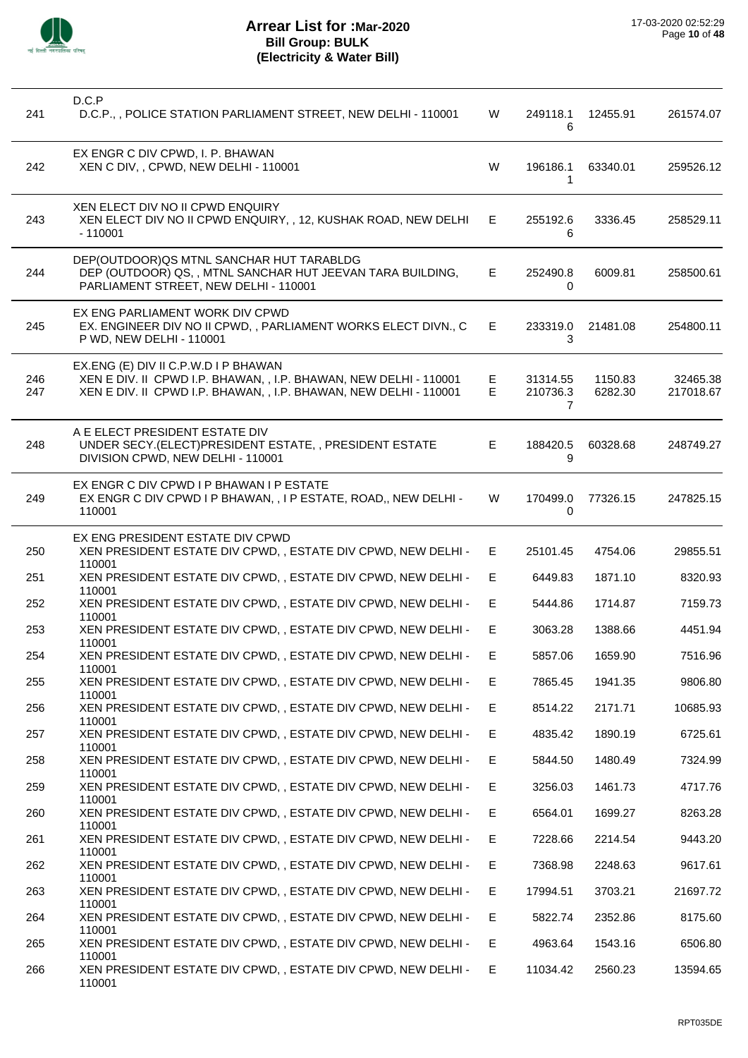

| 241        | D.C.P<br>D.C.P., , POLICE STATION PARLIAMENT STREET, NEW DELHI - 110001                                                                                                        | W       | 249118.1<br>6             | 12455.91           | 261574.07             |
|------------|--------------------------------------------------------------------------------------------------------------------------------------------------------------------------------|---------|---------------------------|--------------------|-----------------------|
| 242        | EX ENGR C DIV CPWD, I. P. BHAWAN<br>XEN C DIV, , CPWD, NEW DELHI - 110001                                                                                                      | W       | 196186.1<br>1             | 63340.01           | 259526.12             |
| 243        | XEN ELECT DIV NO II CPWD ENQUIRY<br>XEN ELECT DIV NO II CPWD ENQUIRY, , 12, KUSHAK ROAD, NEW DELHI<br>$-110001$                                                                | E.      | 255192.6<br>6             | 3336.45            | 258529.11             |
| 244        | DEP(OUTDOOR) QS MTNL SANCHAR HUT TARABLDG<br>DEP (OUTDOOR) QS,, MTNL SANCHAR HUT JEEVAN TARA BUILDING,<br>PARLIAMENT STREET, NEW DELHI - 110001                                | E.      | 252490.8<br>0             | 6009.81            | 258500.61             |
| 245        | EX ENG PARLIAMENT WORK DIV CPWD<br>EX. ENGINEER DIV NO II CPWD,, PARLIAMENT WORKS ELECT DIVN., C<br>P WD, NEW DELHI - 110001                                                   | E.      | 233319.0<br>3             | 21481.08           | 254800.11             |
| 246<br>247 | EX.ENG (E) DIV II C.P.W.D I P BHAWAN<br>XEN E DIV. II CPWD I.P. BHAWAN, , I.P. BHAWAN, NEW DELHI - 110001<br>XEN E DIV. II CPWD I.P. BHAWAN, , I.P. BHAWAN, NEW DELHI - 110001 | E<br>E. | 31314.55<br>210736.3<br>7 | 1150.83<br>6282.30 | 32465.38<br>217018.67 |
| 248        | A E ELECT PRESIDENT ESTATE DIV<br>UNDER SECY.(ELECT)PRESIDENT ESTATE,, PRESIDENT ESTATE<br>DIVISION CPWD, NEW DELHI - 110001                                                   | E.      | 188420.5<br>9             | 60328.68           | 248749.27             |
| 249        | EX ENGR C DIV CPWD I P BHAWAN I P ESTATE<br>EX ENGR C DIV CPWD I P BHAWAN, , I P ESTATE, ROAD,, NEW DELHI -<br>110001                                                          | W       | 170499.0<br>$\Omega$      | 77326.15           | 247825.15             |
| 250        | EX ENG PRESIDENT ESTATE DIV CPWD<br>XEN PRESIDENT ESTATE DIV CPWD, , ESTATE DIV CPWD, NEW DELHI -<br>110001                                                                    | E.      | 25101.45                  | 4754.06            | 29855.51              |
| 251        | XEN PRESIDENT ESTATE DIV CPWD, , ESTATE DIV CPWD, NEW DELHI -<br>110001                                                                                                        | E.      | 6449.83                   | 1871.10            | 8320.93               |
| 252        | XEN PRESIDENT ESTATE DIV CPWD, , ESTATE DIV CPWD, NEW DELHI -                                                                                                                  | E.      | 5444.86                   | 1714.87            | 7159.73               |
| 253        | 110001<br>XEN PRESIDENT ESTATE DIV CPWD, , ESTATE DIV CPWD, NEW DELHI -                                                                                                        | E       | 3063.28                   | 1388.66            | 4451.94               |
| 254        | 110001<br>XEN PRESIDENT ESTATE DIV CPWD,, ESTATE DIV CPWD, NEW DELHI -                                                                                                         | E.      | 5857.06                   | 1659.90            | 7516.96               |
| 255        | 110001<br>XEN PRESIDENT ESTATE DIV CPWD, , ESTATE DIV CPWD, NEW DELHI -                                                                                                        | Е       | 7865.45                   | 1941.35            | 9806.80               |
| 256        | 110001<br>XEN PRESIDENT ESTATE DIV CPWD,, ESTATE DIV CPWD, NEW DELHI -                                                                                                         | E.      | 8514.22                   | 2171.71            | 10685.93              |
| 257        | 110001<br>XEN PRESIDENT ESTATE DIV CPWD, , ESTATE DIV CPWD, NEW DELHI -                                                                                                        | E       | 4835.42                   | 1890.19            | 6725.61               |
| 258        | 110001<br>XEN PRESIDENT ESTATE DIV CPWD,, ESTATE DIV CPWD, NEW DELHI -                                                                                                         | E.      | 5844.50                   | 1480.49            | 7324.99               |
| 259        | 110001<br>XEN PRESIDENT ESTATE DIV CPWD., ESTATE DIV CPWD, NEW DELHI -                                                                                                         | E.      | 3256.03                   | 1461.73            | 4717.76               |
| 260        | 110001<br>XEN PRESIDENT ESTATE DIV CPWD, , ESTATE DIV CPWD, NEW DELHI -                                                                                                        | E.      | 6564.01                   | 1699.27            | 8263.28               |
| 261        | 110001<br>XEN PRESIDENT ESTATE DIV CPWD, , ESTATE DIV CPWD, NEW DELHI -                                                                                                        | E.      | 7228.66                   | 2214.54            | 9443.20               |
| 262        | 110001<br>XEN PRESIDENT ESTATE DIV CPWD, , ESTATE DIV CPWD, NEW DELHI -                                                                                                        | E.      | 7368.98                   | 2248.63            | 9617.61               |
| 263        | 110001<br>XEN PRESIDENT ESTATE DIV CPWD, , ESTATE DIV CPWD, NEW DELHI -                                                                                                        | Е       | 17994.51                  | 3703.21            | 21697.72              |
| 264        | 110001<br>XEN PRESIDENT ESTATE DIV CPWD, , ESTATE DIV CPWD, NEW DELHI -                                                                                                        | E.      | 5822.74                   | 2352.86            | 8175.60               |
| 265        | 110001<br>XEN PRESIDENT ESTATE DIV CPWD, , ESTATE DIV CPWD, NEW DELHI -                                                                                                        | E.      | 4963.64                   | 1543.16            | 6506.80               |
| 266        | 110001<br>XEN PRESIDENT ESTATE DIV CPWD, , ESTATE DIV CPWD, NEW DELHI -<br>110001                                                                                              | E.      | 11034.42                  | 2560.23            | 13594.65              |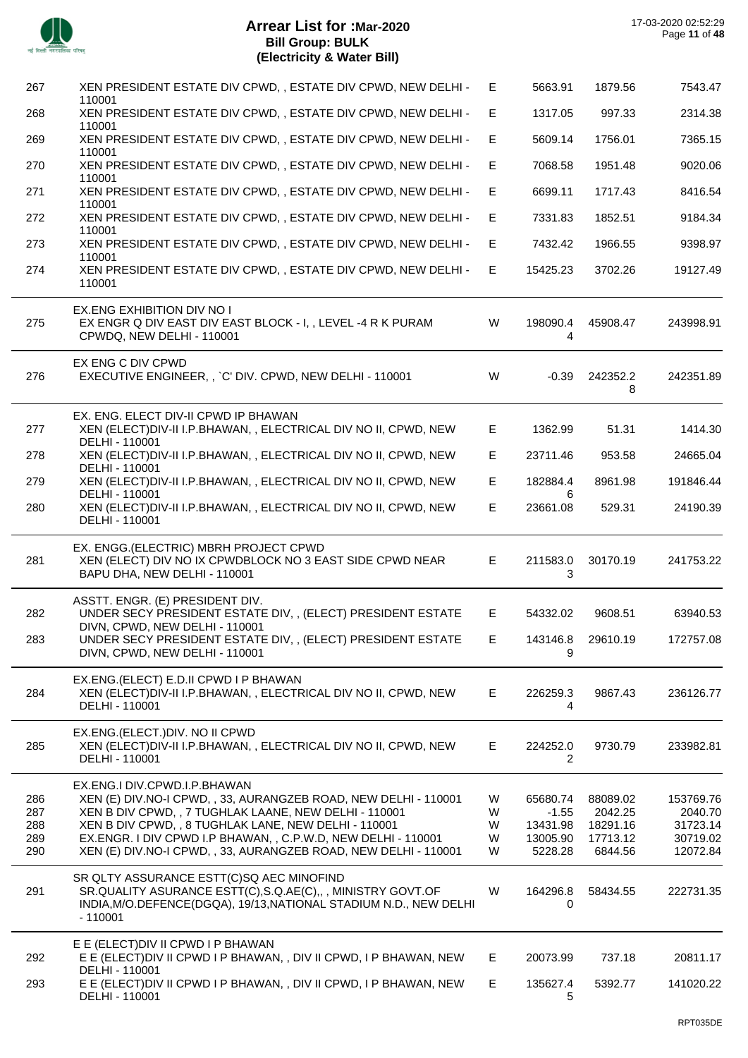

| 267                             | XEN PRESIDENT ESTATE DIV CPWD, , ESTATE DIV CPWD, NEW DELHI -<br>110001                                                                                                                                                                                                                                                                                | E                     | 5663.91                                                | 1879.56                                                | 7543.47                                                  |
|---------------------------------|--------------------------------------------------------------------------------------------------------------------------------------------------------------------------------------------------------------------------------------------------------------------------------------------------------------------------------------------------------|-----------------------|--------------------------------------------------------|--------------------------------------------------------|----------------------------------------------------------|
| 268                             | XEN PRESIDENT ESTATE DIV CPWD,, ESTATE DIV CPWD, NEW DELHI -<br>110001                                                                                                                                                                                                                                                                                 | E.                    | 1317.05                                                | 997.33                                                 | 2314.38                                                  |
| 269                             | XEN PRESIDENT ESTATE DIV CPWD,, ESTATE DIV CPWD, NEW DELHI -<br>110001                                                                                                                                                                                                                                                                                 | E                     | 5609.14                                                | 1756.01                                                | 7365.15                                                  |
| 270                             | XEN PRESIDENT ESTATE DIV CPWD, , ESTATE DIV CPWD, NEW DELHI -<br>110001                                                                                                                                                                                                                                                                                | E.                    | 7068.58                                                | 1951.48                                                | 9020.06                                                  |
| 271                             | XEN PRESIDENT ESTATE DIV CPWD,, ESTATE DIV CPWD, NEW DELHI -<br>110001                                                                                                                                                                                                                                                                                 | E                     | 6699.11                                                | 1717.43                                                | 8416.54                                                  |
| 272                             | XEN PRESIDENT ESTATE DIV CPWD,, ESTATE DIV CPWD, NEW DELHI -                                                                                                                                                                                                                                                                                           | E.                    | 7331.83                                                | 1852.51                                                | 9184.34                                                  |
| 273                             | 110001<br>XEN PRESIDENT ESTATE DIV CPWD,, ESTATE DIV CPWD, NEW DELHI -                                                                                                                                                                                                                                                                                 | E                     | 7432.42                                                | 1966.55                                                | 9398.97                                                  |
| 274                             | 110001<br>XEN PRESIDENT ESTATE DIV CPWD,, ESTATE DIV CPWD, NEW DELHI -<br>110001                                                                                                                                                                                                                                                                       | E.                    | 15425.23                                               | 3702.26                                                | 19127.49                                                 |
| 275                             | EX.ENG EXHIBITION DIV NO I<br>EX ENGR Q DIV EAST DIV EAST BLOCK - I, , LEVEL -4 R K PURAM<br>CPWDQ, NEW DELHI - 110001                                                                                                                                                                                                                                 | W                     | 198090.4<br>4                                          | 45908.47                                               | 243998.91                                                |
| 276                             | EX ENG C DIV CPWD<br>EXECUTIVE ENGINEER, , `C' DIV. CPWD, NEW DELHI - 110001                                                                                                                                                                                                                                                                           | W                     | $-0.39$                                                | 242352.2<br>8                                          | 242351.89                                                |
| 277                             | EX. ENG. ELECT DIV-II CPWD IP BHAWAN<br>XEN (ELECT) DIV-II I.P.BHAWAN, , ELECTRICAL DIV NO II, CPWD, NEW<br>DELHI - 110001                                                                                                                                                                                                                             | E                     | 1362.99                                                | 51.31                                                  | 1414.30                                                  |
| 278                             | XEN (ELECT) DIV-II I.P. BHAWAN, , ELECTRICAL DIV NO II, CPWD, NEW<br>DELHI - 110001                                                                                                                                                                                                                                                                    | E.                    | 23711.46                                               | 953.58                                                 | 24665.04                                                 |
| 279                             | XEN (ELECT) DIV-II I.P. BHAWAN, , ELECTRICAL DIV NO II, CPWD, NEW<br>DELHI - 110001                                                                                                                                                                                                                                                                    | E.                    | 182884.4<br>6                                          | 8961.98                                                | 191846.44                                                |
| 280                             | XEN (ELECT) DIV-II I.P. BHAWAN, , ELECTRICAL DIV NO II, CPWD, NEW<br>DELHI - 110001                                                                                                                                                                                                                                                                    | E                     | 23661.08                                               | 529.31                                                 | 24190.39                                                 |
| 281                             | EX. ENGG.(ELECTRIC) MBRH PROJECT CPWD<br>XEN (ELECT) DIV NO IX CPWDBLOCK NO 3 EAST SIDE CPWD NEAR<br>BAPU DHA, NEW DELHI - 110001                                                                                                                                                                                                                      | E.                    | 211583.0<br>3                                          | 30170.19                                               | 241753.22                                                |
| 282                             | ASSTT. ENGR. (E) PRESIDENT DIV.<br>UNDER SECY PRESIDENT ESTATE DIV,, (ELECT) PRESIDENT ESTATE<br>DIVN, CPWD, NEW DELHI - 110001                                                                                                                                                                                                                        | E.                    | 54332.02                                               | 9608.51                                                | 63940.53                                                 |
| 283                             | UNDER SECY PRESIDENT ESTATE DIV, , (ELECT) PRESIDENT ESTATE<br>DIVN, CPWD, NEW DELHI - 110001                                                                                                                                                                                                                                                          | E.                    | 143146.8<br>9                                          | 29610.19                                               | 172757.08                                                |
| 284                             | EX.ENG.(ELECT) E.D.II CPWD I P BHAWAN<br>XEN (ELECT) DIV-II I.P.BHAWAN, , ELECTRICAL DIV NO II, CPWD, NEW<br>DELHI - 110001                                                                                                                                                                                                                            | E                     | 226259.3<br>4                                          | 9867.43                                                | 236126.77                                                |
| 285                             | EX.ENG.(ELECT.)DIV. NO II CPWD<br>XEN (ELECT) DIV-II I.P.BHAWAN, , ELECTRICAL DIV NO II, CPWD, NEW<br>DELHI - 110001                                                                                                                                                                                                                                   | E.                    | 224252.0<br>2                                          | 9730.79                                                | 233982.81                                                |
| 286<br>287<br>288<br>289<br>290 | EX.ENG.I DIV.CPWD.I.P.BHAWAN<br>XEN (E) DIV. NO-I CPWD, , 33, AURANGZEB ROAD, NEW DELHI - 110001<br>XEN B DIV CPWD, , 7 TUGHLAK LAANE, NEW DELHI - 110001<br>XEN B DIV CPWD, , 8 TUGHLAK LANE, NEW DELHI - 110001<br>EX.ENGR. I DIV CPWD I.P BHAWAN, , C.P.W.D, NEW DELHI - 110001<br>XEN (E) DIV. NO-I CPWD, , 33, AURANGZEB ROAD, NEW DELHI - 110001 | W<br>W<br>W<br>W<br>W | 65680.74<br>$-1.55$<br>13431.98<br>13005.90<br>5228.28 | 88089.02<br>2042.25<br>18291.16<br>17713.12<br>6844.56 | 153769.76<br>2040.70<br>31723.14<br>30719.02<br>12072.84 |
| 291                             | SR QLTY ASSURANCE ESTT(C)SQ AEC MINOFIND<br>SR.QUALITY ASURANCE ESTT(C), S.Q.AE(C),,, MINISTRY GOVT.OF<br>INDIA, M/O.DEFENCE(DGQA), 19/13, NATIONAL STADIUM N.D., NEW DELHI<br>$-110001$                                                                                                                                                               | W                     | 164296.8<br>0                                          | 58434.55                                               | 222731.35                                                |
| 292                             | E E (ELECT) DIV II CPWD I P BHAWAN<br>E E (ELECT) DIV II CPWD I P BHAWAN, , DIV II CPWD, I P BHAWAN, NEW<br>DELHI - 110001                                                                                                                                                                                                                             | E.                    | 20073.99                                               | 737.18                                                 | 20811.17                                                 |
| 293                             | E E (ELECT) DIV II CPWD I P BHAWAN, , DIV II CPWD, I P BHAWAN, NEW<br>DELHI - 110001                                                                                                                                                                                                                                                                   | E.                    | 135627.4<br>5                                          | 5392.77                                                | 141020.22                                                |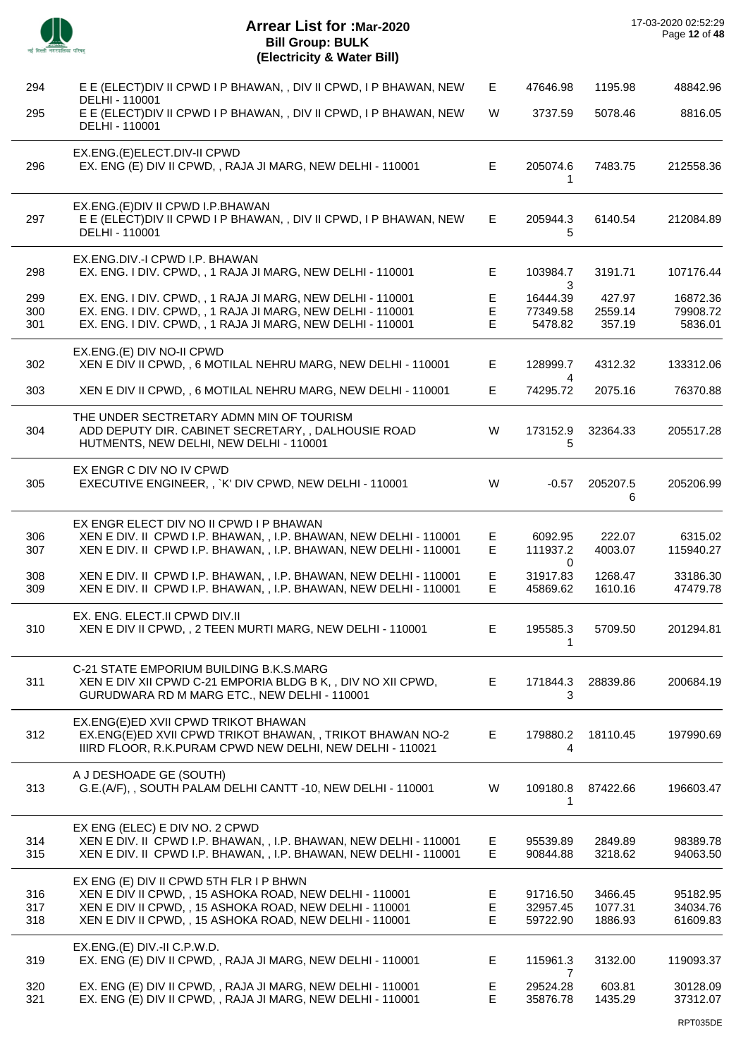|                   | <b>Arrear List for :Mar-2020</b><br><b>Bill Group: BULK</b><br>(Electricity & Water Bill)                                                                                                                                |             |                                      |                               | 17-03-2020 02:52:29<br>Page 12 of 48 |
|-------------------|--------------------------------------------------------------------------------------------------------------------------------------------------------------------------------------------------------------------------|-------------|--------------------------------------|-------------------------------|--------------------------------------|
| 294               | E E (ELECT) DIV II CPWD I P BHAWAN, , DIV II CPWD, I P BHAWAN, NEW                                                                                                                                                       | E.          | 47646.98                             | 1195.98                       | 48842.96                             |
| 295               | DELHI - 110001<br>E E (ELECT) DIV II CPWD I P BHAWAN, , DIV II CPWD, I P BHAWAN, NEW<br>DELHI - 110001                                                                                                                   | W           | 3737.59                              | 5078.46                       | 8816.05                              |
| 296               | EX.ENG.(E)ELECT.DIV-II CPWD<br>EX. ENG (E) DIV II CPWD, , RAJA JI MARG, NEW DELHI - 110001                                                                                                                               | E           | 205074.6<br>1                        | 7483.75                       | 212558.36                            |
| 297               | EX.ENG. (E) DIV II CPWD I.P. BHAWAN<br>E E (ELECT) DIV II CPWD I P BHAWAN, , DIV II CPWD, I P BHAWAN, NEW<br>DELHI - 110001                                                                                              | E.          | 205944.3<br>5                        | 6140.54                       | 212084.89                            |
| 298               | EX.ENG.DIV.-I CPWD I.P. BHAWAN<br>EX. ENG. I DIV. CPWD, , 1 RAJA JI MARG, NEW DELHI - 110001                                                                                                                             | E           | 103984.7                             | 3191.71                       | 107176.44                            |
| 299<br>300<br>301 | EX. ENG. I DIV. CPWD, , 1 RAJA JI MARG, NEW DELHI - 110001<br>EX. ENG. I DIV. CPWD, , 1 RAJA JI MARG, NEW DELHI - 110001<br>EX. ENG. I DIV. CPWD, , 1 RAJA JI MARG, NEW DELHI - 110001                                   | E<br>E<br>E | 3<br>16444.39<br>77349.58<br>5478.82 | 427.97<br>2559.14<br>357.19   | 16872.36<br>79908.72<br>5836.01      |
| 302               | EX.ENG.(E) DIV NO-II CPWD<br>XEN E DIV II CPWD, , 6 MOTILAL NEHRU MARG, NEW DELHI - 110001                                                                                                                               | E           | 128999.7                             | 4312.32                       | 133312.06                            |
| 303               | XEN E DIV II CPWD, , 6 MOTILAL NEHRU MARG, NEW DELHI - 110001                                                                                                                                                            | E.          | 4<br>74295.72                        | 2075.16                       | 76370.88                             |
| 304               | THE UNDER SECTRETARY ADMN MIN OF TOURISM<br>ADD DEPUTY DIR. CABINET SECRETARY, , DALHOUSIE ROAD<br>HUTMENTS, NEW DELHI, NEW DELHI - 110001                                                                               | W           | 173152.9<br>5                        | 32364.33                      | 205517.28                            |
| 305               | EX ENGR C DIV NO IV CPWD<br>EXECUTIVE ENGINEER, , `K' DIV CPWD, NEW DELHI - 110001                                                                                                                                       | W           | $-0.57$                              | 205207.5<br>6                 | 205206.99                            |
| 306<br>307        | EX ENGR ELECT DIV NO II CPWD I P BHAWAN<br>XEN E DIV. II CPWD I.P. BHAWAN, , I.P. BHAWAN, NEW DELHI - 110001<br>XEN E DIV. II CPWD I.P. BHAWAN, , I.P. BHAWAN, NEW DELHI - 110001                                        | E<br>E      | 6092.95<br>111937.2<br>0             | 222.07<br>4003.07             | 6315.02<br>115940.27                 |
| 308<br>309        | XEN E DIV. II CPWD I.P. BHAWAN, , I.P. BHAWAN, NEW DELHI - 110001<br>XEN E DIV. II CPWD I.P. BHAWAN, , I.P. BHAWAN, NEW DELHI - 110001                                                                                   | F<br>E      | 31917.83<br>45869.62                 | 1268.47<br>1610.16            | 33186.30<br>47479.78                 |
| 310               | EX. ENG. ELECT.II CPWD DIV.II<br>XEN E DIV II CPWD, , 2 TEEN MURTI MARG, NEW DELHI - 110001                                                                                                                              | E           | 195585.3<br>1                        | 5709.50                       | 201294.81                            |
| 311               | C-21 STATE EMPORIUM BUILDING B.K.S.MARG<br>XEN E DIV XII CPWD C-21 EMPORIA BLDG B K, , DIV NO XII CPWD,<br>GURUDWARA RD M MARG ETC., NEW DELHI - 110001                                                                  | Е           | 171844.3<br>3                        | 28839.86                      | 200684.19                            |
| 312               | EX.ENG(E)ED XVII CPWD TRIKOT BHAWAN<br>EX.ENG(E)ED XVII CPWD TRIKOT BHAWAN, , TRIKOT BHAWAN NO-2<br>IIIRD FLOOR, R.K.PURAM CPWD NEW DELHI, NEW DELHI - 110021                                                            | Е           | 179880.2<br>4                        | 18110.45                      | 197990.69                            |
| 313               | A J DESHOADE GE (SOUTH)<br>G.E.(A/F), , SOUTH PALAM DELHI CANTT -10, NEW DELHI - 110001                                                                                                                                  | W           | 109180.8<br>1                        | 87422.66                      | 196603.47                            |
| 314<br>315        | EX ENG (ELEC) E DIV NO. 2 CPWD<br>XEN E DIV. II CPWD I.P. BHAWAN, , I.P. BHAWAN, NEW DELHI - 110001<br>XEN E DIV. II CPWD I.P. BHAWAN, , I.P. BHAWAN, NEW DELHI - 110001                                                 | Е<br>E.     | 95539.89<br>90844.88                 | 2849.89<br>3218.62            | 98389.78<br>94063.50                 |
| 316<br>317<br>318 | EX ENG (E) DIV II CPWD 5TH FLR I P BHWN<br>XEN E DIV II CPWD, , 15 ASHOKA ROAD, NEW DELHI - 110001<br>XEN E DIV II CPWD, , 15 ASHOKA ROAD, NEW DELHI - 110001<br>XEN E DIV II CPWD, , 15 ASHOKA ROAD, NEW DELHI - 110001 | E<br>E<br>E | 91716.50<br>32957.45<br>59722.90     | 3466.45<br>1077.31<br>1886.93 | 95182.95<br>34034.76<br>61609.83     |
| 319               | EX.ENG.(E) DIV.-II C.P.W.D.<br>EX. ENG (E) DIV II CPWD, , RAJA JI MARG, NEW DELHI - 110001                                                                                                                               | E.          | 115961.3                             | 3132.00                       | 119093.37                            |
| 320<br>321        | EX. ENG (E) DIV II CPWD, , RAJA JI MARG, NEW DELHI - 110001<br>EX. ENG (E) DIV II CPWD, , RAJA JI MARG, NEW DELHI - 110001                                                                                               | E.<br>E     | 7<br>29524.28<br>35876.78            | 603.81<br>1435.29             | 30128.09<br>37312.07                 |

 $\overline{\phantom{0}}$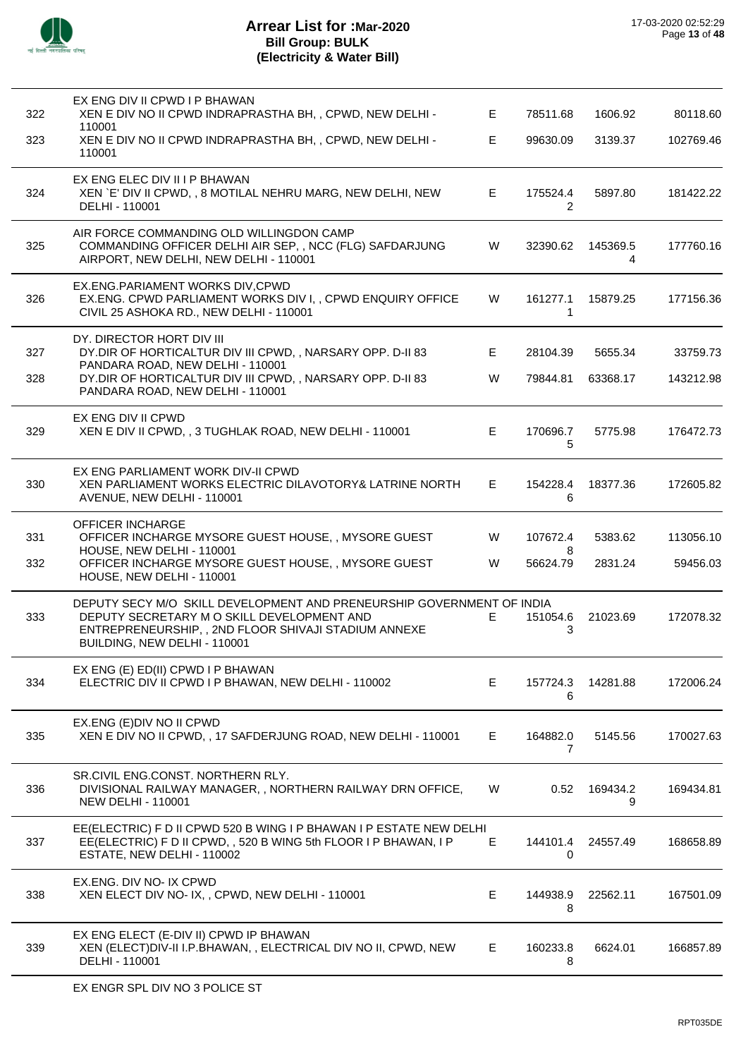

| 322 | EX ENG DIV II CPWD I P BHAWAN<br>XEN E DIV NO II CPWD INDRAPRASTHA BH, , CPWD, NEW DELHI -                                                                                                                 | E. | 78511.68       | 1606.92       | 80118.60  |
|-----|------------------------------------------------------------------------------------------------------------------------------------------------------------------------------------------------------------|----|----------------|---------------|-----------|
| 323 | 110001<br>XEN E DIV NO II CPWD INDRAPRASTHA BH, , CPWD, NEW DELHI -<br>110001                                                                                                                              | E. | 99630.09       | 3139.37       | 102769.46 |
| 324 | EX ENG ELEC DIV II I P BHAWAN<br>XEN `E' DIV II CPWD, , 8 MOTILAL NEHRU MARG, NEW DELHI, NEW<br>DELHI - 110001                                                                                             | Е  | 175524.4<br>2  | 5897.80       | 181422.22 |
| 325 | AIR FORCE COMMANDING OLD WILLINGDON CAMP<br>COMMANDING OFFICER DELHI AIR SEP, , NCC (FLG) SAFDARJUNG<br>AIRPORT, NEW DELHI, NEW DELHI - 110001                                                             | W  | 32390.62       | 145369.5<br>4 | 177760.16 |
| 326 | EX.ENG.PARIAMENT WORKS DIV, CPWD<br>EX.ENG. CPWD PARLIAMENT WORKS DIV I, , CPWD ENQUIRY OFFICE<br>CIVIL 25 ASHOKA RD., NEW DELHI - 110001                                                                  | W  | 161277.1<br>-1 | 15879.25      | 177156.36 |
| 327 | DY. DIRECTOR HORT DIV III<br>DY.DIR OF HORTICALTUR DIV III CPWD, , NARSARY OPP. D-II 83                                                                                                                    | Е  | 28104.39       | 5655.34       | 33759.73  |
| 328 | PANDARA ROAD, NEW DELHI - 110001<br>DY.DIR OF HORTICALTUR DIV III CPWD, , NARSARY OPP. D-II 83<br>PANDARA ROAD, NEW DELHI - 110001                                                                         | W  | 79844.81       | 63368.17      | 143212.98 |
| 329 | EX ENG DIV II CPWD<br>XEN E DIV II CPWD, , 3 TUGHLAK ROAD, NEW DELHI - 110001                                                                                                                              | Е  | 170696.7<br>5  | 5775.98       | 176472.73 |
| 330 | EX ENG PARLIAMENT WORK DIV-II CPWD<br>XEN PARLIAMENT WORKS ELECTRIC DILAVOTORY& LATRINE NORTH<br>AVENUE, NEW DELHI - 110001                                                                                | Е  | 154228.4<br>6  | 18377.36      | 172605.82 |
| 331 | <b>OFFICER INCHARGE</b><br>OFFICER INCHARGE MYSORE GUEST HOUSE, , MYSORE GUEST                                                                                                                             | W  | 107672.4       | 5383.62       | 113056.10 |
| 332 | HOUSE, NEW DELHI - 110001<br>OFFICER INCHARGE MYSORE GUEST HOUSE, , MYSORE GUEST<br>HOUSE, NEW DELHI - 110001                                                                                              | W  | 8<br>56624.79  | 2831.24       | 59456.03  |
| 333 | DEPUTY SECY M/O SKILL DEVELOPMENT AND PRENEURSHIP GOVERNMENT OF INDIA<br>DEPUTY SECRETARY M O SKILL DEVELOPMENT AND<br>ENTREPRENEURSHIP,, 2ND FLOOR SHIVAJI STADIUM ANNEXE<br>BUILDING, NEW DELHI - 110001 | E. | 151054.6<br>3  | 21023.69      | 172078.32 |
| 334 | EX ENG (E) ED(II) CPWD I P BHAWAN<br>ELECTRIC DIV II CPWD I P BHAWAN, NEW DELHI - 110002                                                                                                                   | E. | 157724.3<br>6  | 14281.88      | 172006.24 |
| 335 | EX.ENG (E) DIV NO II CPWD<br>XEN E DIV NO II CPWD, , 17 SAFDERJUNG ROAD, NEW DELHI - 110001                                                                                                                | E. | 164882.0<br>7  | 5145.56       | 170027.63 |
| 336 | SR.CIVIL ENG.CONST. NORTHERN RLY.<br>DIVISIONAL RAILWAY MANAGER,, NORTHERN RAILWAY DRN OFFICE,<br><b>NEW DELHI - 110001</b>                                                                                | W  | 0.52           | 169434.2<br>9 | 169434.81 |
| 337 | EE(ELECTRIC) F D II CPWD 520 B WING I P BHAWAN I P ESTATE NEW DELHI<br>EE(ELECTRIC) F D II CPWD, , 520 B WING 5th FLOOR I P BHAWAN, I P<br>ESTATE, NEW DELHI - 110002                                      | E  | 144101.4<br>0  | 24557.49      | 168658.89 |
| 338 | EX.ENG. DIV NO- IX CPWD<br>XEN ELECT DIV NO- IX, , CPWD, NEW DELHI - 110001                                                                                                                                | Е  | 144938.9<br>8  | 22562.11      | 167501.09 |
| 339 | EX ENG ELECT (E-DIV II) CPWD IP BHAWAN<br>XEN (ELECT) DIV-II I.P.BHAWAN, , ELECTRICAL DIV NO II, CPWD, NEW<br>DELHI - 110001                                                                               | E. | 160233.8<br>8  | 6624.01       | 166857.89 |
|     |                                                                                                                                                                                                            |    |                |               |           |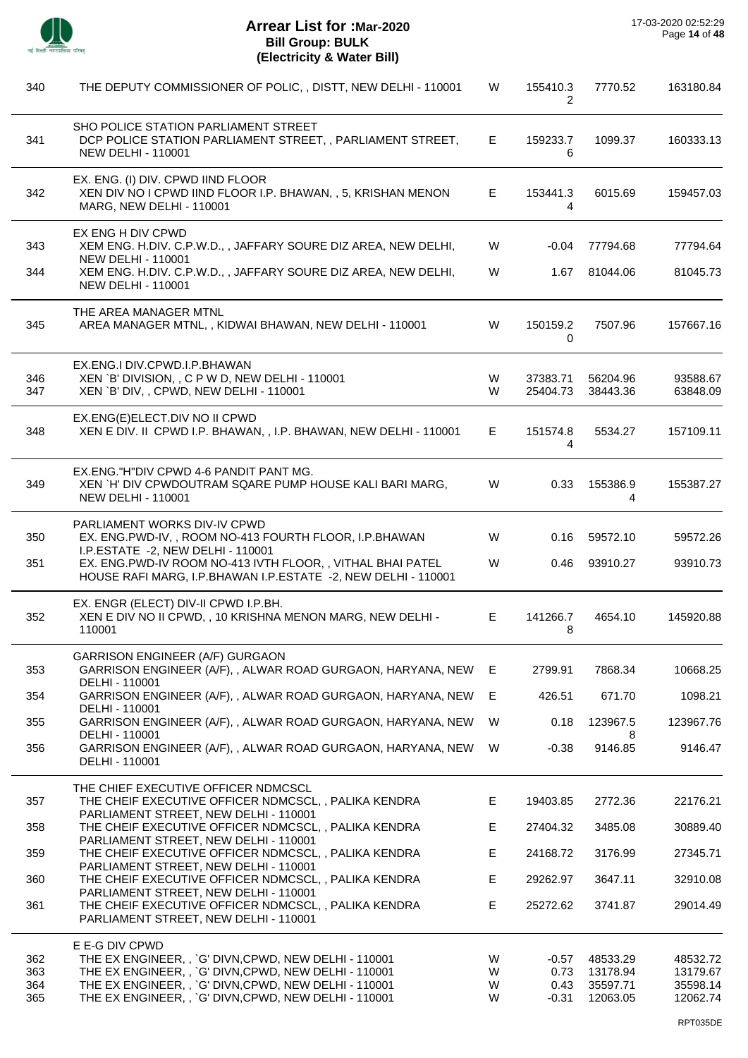

| 340        | THE DEPUTY COMMISSIONER OF POLIC, , DISTT, NEW DELHI - 110001                                                                          | W      | 155410.3<br>2   | 7770.52              | 163180.84            |
|------------|----------------------------------------------------------------------------------------------------------------------------------------|--------|-----------------|----------------------|----------------------|
| 341        | SHO POLICE STATION PARLIAMENT STREET<br>DCP POLICE STATION PARLIAMENT STREET, , PARLIAMENT STREET,<br><b>NEW DELHI - 110001</b>        | E.     | 159233.7<br>6   | 1099.37              | 160333.13            |
| 342        | EX. ENG. (I) DIV. CPWD IIND FLOOR<br>XEN DIV NO I CPWD IIND FLOOR I.P. BHAWAN, , 5, KRISHAN MENON<br><b>MARG, NEW DELHI - 110001</b>   | E.     | 153441.3<br>4   | 6015.69              | 159457.03            |
| 343        | EX ENG H DIV CPWD<br>XEM ENG. H.DIV. C.P.W.D., , JAFFARY SOURE DIZ AREA, NEW DELHI,                                                    | W      | -0.04           | 77794.68             | 77794.64             |
|            | <b>NEW DELHI - 110001</b>                                                                                                              |        |                 |                      |                      |
| 344        | XEM ENG. H.DIV. C.P.W.D., , JAFFARY SOURE DIZ AREA, NEW DELHI,<br><b>NEW DELHI - 110001</b>                                            | W      | 1.67            | 81044.06             | 81045.73             |
| 345        | THE AREA MANAGER MTNL<br>AREA MANAGER MTNL, , KIDWAI BHAWAN, NEW DELHI - 110001                                                        | W      | 150159.2<br>0   | 7507.96              | 157667.16            |
| 346        | EX.ENG.I DIV.CPWD.I.P.BHAWAN<br>XEN `B' DIVISION, , C P W D, NEW DELHI - 110001                                                        | W      | 37383.71        | 56204.96             | 93588.67             |
| 347        | XEN `B' DIV, , CPWD, NEW DELHI - 110001                                                                                                | W      | 25404.73        | 38443.36             | 63848.09             |
| 348        | EX.ENG(E)ELECT.DIV NO II CPWD<br>XEN E DIV. II CPWD I.P. BHAWAN, , I.P. BHAWAN, NEW DELHI - 110001                                     | E.     | 151574.8<br>4   | 5534.27              | 157109.11            |
| 349        | EX.ENG."H"DIV CPWD 4-6 PANDIT PANT MG.<br>XEN `H' DIV CPWDOUTRAM SQARE PUMP HOUSE KALI BARI MARG,<br><b>NEW DELHI - 110001</b>         | W      | 0.33            | 155386.9<br>4        | 155387.27            |
| 350        | <b>PARLIAMENT WORKS DIV-IV CPWD</b><br>EX. ENG.PWD-IV,, ROOM NO-413 FOURTH FLOOR, I.P.BHAWAN<br>I.P.ESTATE -2, NEW DELHI - 110001      | W      | 0.16            | 59572.10             | 59572.26             |
| 351        | EX. ENG.PWD-IV ROOM NO-413 IVTH FLOOR,, VITHAL BHAI PATEL<br>HOUSE RAFI MARG, I.P.BHAWAN I.P.ESTATE -2, NEW DELHI - 110001             | W      | 0.46            | 93910.27             | 93910.73             |
| 352        | EX. ENGR (ELECT) DIV-II CPWD I.P.BH.<br>XEN E DIV NO II CPWD, , 10 KRISHNA MENON MARG, NEW DELHI -<br>110001                           | E.     | 141266.7<br>8   | 4654.10              | 145920.88            |
| 353        | <b>GARRISON ENGINEER (A/F) GURGAON</b><br>GARRISON ENGINEER (A/F), , ALWAR ROAD GURGAON, HARYANA, NEW                                  | E.     | 2799.91         | 7868.34              | 10668.25             |
| 354        | DELHI - 110001<br>GARRISON ENGINEER (A/F), , ALWAR ROAD GURGAON, HARYANA, NEW<br>DELHI - 110001                                        | E      | 426.51          | 671.70               | 1098.21              |
| 355        | GARRISON ENGINEER (A/F), , ALWAR ROAD GURGAON, HARYANA, NEW                                                                            | W      | 0.18            | 123967.5             | 123967.76            |
| 356        | DELHI - 110001<br>GARRISON ENGINEER (A/F), , ALWAR ROAD GURGAON, HARYANA, NEW<br>DELHI - 110001                                        | W      | $-0.38$         | 8<br>9146.85         | 9146.47              |
| 357        | THE CHIEF EXECUTIVE OFFICER NDMCSCL<br>THE CHEIF EXECUTIVE OFFICER NDMCSCL,, PALIKA KENDRA<br>PARLIAMENT STREET, NEW DELHI - 110001    | E.     | 19403.85        | 2772.36              | 22176.21             |
| 358        | THE CHEIF EXECUTIVE OFFICER NDMCSCL, , PALIKA KENDRA                                                                                   | E      | 27404.32        | 3485.08              | 30889.40             |
| 359        | PARLIAMENT STREET, NEW DELHI - 110001<br>THE CHEIF EXECUTIVE OFFICER NDMCSCL, , PALIKA KENDRA                                          | E.     | 24168.72        | 3176.99              | 27345.71             |
| 360        | PARLIAMENT STREET, NEW DELHI - 110001<br>THE CHEIF EXECUTIVE OFFICER NDMCSCL, , PALIKA KENDRA                                          | E      | 29262.97        | 3647.11              | 32910.08             |
| 361        | PARLIAMENT STREET, NEW DELHI - 110001<br>THE CHEIF EXECUTIVE OFFICER NDMCSCL, , PALIKA KENDRA<br>PARLIAMENT STREET, NEW DELHI - 110001 | E      | 25272.62        | 3741.87              | 29014.49             |
|            | E E-G DIV CPWD                                                                                                                         |        |                 |                      |                      |
| 362<br>363 | THE EX ENGINEER, , `G' DIVN, CPWD, NEW DELHI - 110001<br>THE EX ENGINEER, , `G' DIVN, CPWD, NEW DELHI - 110001                         | W<br>W | $-0.57$<br>0.73 | 48533.29<br>13178.94 | 48532.72<br>13179.67 |
| 364        | THE EX ENGINEER, , `G' DIVN, CPWD, NEW DELHI - 110001                                                                                  | W      | 0.43            | 35597.71             | 35598.14             |
| 365        | THE EX ENGINEER, , `G' DIVN, CPWD, NEW DELHI - 110001                                                                                  | W      | $-0.31$         | 12063.05             | 12062.74             |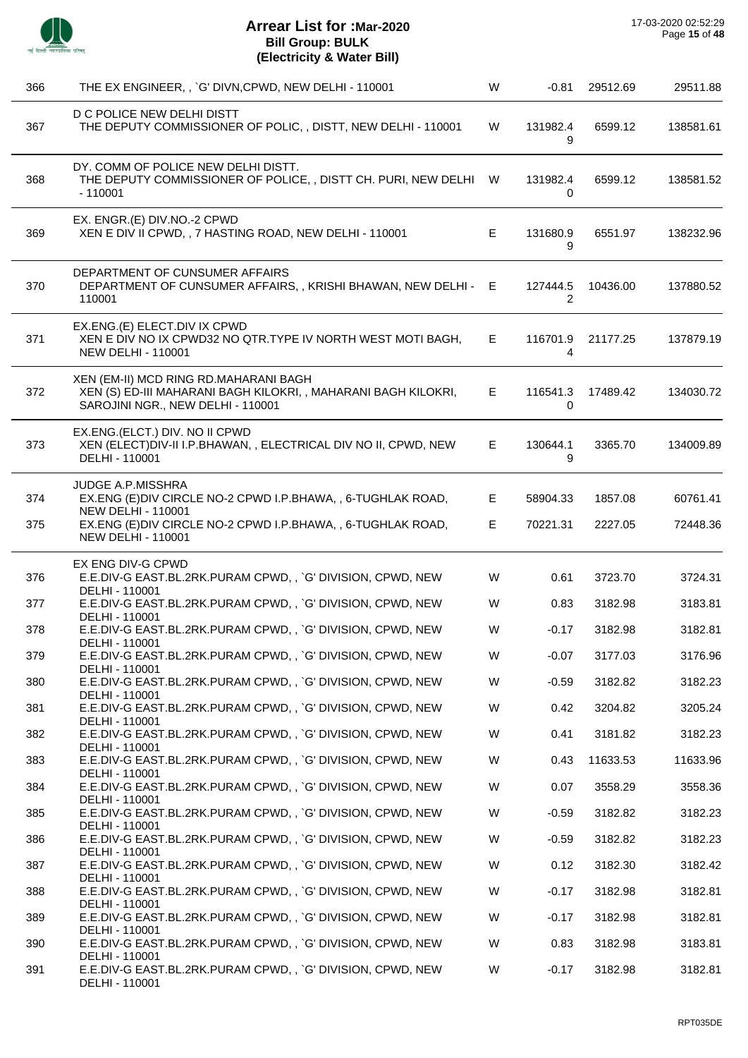

| 366 | THE EX ENGINEER, , `G' DIVN, CPWD, NEW DELHI - 110001                                                                                        | W  | $-0.81$       | 29512.69 | 29511.88  |
|-----|----------------------------------------------------------------------------------------------------------------------------------------------|----|---------------|----------|-----------|
| 367 | D C POLICE NEW DELHI DISTT<br>THE DEPUTY COMMISSIONER OF POLIC, , DISTT, NEW DELHI - 110001                                                  | W  | 131982.4<br>9 | 6599.12  | 138581.61 |
| 368 | DY. COMM OF POLICE NEW DELHI DISTT.<br>THE DEPUTY COMMISSIONER OF POLICE, , DISTT CH. PURI, NEW DELHI W<br>$-110001$                         |    | 131982.4<br>0 | 6599.12  | 138581.52 |
| 369 | EX. ENGR.(E) DIV.NO.-2 CPWD<br>XEN E DIV II CPWD, , 7 HASTING ROAD, NEW DELHI - 110001                                                       | Е  | 131680.9<br>9 | 6551.97  | 138232.96 |
| 370 | DEPARTMENT OF CUNSUMER AFFAIRS<br>DEPARTMENT OF CUNSUMER AFFAIRS, , KRISHI BHAWAN, NEW DELHI - E<br>110001                                   |    | 127444.5<br>2 | 10436.00 | 137880.52 |
| 371 | EX.ENG.(E) ELECT.DIV IX CPWD<br>XEN E DIV NO IX CPWD32 NO QTR.TYPE IV NORTH WEST MOTI BAGH.<br><b>NEW DELHI - 110001</b>                     | Е  | 116701.9<br>4 | 21177.25 | 137879.19 |
| 372 | XEN (EM-II) MCD RING RD.MAHARANI BAGH<br>XEN (S) ED-III MAHARANI BAGH KILOKRI, , MAHARANI BAGH KILOKRI,<br>SAROJINI NGR., NEW DELHI - 110001 | E. | 116541.3<br>0 | 17489.42 | 134030.72 |
| 373 | EX.ENG.(ELCT.) DIV. NO II CPWD<br>XEN (ELECT) DIV-II I.P.BHAWAN, , ELECTRICAL DIV NO II, CPWD, NEW<br>DELHI - 110001                         | Е  | 130644.1<br>9 | 3365.70  | 134009.89 |
| 374 | <b>JUDGE A.P.MISSHRA</b><br>EX.ENG (E) DIV CIRCLE NO-2 CPWD I.P.BHAWA, , 6-TUGHLAK ROAD,<br><b>NEW DELHI - 110001</b>                        | E  | 58904.33      | 1857.08  | 60761.41  |
| 375 | EX.ENG (E) DIV CIRCLE NO-2 CPWD I.P.BHAWA, , 6-TUGHLAK ROAD,<br><b>NEW DELHI - 110001</b>                                                    | Е  | 70221.31      | 2227.05  | 72448.36  |
|     | EX ENG DIV-G CPWD                                                                                                                            |    |               |          |           |
| 376 | E.E.DIV-G EAST.BL.2RK.PURAM CPWD,, `G' DIVISION, CPWD, NEW<br>DELHI - 110001                                                                 | W  | 0.61          | 3723.70  | 3724.31   |
| 377 | E.E.DIV-G EAST.BL.2RK.PURAM CPWD,, `G' DIVISION, CPWD, NEW<br>DELHI - 110001                                                                 | W  | 0.83          | 3182.98  | 3183.81   |
| 378 | E.E.DIV-G EAST.BL.2RK.PURAM CPWD,, `G' DIVISION, CPWD, NEW                                                                                   | W  | $-0.17$       | 3182.98  | 3182.81   |
| 379 | DELHI - 110001<br>E.E.DIV-G EAST.BL.2RK.PURAM CPWD,, `G' DIVISION, CPWD, NEW                                                                 | W  | $-0.07$       | 3177.03  | 3176.96   |
| 380 | DELHI - 110001<br>E.E.DIV-G EAST.BL.2RK.PURAM CPWD,, `G' DIVISION, CPWD, NEW                                                                 | W  | $-0.59$       | 3182.82  | 3182.23   |
| 381 | DELHI - 110001<br>E.E.DIV-G EAST.BL.2RK.PURAM CPWD,, `G' DIVISION, CPWD, NEW                                                                 | W  | 0.42          | 3204.82  | 3205.24   |
| 382 | DELHI - 110001<br>E.E.DIV-G EAST.BL.2RK.PURAM CPWD,, `G' DIVISION, CPWD, NEW                                                                 | W  | 0.41          | 3181.82  | 3182.23   |
| 383 | DELHI - 110001<br>E.E.DIV-G EAST.BL.2RK.PURAM CPWD,, `G' DIVISION, CPWD, NEW                                                                 | W  | 0.43          | 11633.53 | 11633.96  |
| 384 | DELHI - 110001<br>E.E.DIV-G EAST.BL.2RK.PURAM CPWD,, `G' DIVISION, CPWD, NEW                                                                 | W  | 0.07          | 3558.29  | 3558.36   |
| 385 | DELHI - 110001<br>E.E.DIV-G EAST.BL.2RK.PURAM CPWD,, `G' DIVISION, CPWD, NEW                                                                 | W  | $-0.59$       | 3182.82  | 3182.23   |
| 386 | DELHI - 110001<br>E.E.DIV-G EAST.BL.2RK.PURAM CPWD,, `G' DIVISION, CPWD, NEW                                                                 | W  | $-0.59$       | 3182.82  | 3182.23   |
|     | DELHI - 110001                                                                                                                               |    |               |          |           |
| 387 | E.E.DIV-G EAST.BL.2RK.PURAM CPWD,, `G' DIVISION, CPWD, NEW<br>DELHI - 110001                                                                 | W  | 0.12          | 3182.30  | 3182.42   |
| 388 | E.E.DIV-G EAST.BL.2RK.PURAM CPWD,, `G' DIVISION, CPWD, NEW<br>DELHI - 110001                                                                 | W  | $-0.17$       | 3182.98  | 3182.81   |
| 389 | E.E.DIV-G EAST.BL.2RK.PURAM CPWD,, `G' DIVISION, CPWD, NEW<br>DELHI - 110001                                                                 | W  | $-0.17$       | 3182.98  | 3182.81   |
| 390 | E.E.DIV-G EAST.BL.2RK.PURAM CPWD,, `G' DIVISION, CPWD, NEW<br>DELHI - 110001                                                                 | W  | 0.83          | 3182.98  | 3183.81   |
| 391 | E.E.DIV-G EAST.BL.2RK.PURAM CPWD,, `G' DIVISION, CPWD, NEW<br>DELHI - 110001                                                                 | W  | $-0.17$       | 3182.98  | 3182.81   |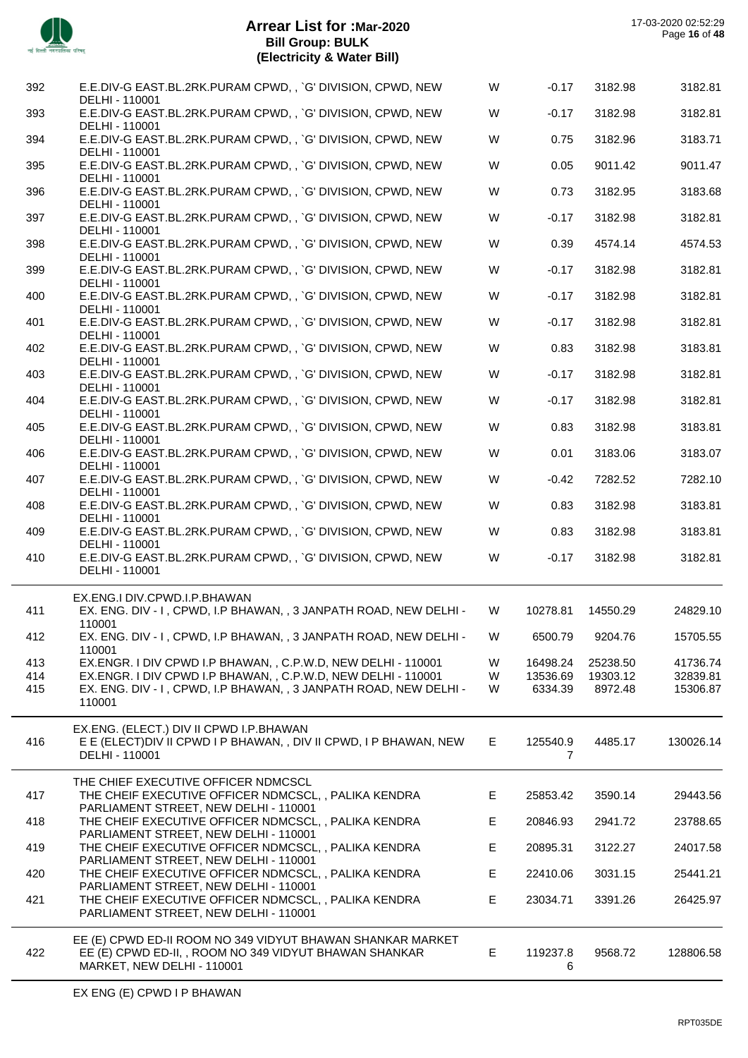

 $\sim$ 

| 392        | E.E.DIV-G EAST.BL.2RK.PURAM CPWD,, `G' DIVISION, CPWD, NEW                                                                     | W      | $-0.17$              | 3182.98             | 3182.81              |
|------------|--------------------------------------------------------------------------------------------------------------------------------|--------|----------------------|---------------------|----------------------|
| 393        | DELHI - 110001<br>E.E.DIV-G EAST.BL.2RK.PURAM CPWD,, `G' DIVISION, CPWD, NEW                                                   | W      | $-0.17$              | 3182.98             | 3182.81              |
| 394        | DELHI - 110001<br>E.E.DIV-G EAST.BL.2RK.PURAM CPWD,, `G' DIVISION, CPWD, NEW                                                   | W      | 0.75                 | 3182.96             | 3183.71              |
| 395        | DELHI - 110001<br>E.E.DIV-G EAST.BL.2RK.PURAM CPWD,, `G' DIVISION, CPWD, NEW                                                   | W      | 0.05                 | 9011.42             | 9011.47              |
| 396        | DELHI - 110001<br>E.E.DIV-G EAST.BL.2RK.PURAM CPWD,, `G' DIVISION, CPWD, NEW                                                   | W      | 0.73                 | 3182.95             | 3183.68              |
| 397        | DELHI - 110001<br>E.E.DIV-G EAST.BL.2RK.PURAM CPWD,, `G' DIVISION, CPWD, NEW                                                   | W      | $-0.17$              | 3182.98             | 3182.81              |
| 398        | DELHI - 110001<br>E.E.DIV-G EAST.BL.2RK.PURAM CPWD,, `G' DIVISION, CPWD, NEW                                                   | W      | 0.39                 | 4574.14             | 4574.53              |
| 399        | DELHI - 110001<br>E.E.DIV-G EAST.BL.2RK.PURAM CPWD,, `G' DIVISION, CPWD, NEW                                                   | W      | $-0.17$              | 3182.98             | 3182.81              |
| 400        | DELHI - 110001<br>E.E.DIV-G EAST.BL.2RK.PURAM CPWD,, `G' DIVISION, CPWD, NEW                                                   | W      | $-0.17$              | 3182.98             | 3182.81              |
| 401        | DELHI - 110001<br>E.E.DIV-G EAST.BL.2RK.PURAM CPWD,, `G' DIVISION, CPWD, NEW                                                   | W      | $-0.17$              | 3182.98             | 3182.81              |
| 402        | DELHI - 110001<br>E.E.DIV-G EAST.BL.2RK.PURAM CPWD,, `G' DIVISION, CPWD, NEW                                                   | W      | 0.83                 | 3182.98             | 3183.81              |
| 403        | DELHI - 110001<br>E.E.DIV-G EAST.BL.2RK.PURAM CPWD,, `G' DIVISION, CPWD, NEW                                                   | W      | $-0.17$              | 3182.98             | 3182.81              |
|            | DELHI - 110001                                                                                                                 |        |                      |                     |                      |
| 404        | E.E.DIV-G EAST.BL.2RK.PURAM CPWD,, `G' DIVISION, CPWD, NEW<br>DELHI - 110001                                                   | W      | $-0.17$              | 3182.98             | 3182.81              |
| 405        | E.E.DIV-G EAST.BL.2RK.PURAM CPWD,, `G' DIVISION, CPWD, NEW<br>DELHI - 110001                                                   | W      | 0.83                 | 3182.98             | 3183.81              |
| 406        | E.E.DIV-G EAST.BL.2RK.PURAM CPWD,, `G' DIVISION, CPWD, NEW<br>DELHI - 110001                                                   | W      | 0.01                 | 3183.06             | 3183.07              |
| 407        | E.E.DIV-G EAST.BL.2RK.PURAM CPWD,, `G' DIVISION, CPWD, NEW<br>DELHI - 110001                                                   | W      | $-0.42$              | 7282.52             | 7282.10              |
| 408        | E.E.DIV-G EAST.BL.2RK.PURAM CPWD,, `G' DIVISION, CPWD, NEW<br>DELHI - 110001                                                   | W      | 0.83                 | 3182.98             | 3183.81              |
| 409        | E.E.DIV-G EAST.BL.2RK.PURAM CPWD,, `G' DIVISION, CPWD, NEW<br>DELHI - 110001                                                   | W      | 0.83                 | 3182.98             | 3183.81              |
| 410        | E.E.DIV-G EAST.BL.2RK.PURAM CPWD,, `G' DIVISION, CPWD, NEW<br>DELHI - 110001                                                   | W      | $-0.17$              | 3182.98             | 3182.81              |
|            | EX.ENG.I DIV.CPWD.I.P.BHAWAN                                                                                                   |        |                      |                     |                      |
| 411        | EX. ENG. DIV - I, CPWD, I.P BHAWAN, , 3 JANPATH ROAD, NEW DELHI -<br>110001                                                    | W      | 10278.81             | 14550.29            | 24829.10             |
| 412        | EX. ENG. DIV - I, CPWD, I.P BHAWAN, , 3 JANPATH ROAD, NEW DELHI -<br>110001                                                    | W      | 6500.79              | 9204.76             | 15705.55             |
| 413        | EX.ENGR. I DIV CPWD I.P BHAWAN, , C.P.W.D, NEW DELHI - 110001<br>EX.ENGR. I DIV CPWD I.P BHAWAN, , C.P.W.D, NEW DELHI - 110001 | W<br>W | 16498.24<br>13536.69 | 25238.50            | 41736.74<br>32839.81 |
| 414<br>415 | EX. ENG. DIV - I, CPWD, I.P BHAWAN, , 3 JANPATH ROAD, NEW DELHI -                                                              | W      | 6334.39              | 19303.12<br>8972.48 | 15306.87             |
|            | 110001                                                                                                                         |        |                      |                     |                      |
| 416        | EX.ENG. (ELECT.) DIV II CPWD I.P.BHAWAN<br>E E (ELECT) DIV II CPWD I P BHAWAN, , DIV II CPWD, I P BHAWAN, NEW                  | E.     |                      | 4485.17             | 130026.14            |
|            | DELHI - 110001                                                                                                                 |        | 125540.9<br>7        |                     |                      |
|            | THE CHIEF EXECUTIVE OFFICER NDMCSCL                                                                                            |        |                      |                     |                      |
| 417        | THE CHEIF EXECUTIVE OFFICER NDMCSCL, , PALIKA KENDRA<br>PARLIAMENT STREET, NEW DELHI - 110001                                  | Е      | 25853.42             | 3590.14             | 29443.56             |
| 418        | THE CHEIF EXECUTIVE OFFICER NDMCSCL, , PALIKA KENDRA<br>PARLIAMENT STREET, NEW DELHI - 110001                                  | E      | 20846.93             | 2941.72             | 23788.65             |
| 419        | THE CHEIF EXECUTIVE OFFICER NDMCSCL, , PALIKA KENDRA<br>PARLIAMENT STREET, NEW DELHI - 110001                                  | E      | 20895.31             | 3122.27             | 24017.58             |
| 420        | THE CHEIF EXECUTIVE OFFICER NDMCSCL,, PALIKA KENDRA<br>PARLIAMENT STREET, NEW DELHI - 110001                                   | E      | 22410.06             | 3031.15             | 25441.21             |
| 421        | THE CHEIF EXECUTIVE OFFICER NDMCSCL,, PALIKA KENDRA<br>PARLIAMENT STREET, NEW DELHI - 110001                                   | E      | 23034.71             | 3391.26             | 26425.97             |
|            | EE (E) CPWD ED-II ROOM NO 349 VIDYUT BHAWAN SHANKAR MARKET                                                                     |        |                      |                     |                      |
| 422        | EE (E) CPWD ED-II, , ROOM NO 349 VIDYUT BHAWAN SHANKAR<br>MARKET, NEW DELHI - 110001                                           | Е      | 119237.8<br>6        | 9568.72             | 128806.58            |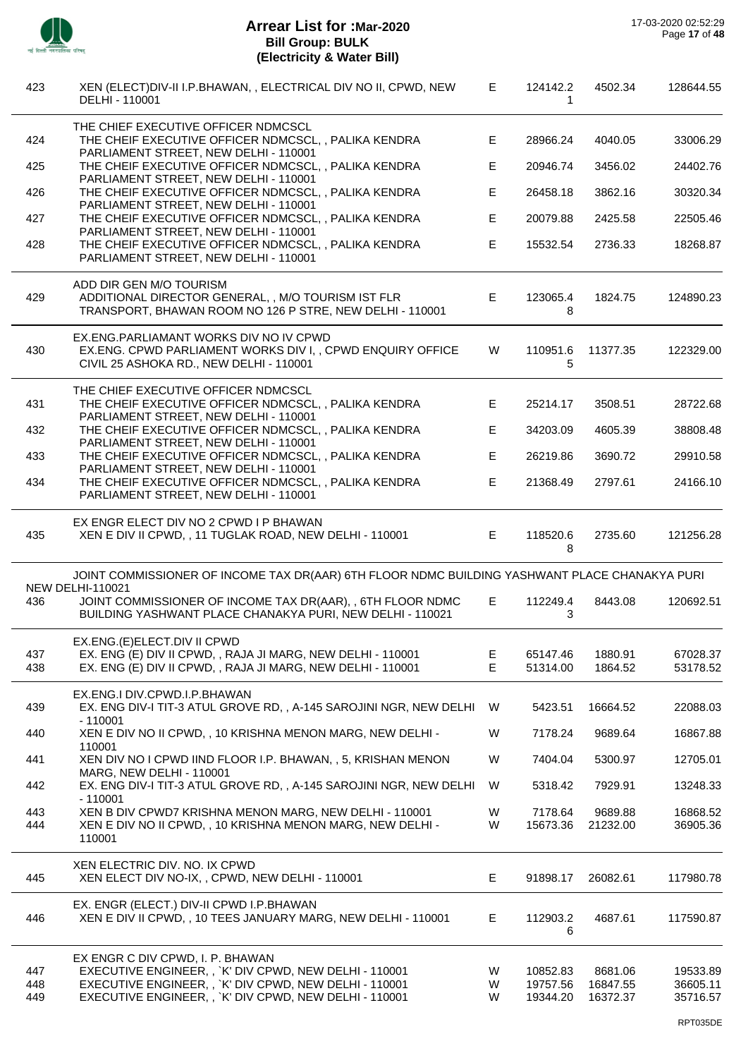

| 423               | XEN (ELECT) DIV-II I.P.BHAWAN, , ELECTRICAL DIV NO II, CPWD, NEW<br>DELHI - 110001                                                                                                                             | E.          | 124142.2<br>1                    | 4502.34                         | 128644.55                        |
|-------------------|----------------------------------------------------------------------------------------------------------------------------------------------------------------------------------------------------------------|-------------|----------------------------------|---------------------------------|----------------------------------|
| 424               | THE CHIEF EXECUTIVE OFFICER NDMCSCL<br>THE CHEIF EXECUTIVE OFFICER NDMCSCL, , PALIKA KENDRA                                                                                                                    | E           | 28966.24                         | 4040.05                         | 33006.29                         |
| 425               | PARLIAMENT STREET, NEW DELHI - 110001<br>THE CHEIF EXECUTIVE OFFICER NDMCSCL, , PALIKA KENDRA                                                                                                                  | Е           | 20946.74                         | 3456.02                         | 24402.76                         |
| 426               | PARLIAMENT STREET, NEW DELHI - 110001<br>THE CHEIF EXECUTIVE OFFICER NDMCSCL, , PALIKA KENDRA<br>PARLIAMENT STREET, NEW DELHI - 110001                                                                         | Е           | 26458.18                         | 3862.16                         | 30320.34                         |
| 427               | THE CHEIF EXECUTIVE OFFICER NDMCSCL, , PALIKA KENDRA                                                                                                                                                           | E           | 20079.88                         | 2425.58                         | 22505.46                         |
| 428               | PARLIAMENT STREET, NEW DELHI - 110001<br>THE CHEIF EXECUTIVE OFFICER NDMCSCL, , PALIKA KENDRA<br>PARLIAMENT STREET, NEW DELHI - 110001                                                                         | E           | 15532.54                         | 2736.33                         | 18268.87                         |
| 429               | ADD DIR GEN M/O TOURISM<br>ADDITIONAL DIRECTOR GENERAL, , M/O TOURISM IST FLR<br>TRANSPORT, BHAWAN ROOM NO 126 P STRE, NEW DELHI - 110001                                                                      | E           | 123065.4<br>8                    | 1824.75                         | 124890.23                        |
| 430               | EX.ENG.PARLIAMANT WORKS DIV NO IV CPWD<br>EX.ENG. CPWD PARLIAMENT WORKS DIV I, , CPWD ENQUIRY OFFICE<br>CIVIL 25 ASHOKA RD., NEW DELHI - 110001                                                                | W           | 110951.6<br>5                    | 11377.35                        | 122329.00                        |
| 431               | THE CHIEF EXECUTIVE OFFICER NDMCSCL<br>THE CHEIF EXECUTIVE OFFICER NDMCSCL, , PALIKA KENDRA                                                                                                                    | E           | 25214.17                         | 3508.51                         | 28722.68                         |
| 432               | PARLIAMENT STREET, NEW DELHI - 110001<br>THE CHEIF EXECUTIVE OFFICER NDMCSCL, , PALIKA KENDRA                                                                                                                  | E           | 34203.09                         | 4605.39                         | 38808.48                         |
| 433               | PARLIAMENT STREET, NEW DELHI - 110001<br>THE CHEIF EXECUTIVE OFFICER NDMCSCL, , PALIKA KENDRA                                                                                                                  | Е           | 26219.86                         | 3690.72                         | 29910.58                         |
| 434               | PARLIAMENT STREET, NEW DELHI - 110001<br>THE CHEIF EXECUTIVE OFFICER NDMCSCL, , PALIKA KENDRA<br>PARLIAMENT STREET, NEW DELHI - 110001                                                                         | E           | 21368.49                         | 2797.61                         | 24166.10                         |
| 435               | EX ENGR ELECT DIV NO 2 CPWD I P BHAWAN<br>XEN E DIV II CPWD, , 11 TUGLAK ROAD, NEW DELHI - 110001                                                                                                              | E           | 118520.6<br>8                    | 2735.60                         | 121256.28                        |
|                   | JOINT COMMISSIONER OF INCOME TAX DR(AAR) 6TH FLOOR NDMC BUILDING YASHWANT PLACE CHANAKYA PURI<br><b>NEW DELHI-110021</b>                                                                                       |             |                                  |                                 |                                  |
| 436               | JOINT COMMISSIONER OF INCOME TAX DR(AAR), , 6TH FLOOR NDMC<br>BUILDING YASHWANT PLACE CHANAKYA PURI, NEW DELHI - 110021                                                                                        | E           | 112249.4<br>3                    | 8443.08                         | 120692.51                        |
| 437<br>438        | EX.ENG.(E)ELECT.DIV II CPWD<br>EX. ENG (E) DIV II CPWD, , RAJA JI MARG, NEW DELHI - 110001<br>EX. ENG (E) DIV II CPWD, , RAJA JI MARG, NEW DELHI - 110001                                                      | Е<br>E      | 65147.46<br>51314.00             | 1880.91<br>1864.52              | 67028.37<br>53178.52             |
| 439               | EX.ENG.I DIV.CPWD.I.P.BHAWAN<br>EX. ENG DIV-I TIT-3 ATUL GROVE RD,, A-145 SAROJINI NGR, NEW DELHI W                                                                                                            |             | 5423.51                          | 16664.52                        | 22088.03                         |
| 440               | $-110001$<br>XEN E DIV NO II CPWD, , 10 KRISHNA MENON MARG, NEW DELHI -                                                                                                                                        | W           | 7178.24                          | 9689.64                         | 16867.88                         |
| 441               | 110001<br>XEN DIV NO I CPWD IIND FLOOR I.P. BHAWAN, , 5, KRISHAN MENON                                                                                                                                         | W           | 7404.04                          | 5300.97                         | 12705.01                         |
| 442               | MARG, NEW DELHI - 110001<br>EX. ENG DIV-I TIT-3 ATUL GROVE RD, , A-145 SAROJINI NGR, NEW DELHI                                                                                                                 | W           | 5318.42                          | 7929.91                         | 13248.33                         |
| 443<br>444        | $-110001$<br>XEN B DIV CPWD7 KRISHNA MENON MARG, NEW DELHI - 110001<br>XEN E DIV NO II CPWD, , 10 KRISHNA MENON MARG, NEW DELHI -<br>110001                                                                    | W<br>W      | 7178.64<br>15673.36              | 9689.88<br>21232.00             | 16868.52<br>36905.36             |
| 445               | XEN ELECTRIC DIV. NO. IX CPWD<br>XEN ELECT DIV NO-IX, , CPWD, NEW DELHI - 110001                                                                                                                               | Е           | 91898.17                         | 26082.61                        | 117980.78                        |
| 446               | EX. ENGR (ELECT.) DIV-II CPWD I.P.BHAWAN<br>XEN E DIV II CPWD, , 10 TEES JANUARY MARG, NEW DELHI - 110001                                                                                                      | Е           | 112903.2<br>6                    | 4687.61                         | 117590.87                        |
| 447<br>448<br>449 | EX ENGR C DIV CPWD, I. P. BHAWAN<br>EXECUTIVE ENGINEER, , `K' DIV CPWD, NEW DELHI - 110001<br>EXECUTIVE ENGINEER, , `K' DIV CPWD, NEW DELHI - 110001<br>EXECUTIVE ENGINEER, , `K' DIV CPWD, NEW DELHI - 110001 | W<br>W<br>W | 10852.83<br>19757.56<br>19344.20 | 8681.06<br>16847.55<br>16372.37 | 19533.89<br>36605.11<br>35716.57 |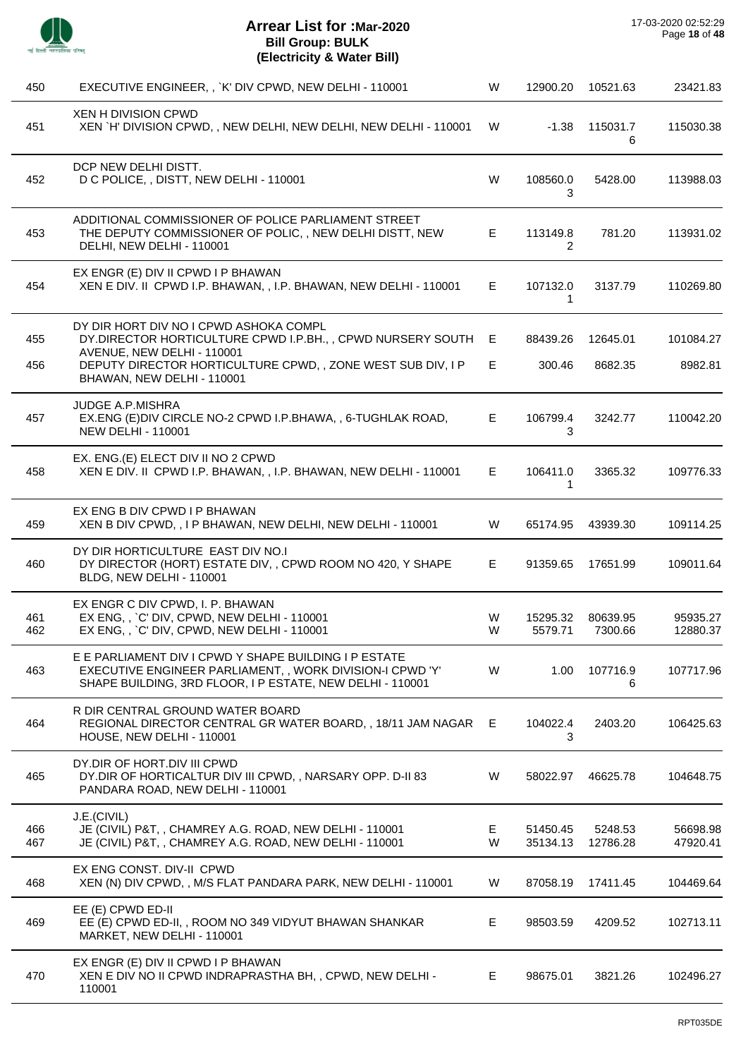

| 450        | EXECUTIVE ENGINEER, , `K' DIV CPWD, NEW DELHI - 110001                                                                                                                         | W       | 12900.20             | 10521.63            | 23421.83             |
|------------|--------------------------------------------------------------------------------------------------------------------------------------------------------------------------------|---------|----------------------|---------------------|----------------------|
| 451        | <b>XEN H DIVISION CPWD</b><br>XEN `H' DIVISION CPWD, , NEW DELHI, NEW DELHI, NEW DELHI - 110001                                                                                | W       | $-1.38$              | 115031.7<br>6       | 115030.38            |
| 452        | DCP NEW DELHI DISTT.<br>D C POLICE, , DISTT, NEW DELHI - 110001                                                                                                                | W       | 108560.0<br>3        | 5428.00             | 113988.03            |
| 453        | ADDITIONAL COMMISSIONER OF POLICE PARLIAMENT STREET<br>THE DEPUTY COMMISSIONER OF POLIC, , NEW DELHI DISTT, NEW<br>DELHI, NEW DELHI - 110001                                   | E.      | 113149.8<br>2        | 781.20              | 113931.02            |
| 454        | EX ENGR (E) DIV II CPWD I P BHAWAN<br>XEN E DIV. II CPWD I.P. BHAWAN, , I.P. BHAWAN, NEW DELHI - 110001                                                                        | E.      | 107132.0<br>1        | 3137.79             | 110269.80            |
| 455        | DY DIR HORT DIV NO I CPWD ASHOKA COMPL<br>DY.DIRECTOR HORTICULTURE CPWD I.P.BH., , CPWD NURSERY SOUTH                                                                          | E       | 88439.26             | 12645.01            | 101084.27            |
| 456        | AVENUE, NEW DELHI - 110001<br>DEPUTY DIRECTOR HORTICULTURE CPWD,, ZONE WEST SUB DIV, I P<br>BHAWAN, NEW DELHI - 110001                                                         | E       | 300.46               | 8682.35             | 8982.81              |
| 457        | <b>JUDGE A.P.MISHRA</b><br>EX.ENG (E)DIV CIRCLE NO-2 CPWD I.P.BHAWA,, 6-TUGHLAK ROAD,<br><b>NEW DELHI - 110001</b>                                                             | E       | 106799.4<br>3        | 3242.77             | 110042.20            |
| 458        | EX. ENG.(E) ELECT DIV II NO 2 CPWD<br>XEN E DIV. II CPWD I.P. BHAWAN, , I.P. BHAWAN, NEW DELHI - 110001                                                                        | E.      | 106411.0<br>1        | 3365.32             | 109776.33            |
| 459        | EX ENG B DIV CPWD I P BHAWAN<br>XEN B DIV CPWD, , I P BHAWAN, NEW DELHI, NEW DELHI - 110001                                                                                    | W       | 65174.95             | 43939.30            | 109114.25            |
| 460        | DY DIR HORTICULTURE EAST DIV NO.I<br>DY DIRECTOR (HORT) ESTATE DIV, , CPWD ROOM NO 420, Y SHAPE<br>BLDG, NEW DELHI - 110001                                                    | E       | 91359.65             | 17651.99            | 109011.64            |
| 461<br>462 | EX ENGR C DIV CPWD, I. P. BHAWAN<br>EX ENG, , `C' DIV, CPWD, NEW DELHI - 110001<br>EX ENG, , `C' DIV, CPWD, NEW DELHI - 110001                                                 | W<br>W  | 15295.32<br>5579.71  | 80639.95<br>7300.66 | 95935.27<br>12880.37 |
| 463        | E E PARLIAMENT DIV I CPWD Y SHAPE BUILDING I P ESTATE<br>EXECUTIVE ENGINEER PARLIAMENT,, WORK DIVISION-I CPWD 'Y'<br>SHAPE BUILDING, 3RD FLOOR, I P ESTATE, NEW DELHI - 110001 | W       | 1.00                 | 107716.9<br>6       | 107717.96            |
| 464        | R DIR CENTRAL GROUND WATER BOARD<br>REGIONAL DIRECTOR CENTRAL GR WATER BOARD,, 18/11 JAM NAGAR<br>HOUSE, NEW DELHI - 110001                                                    | E       | 104022.4<br>3        | 2403.20             | 106425.63            |
| 465        | DY.DIR OF HORT.DIV III CPWD<br>DY.DIR OF HORTICALTUR DIV III CPWD, , NARSARY OPP. D-II 83<br>PANDARA ROAD, NEW DELHI - 110001                                                  | W       | 58022.97             | 46625.78            | 104648.75            |
| 466<br>467 | J.E.(CIVIL)<br>JE (CIVIL) P&T, , CHAMREY A.G. ROAD, NEW DELHI - 110001<br>JE (CIVIL) P&T, , CHAMREY A.G. ROAD, NEW DELHI - 110001                                              | Е.<br>W | 51450.45<br>35134.13 | 5248.53<br>12786.28 | 56698.98<br>47920.41 |
| 468        | EX ENG CONST. DIV-II CPWD<br>XEN (N) DIV CPWD, , M/S FLAT PANDARA PARK, NEW DELHI - 110001                                                                                     | W       | 87058.19             | 17411.45            | 104469.64            |
| 469        | EE (E) CPWD ED-II<br>EE (E) CPWD ED-II,, ROOM NO 349 VIDYUT BHAWAN SHANKAR<br>MARKET, NEW DELHI - 110001                                                                       | E       | 98503.59             | 4209.52             | 102713.11            |
| 470        | EX ENGR (E) DIV II CPWD I P BHAWAN<br>XEN E DIV NO II CPWD INDRAPRASTHA BH, , CPWD, NEW DELHI -<br>110001                                                                      | E.      | 98675.01             | 3821.26             | 102496.27            |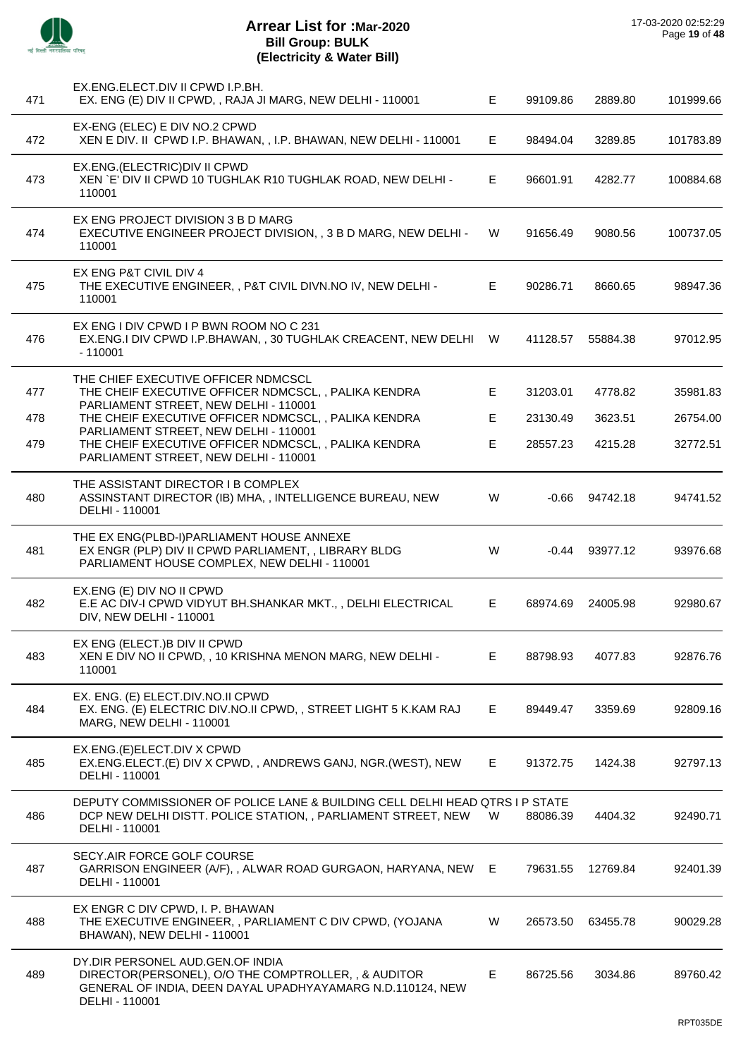

| 471 | EX.ENG.ELECT.DIV II CPWD I.P.BH.<br>EX. ENG (E) DIV II CPWD, , RAJA JI MARG, NEW DELHI - 110001                                                                          | E  | 99109.86 | 2889.80          | 101999.66 |
|-----|--------------------------------------------------------------------------------------------------------------------------------------------------------------------------|----|----------|------------------|-----------|
| 472 | EX-ENG (ELEC) E DIV NO.2 CPWD<br>XEN E DIV. II CPWD I.P. BHAWAN, , I.P. BHAWAN, NEW DELHI - 110001                                                                       | E. | 98494.04 | 3289.85          | 101783.89 |
| 473 | EX.ENG.(ELECTRIC) DIV II CPWD<br>XEN `E' DIV II CPWD 10 TUGHLAK R10 TUGHLAK ROAD, NEW DELHI -<br>110001                                                                  | Е  | 96601.91 | 4282.77          | 100884.68 |
| 474 | EX ENG PROJECT DIVISION 3 B D MARG<br>EXECUTIVE ENGINEER PROJECT DIVISION, , 3 B D MARG, NEW DELHI -<br>110001                                                           | W  | 91656.49 | 9080.56          | 100737.05 |
| 475 | EX ENG P&T CIVIL DIV 4<br>THE EXECUTIVE ENGINEER, , P&T CIVIL DIVN.NO IV, NEW DELHI -<br>110001                                                                          | Е  | 90286.71 | 8660.65          | 98947.36  |
| 476 | EX ENG I DIV CPWD I P BWN ROOM NO C 231<br>EX.ENG.I DIV CPWD I.P.BHAWAN,, 30 TUGHLAK CREACENT, NEW DELHI W<br>$-110001$                                                  |    | 41128.57 | 55884.38         | 97012.95  |
| 477 | THE CHIEF EXECUTIVE OFFICER NDMCSCL<br>THE CHEIF EXECUTIVE OFFICER NDMCSCL, , PALIKA KENDRA                                                                              | E  | 31203.01 | 4778.82          | 35981.83  |
| 478 | PARLIAMENT STREET, NEW DELHI - 110001<br>THE CHEIF EXECUTIVE OFFICER NDMCSCL, , PALIKA KENDRA                                                                            | E  | 23130.49 | 3623.51          | 26754.00  |
| 479 | PARLIAMENT STREET, NEW DELHI - 110001<br>THE CHEIF EXECUTIVE OFFICER NDMCSCL, , PALIKA KENDRA<br>PARLIAMENT STREET, NEW DELHI - 110001                                   | E  | 28557.23 | 4215.28          | 32772.51  |
| 480 | THE ASSISTANT DIRECTOR I B COMPLEX<br>ASSINSTANT DIRECTOR (IB) MHA, , INTELLIGENCE BUREAU, NEW<br>DELHI - 110001                                                         | W  |          | $-0.66$ 94742.18 | 94741.52  |
| 481 | THE EX ENG(PLBD-I)PARLIAMENT HOUSE ANNEXE<br>EX ENGR (PLP) DIV II CPWD PARLIAMENT, , LIBRARY BLDG<br>PARLIAMENT HOUSE COMPLEX, NEW DELHI - 110001                        | W  | $-0.44$  | 93977.12         | 93976.68  |
| 482 | EX.ENG (E) DIV NO II CPWD<br>E.E AC DIV-I CPWD VIDYUT BH.SHANKAR MKT.,, DELHI ELECTRICAL<br>DIV, NEW DELHI - 110001                                                      | Е  | 68974.69 | 24005.98         | 92980.67  |
| 483 | EX ENG (ELECT.) B DIV II CPWD<br>XEN E DIV NO II CPWD, , 10 KRISHNA MENON MARG, NEW DELHI -<br>110001                                                                    | Е  | 88798.93 | 4077.83          | 92876.76  |
| 484 | EX. ENG. (E) ELECT.DIV.NO.II CPWD<br>EX. ENG. (E) ELECTRIC DIV.NO.II CPWD,, STREET LIGHT 5 K.KAM RAJ<br><b>MARG, NEW DELHI - 110001</b>                                  | Е  | 89449.47 | 3359.69          | 92809.16  |
| 485 | EX.ENG.(E)ELECT.DIV X CPWD<br>EX.ENG.ELECT.(E) DIV X CPWD,, ANDREWS GANJ, NGR.(WEST), NEW<br>DELHI - 110001                                                              | E. | 91372.75 | 1424.38          | 92797.13  |
| 486 | DEPUTY COMMISSIONER OF POLICE LANE & BUILDING CELL DELHI HEAD QTRS I P STATE<br>DCP NEW DELHI DISTT. POLICE STATION, , PARLIAMENT STREET, NEW<br>DELHI - 110001          | W  | 88086.39 | 4404.32          | 92490.71  |
| 487 | SECY.AIR FORCE GOLF COURSE<br>GARRISON ENGINEER (A/F), , ALWAR ROAD GURGAON, HARYANA, NEW<br>DELHI - 110001                                                              | E. | 79631.55 | 12769.84         | 92401.39  |
| 488 | EX ENGR C DIV CPWD, I. P. BHAWAN<br>THE EXECUTIVE ENGINEER, , PARLIAMENT C DIV CPWD, (YOJANA<br>BHAWAN), NEW DELHI - 110001                                              | W  | 26573.50 | 63455.78         | 90029.28  |
| 489 | DY.DIR PERSONEL AUD.GEN.OF INDIA<br>DIRECTOR(PERSONEL), O/O THE COMPTROLLER, , & AUDITOR<br>GENERAL OF INDIA, DEEN DAYAL UPADHYAYAMARG N.D.110124, NEW<br>DELHI - 110001 | Е  | 86725.56 | 3034.86          | 89760.42  |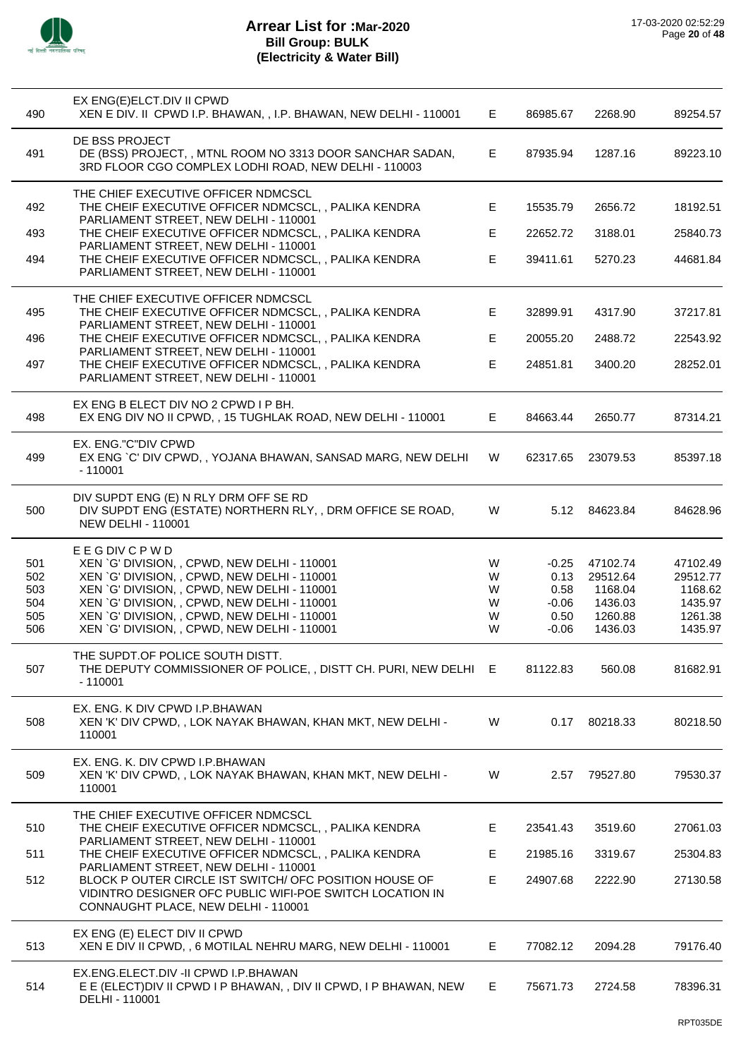

| 490                                    | EX ENG(E)ELCT.DIV II CPWD<br>XEN E DIV. II CPWD I.P. BHAWAN, , I.P. BHAWAN, NEW DELHI - 110001                                                                                                                                                                                                                    | Е                          | 86985.67                                              | 2268.90                                                          | 89254.57                                                         |
|----------------------------------------|-------------------------------------------------------------------------------------------------------------------------------------------------------------------------------------------------------------------------------------------------------------------------------------------------------------------|----------------------------|-------------------------------------------------------|------------------------------------------------------------------|------------------------------------------------------------------|
| 491                                    | DE BSS PROJECT<br>DE (BSS) PROJECT, , MTNL ROOM NO 3313 DOOR SANCHAR SADAN,<br>3RD FLOOR CGO COMPLEX LODHI ROAD, NEW DELHI - 110003                                                                                                                                                                               | E.                         | 87935.94                                              | 1287.16                                                          | 89223.10                                                         |
| 492                                    | THE CHIEF EXECUTIVE OFFICER NDMCSCL<br>THE CHEIF EXECUTIVE OFFICER NDMCSCL, , PALIKA KENDRA                                                                                                                                                                                                                       | E                          | 15535.79                                              | 2656.72                                                          | 18192.51                                                         |
| 493                                    | PARLIAMENT STREET, NEW DELHI - 110001<br>THE CHEIF EXECUTIVE OFFICER NDMCSCL, , PALIKA KENDRA                                                                                                                                                                                                                     | E                          | 22652.72                                              | 3188.01                                                          | 25840.73                                                         |
| 494                                    | PARLIAMENT STREET, NEW DELHI - 110001<br>THE CHEIF EXECUTIVE OFFICER NDMCSCL, , PALIKA KENDRA<br>PARLIAMENT STREET, NEW DELHI - 110001                                                                                                                                                                            | E                          | 39411.61                                              | 5270.23                                                          | 44681.84                                                         |
| 495                                    | THE CHIEF EXECUTIVE OFFICER NDMCSCL<br>THE CHEIF EXECUTIVE OFFICER NDMCSCL, , PALIKA KENDRA                                                                                                                                                                                                                       | E                          | 32899.91                                              | 4317.90                                                          | 37217.81                                                         |
| 496                                    | PARLIAMENT STREET, NEW DELHI - 110001<br>THE CHEIF EXECUTIVE OFFICER NDMCSCL, , PALIKA KENDRA                                                                                                                                                                                                                     | E                          | 20055.20                                              | 2488.72                                                          | 22543.92                                                         |
| 497                                    | PARLIAMENT STREET, NEW DELHI - 110001<br>THE CHEIF EXECUTIVE OFFICER NDMCSCL,, PALIKA KENDRA<br>PARLIAMENT STREET, NEW DELHI - 110001                                                                                                                                                                             | E                          | 24851.81                                              | 3400.20                                                          | 28252.01                                                         |
| 498                                    | EX ENG B ELECT DIV NO 2 CPWD I P BH.<br>EX ENG DIV NO II CPWD, , 15 TUGHLAK ROAD, NEW DELHI - 110001                                                                                                                                                                                                              | E                          | 84663.44                                              | 2650.77                                                          | 87314.21                                                         |
| 499                                    | EX. ENG."C"DIV CPWD<br>EX ENG `C' DIV CPWD,, YOJANA BHAWAN, SANSAD MARG, NEW DELHI<br>$-110001$                                                                                                                                                                                                                   | W                          | 62317.65                                              | 23079.53                                                         | 85397.18                                                         |
| 500                                    | DIV SUPDT ENG (E) N RLY DRM OFF SE RD<br>DIV SUPDT ENG (ESTATE) NORTHERN RLY, , DRM OFFICE SE ROAD,<br><b>NEW DELHI - 110001</b>                                                                                                                                                                                  | W                          |                                                       | 5.12 84623.84                                                    | 84628.96                                                         |
| 501<br>502<br>503<br>504<br>505<br>506 | <b>EEGDIVCPWD</b><br>XEN 'G' DIVISION, , CPWD, NEW DELHI - 110001<br>XEN `G' DIVISION, , CPWD, NEW DELHI - 110001<br>XEN `G' DIVISION, , CPWD, NEW DELHI - 110001<br>XEN 'G' DIVISION, , CPWD, NEW DELHI - 110001<br>XEN `G' DIVISION, , CPWD, NEW DELHI - 110001<br>XEN `G' DIVISION, , CPWD, NEW DELHI - 110001 | W<br>W<br>W<br>W<br>W<br>W | $-0.25$<br>0.13<br>0.58<br>$-0.06$<br>0.50<br>$-0.06$ | 47102.74<br>29512.64<br>1168.04<br>1436.03<br>1260.88<br>1436.03 | 47102.49<br>29512.77<br>1168.62<br>1435.97<br>1261.38<br>1435.97 |
| 507                                    | THE SUPDT.OF POLICE SOUTH DISTT.<br>THE DEPUTY COMMISSIONER OF POLICE, , DISTT CH. PURI, NEW DELHI E<br>$-110001$                                                                                                                                                                                                 |                            | 81122.83                                              | 560.08                                                           | 81682.91                                                         |
| 508                                    | EX. ENG. K DIV CPWD I.P.BHAWAN<br>XEN 'K' DIV CPWD, , LOK NAYAK BHAWAN, KHAN MKT, NEW DELHI -<br>110001                                                                                                                                                                                                           | W                          | 0.17                                                  | 80218.33                                                         | 80218.50                                                         |
| 509                                    | EX. ENG. K. DIV CPWD I.P. BHAWAN<br>XEN 'K' DIV CPWD, , LOK NAYAK BHAWAN, KHAN MKT, NEW DELHI -<br>110001                                                                                                                                                                                                         | W                          | 2.57                                                  | 79527.80                                                         | 79530.37                                                         |
| 510                                    | THE CHIEF EXECUTIVE OFFICER NDMCSCL<br>THE CHEIF EXECUTIVE OFFICER NDMCSCL, , PALIKA KENDRA                                                                                                                                                                                                                       | E.                         | 23541.43                                              | 3519.60                                                          | 27061.03                                                         |
| 511                                    | PARLIAMENT STREET, NEW DELHI - 110001<br>THE CHEIF EXECUTIVE OFFICER NDMCSCL, , PALIKA KENDRA                                                                                                                                                                                                                     | E                          | 21985.16                                              | 3319.67                                                          | 25304.83                                                         |
| 512                                    | PARLIAMENT STREET, NEW DELHI - 110001<br>BLOCK POUTER CIRCLE IST SWITCH/ OFC POSITION HOUSE OF<br>VIDINTRO DESIGNER OFC PUBLIC WIFI-POE SWITCH LOCATION IN<br>CONNAUGHT PLACE, NEW DELHI - 110001                                                                                                                 | E.                         | 24907.68                                              | 2222.90                                                          | 27130.58                                                         |
| 513                                    | EX ENG (E) ELECT DIV II CPWD<br>XEN E DIV II CPWD, , 6 MOTILAL NEHRU MARG, NEW DELHI - 110001                                                                                                                                                                                                                     | E.                         | 77082.12                                              | 2094.28                                                          | 79176.40                                                         |
| 514                                    | EX.ENG.ELECT.DIV -II CPWD I.P.BHAWAN<br>E E (ELECT) DIV II CPWD I P BHAWAN, , DIV II CPWD, I P BHAWAN, NEW<br>DELHI - 110001                                                                                                                                                                                      | E.                         | 75671.73                                              | 2724.58                                                          | 78396.31                                                         |
|                                        |                                                                                                                                                                                                                                                                                                                   |                            |                                                       |                                                                  |                                                                  |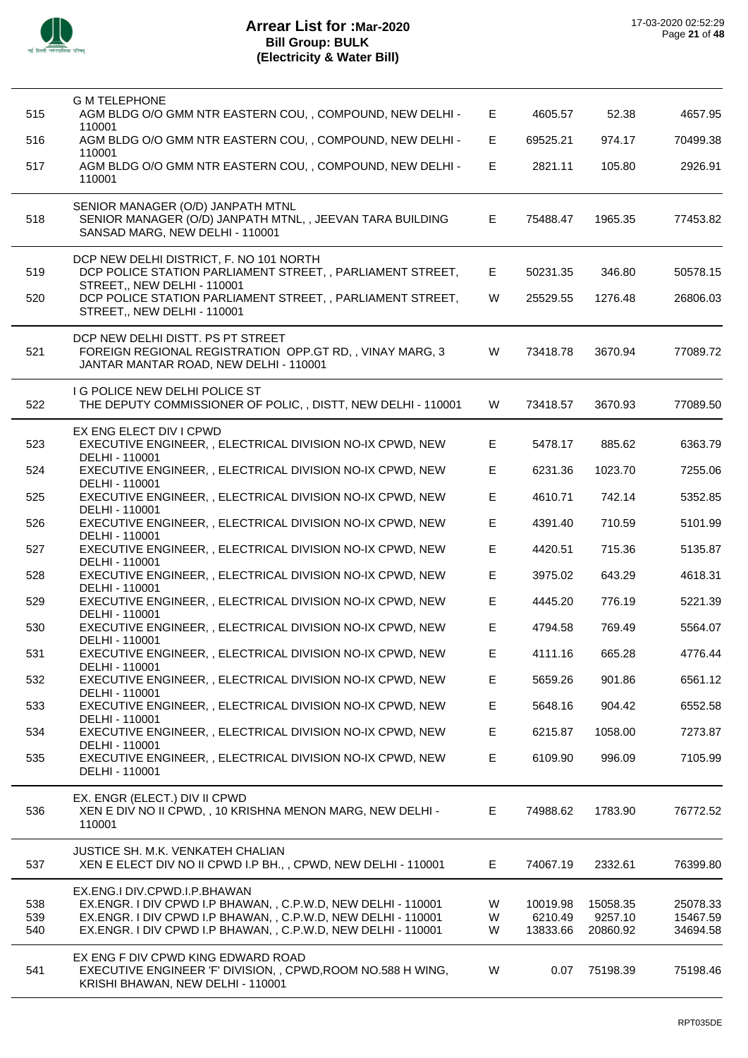

 $\overline{a}$ 

| 515 | <b>G M TELEPHONE</b><br>AGM BLDG O/O GMM NTR EASTERN COU, , COMPOUND, NEW DELHI -                                                       | E  | 4605.57  | 52.38    | 4657.95  |
|-----|-----------------------------------------------------------------------------------------------------------------------------------------|----|----------|----------|----------|
| 516 | 110001<br>AGM BLDG O/O GMM NTR EASTERN COU, , COMPOUND, NEW DELHI -                                                                     | E. | 69525.21 | 974.17   | 70499.38 |
| 517 | 110001<br>AGM BLDG O/O GMM NTR EASTERN COU, , COMPOUND, NEW DELHI -<br>110001                                                           | E  | 2821.11  | 105.80   | 2926.91  |
| 518 | SENIOR MANAGER (O/D) JANPATH MTNL<br>SENIOR MANAGER (O/D) JANPATH MTNL, , JEEVAN TARA BUILDING<br>SANSAD MARG, NEW DELHI - 110001       | E  | 75488.47 | 1965.35  | 77453.82 |
| 519 | DCP NEW DELHI DISTRICT, F. NO 101 NORTH<br>DCP POLICE STATION PARLIAMENT STREET, , PARLIAMENT STREET,<br>STREET,, NEW DELHI - 110001    | E  | 50231.35 | 346.80   | 50578.15 |
| 520 | DCP POLICE STATION PARLIAMENT STREET, , PARLIAMENT STREET,<br>STREET,, NEW DELHI - 110001                                               | W  | 25529.55 | 1276.48  | 26806.03 |
| 521 | DCP NEW DELHI DISTT. PS PT STREET<br>FOREIGN REGIONAL REGISTRATION OPP.GT RD,, VINAY MARG, 3<br>JANTAR MANTAR ROAD, NEW DELHI - 110001  | W  | 73418.78 | 3670.94  | 77089.72 |
| 522 | <b>I G POLICE NEW DELHI POLICE ST</b><br>THE DEPUTY COMMISSIONER OF POLIC, , DISTT, NEW DELHI - 110001                                  | W  | 73418.57 | 3670.93  | 77089.50 |
| 523 | EX ENG ELECT DIV I CPWD<br>EXECUTIVE ENGINEER, , ELECTRICAL DIVISION NO-IX CPWD, NEW<br>DELHI - 110001                                  | E  | 5478.17  | 885.62   | 6363.79  |
| 524 | EXECUTIVE ENGINEER, , ELECTRICAL DIVISION NO-IX CPWD, NEW<br>DELHI - 110001                                                             | E  | 6231.36  | 1023.70  | 7255.06  |
| 525 | EXECUTIVE ENGINEER, , ELECTRICAL DIVISION NO-IX CPWD, NEW<br>DELHI - 110001                                                             | E  | 4610.71  | 742.14   | 5352.85  |
| 526 | EXECUTIVE ENGINEER, , ELECTRICAL DIVISION NO-IX CPWD, NEW<br>DELHI - 110001                                                             | E  | 4391.40  | 710.59   | 5101.99  |
| 527 | EXECUTIVE ENGINEER, , ELECTRICAL DIVISION NO-IX CPWD, NEW<br>DELHI - 110001                                                             | E  | 4420.51  | 715.36   | 5135.87  |
| 528 | EXECUTIVE ENGINEER, , ELECTRICAL DIVISION NO-IX CPWD, NEW<br>DELHI - 110001                                                             | E  | 3975.02  | 643.29   | 4618.31  |
| 529 | EXECUTIVE ENGINEER, , ELECTRICAL DIVISION NO-IX CPWD, NEW                                                                               | E  | 4445.20  | 776.19   | 5221.39  |
| 530 | DELHI - 110001<br>EXECUTIVE ENGINEER, , ELECTRICAL DIVISION NO-IX CPWD, NEW<br>DELHI - 110001                                           | E  | 4794.58  | 769.49   | 5564.07  |
| 531 | EXECUTIVE ENGINEER, , ELECTRICAL DIVISION NO-IX CPWD, NEW<br>DELHI - 110001                                                             | E. | 4111.16  | 665.28   | 4776.44  |
| 532 | EXECUTIVE ENGINEER, , ELECTRICAL DIVISION NO-IX CPWD, NEW                                                                               | E  | 5659.26  | 901.86   | 6561.12  |
| 533 | DELHI - 110001<br>EXECUTIVE ENGINEER, , ELECTRICAL DIVISION NO-IX CPWD, NEW                                                             | E  | 5648.16  | 904.42   | 6552.58  |
| 534 | DELHI - 110001<br>EXECUTIVE ENGINEER, , ELECTRICAL DIVISION NO-IX CPWD, NEW                                                             | E  | 6215.87  | 1058.00  | 7273.87  |
| 535 | DELHI - 110001<br>EXECUTIVE ENGINEER, , ELECTRICAL DIVISION NO-IX CPWD, NEW<br>DELHI - 110001                                           | E  | 6109.90  | 996.09   | 7105.99  |
| 536 | EX. ENGR (ELECT.) DIV II CPWD<br>XEN E DIV NO II CPWD, , 10 KRISHNA MENON MARG, NEW DELHI -<br>110001                                   | E  | 74988.62 | 1783.90  | 76772.52 |
| 537 | <b>JUSTICE SH. M.K. VENKATEH CHALIAN</b><br>XEN E ELECT DIV NO II CPWD I.P BH., , CPWD, NEW DELHI - 110001                              | E  | 74067.19 | 2332.61  | 76399.80 |
| 538 | EX.ENG.I DIV.CPWD.I.P.BHAWAN<br>EX.ENGR. I DIV CPWD I.P BHAWAN, , C.P.W.D, NEW DELHI - 110001                                           | W  | 10019.98 | 15058.35 | 25078.33 |
| 539 | EX.ENGR. I DIV CPWD I.P BHAWAN, , C.P.W.D, NEW DELHI - 110001                                                                           | W  | 6210.49  | 9257.10  | 15467.59 |
| 540 | EX.ENGR. I DIV CPWD I.P BHAWAN, , C.P.W.D, NEW DELHI - 110001                                                                           | W  | 13833.66 | 20860.92 | 34694.58 |
| 541 | EX ENG F DIV CPWD KING EDWARD ROAD<br>EXECUTIVE ENGINEER 'F' DIVISION, , CPWD, ROOM NO.588 H WING,<br>KRISHI BHAWAN, NEW DELHI - 110001 | W  | 0.07     | 75198.39 | 75198.46 |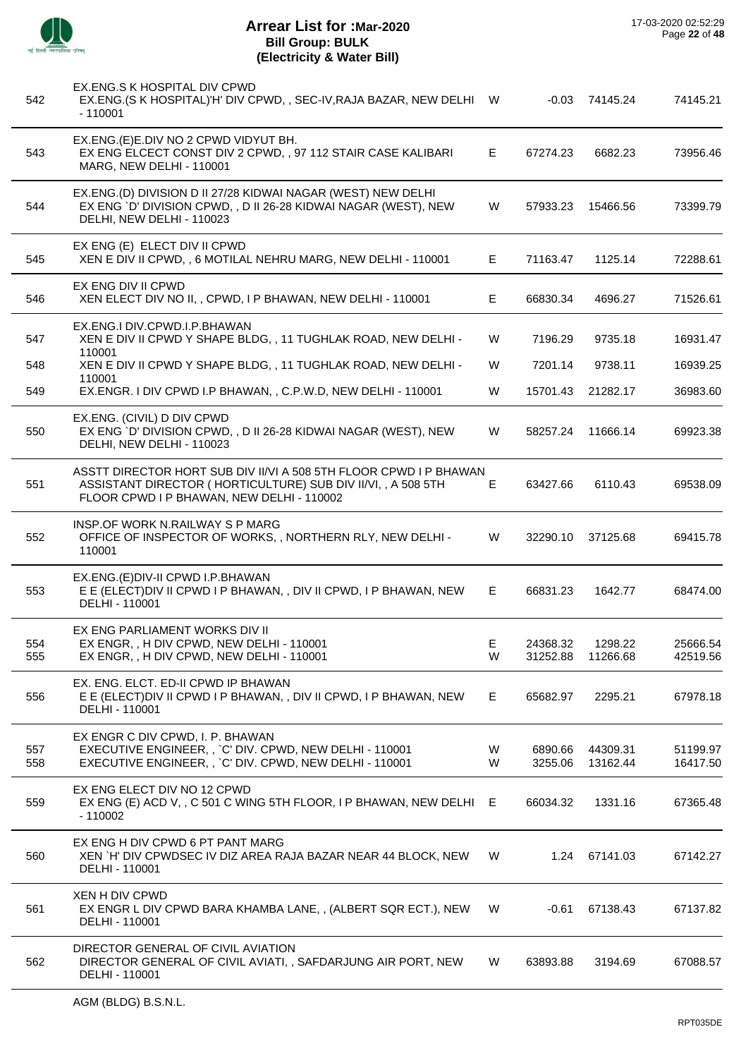

# **Arrear List for :Mar-2020 Bill Group: BULK (Electricity & Water Bill)**

| 542        | EX.ENG.S K HOSPITAL DIV CPWD<br>EX.ENG.(S K HOSPITAL)'H' DIV CPWD,, SEC-IV, RAJA BAZAR, NEW DELHI W<br>$-110001$                                                              |        | $-0.03$              | 74145.24             | 74145.21             |
|------------|-------------------------------------------------------------------------------------------------------------------------------------------------------------------------------|--------|----------------------|----------------------|----------------------|
| 543        | EX.ENG.(E)E.DIV NO 2 CPWD VIDYUT BH.<br>EX ENG ELCECT CONST DIV 2 CPWD, , 97 112 STAIR CASE KALIBARI<br>MARG, NEW DELHI - 110001                                              | Е.     | 67274.23             | 6682.23              | 73956.46             |
| 544        | EX.ENG.(D) DIVISION D II 27/28 KIDWAI NAGAR (WEST) NEW DELHI<br>EX ENG `D' DIVISION CPWD, , D II 26-28 KIDWAI NAGAR (WEST), NEW<br>DELHI, NEW DELHI - 110023                  | W      | 57933.23             | 15466.56             | 73399.79             |
| 545        | EX ENG (E) ELECT DIV II CPWD<br>XEN E DIV II CPWD, , 6 MOTILAL NEHRU MARG, NEW DELHI - 110001                                                                                 | E.     | 71163.47             | 1125.14              | 72288.61             |
| 546        | EX ENG DIV II CPWD<br>XEN ELECT DIV NO II,, CPWD, I P BHAWAN, NEW DELHI - 110001                                                                                              | E.     | 66830.34             | 4696.27              | 71526.61             |
| 547        | EX.ENG.I DIV.CPWD.I.P.BHAWAN<br>XEN E DIV II CPWD Y SHAPE BLDG, , 11 TUGHLAK ROAD, NEW DELHI -<br>110001                                                                      | W      | 7196.29              | 9735.18              | 16931.47             |
| 548        | XEN E DIV II CPWD Y SHAPE BLDG, , 11 TUGHLAK ROAD, NEW DELHI -                                                                                                                | W      | 7201.14              | 9738.11              | 16939.25             |
| 549        | 110001<br>EX.ENGR. I DIV CPWD I.P BHAWAN, , C.P.W.D, NEW DELHI - 110001                                                                                                       | W      | 15701.43             | 21282.17             | 36983.60             |
| 550        | EX.ENG. (CIVIL) D DIV CPWD<br>EX ENG `D' DIVISION CPWD, , D II 26-28 KIDWAI NAGAR (WEST), NEW<br>DELHI, NEW DELHI - 110023                                                    | W      | 58257.24             | 11666.14             | 69923.38             |
| 551        | ASSTT DIRECTOR HORT SUB DIV II/VI A 508 5TH FLOOR CPWD I P BHAWAN<br>ASSISTANT DIRECTOR (HORTICULTURE) SUB DIV II/VI,, A 508 5TH<br>FLOOR CPWD I P BHAWAN, NEW DELHI - 110002 | Е      | 63427.66             | 6110.43              | 69538.09             |
| 552        | INSP.OF WORK N.RAILWAY S P MARG<br>OFFICE OF INSPECTOR OF WORKS,, NORTHERN RLY, NEW DELHI -<br>110001                                                                         | W      | 32290.10             | 37125.68             | 69415.78             |
| 553        | EX.ENG.(E)DIV-II CPWD I.P.BHAWAN<br>E E (ELECT) DIV II CPWD I P BHAWAN, , DIV II CPWD, I P BHAWAN, NEW<br>DELHI - 110001                                                      | E.     | 66831.23             | 1642.77              | 68474.00             |
|            | EX ENG PARLIAMENT WORKS DIV II                                                                                                                                                |        |                      |                      |                      |
| 554<br>555 | EX ENGR, , H DIV CPWD, NEW DELHI - 110001<br>EX ENGR, , H DIV CPWD, NEW DELHI - 110001                                                                                        | Е<br>W | 24368.32<br>31252.88 | 1298.22<br>11266.68  | 25666.54<br>42519.56 |
|            |                                                                                                                                                                               |        |                      |                      |                      |
| 556        | EX. ENG. ELCT. ED-II CPWD IP BHAWAN<br>E E (ELECT) DIV II CPWD I P BHAWAN, , DIV II CPWD, I P BHAWAN, NEW<br>DELHI - 110001                                                   | E.     | 65682.97             | 2295.21              | 67978.18             |
|            | EX ENGR C DIV CPWD, I. P. BHAWAN                                                                                                                                              |        |                      |                      |                      |
| 557<br>558 | EXECUTIVE ENGINEER, , `C' DIV. CPWD, NEW DELHI - 110001<br>EXECUTIVE ENGINEER,, `C' DIV. CPWD, NEW DELHI - 110001                                                             | W<br>W | 6890.66<br>3255.06   | 44309.31<br>13162.44 | 51199.97<br>16417.50 |
| 559        | EX ENG ELECT DIV NO 12 CPWD<br>EX ENG (E) ACD V, , C 501 C WING 5TH FLOOR, I P BHAWAN, NEW DELHI E<br>$-110002$                                                               |        | 66034.32             | 1331.16              | 67365.48             |
| 560        | EX ENG H DIV CPWD 6 PT PANT MARG<br>XEN `H' DIV CPWDSEC IV DIZ AREA RAJA BAZAR NEAR 44 BLOCK, NEW<br>DELHI - 110001                                                           | W      | 1.24                 | 67141.03             | 67142.27             |
| 561        | XEN H DIV CPWD<br>EX ENGR L DIV CPWD BARA KHAMBA LANE, , (ALBERT SQR ECT.), NEW<br>DELHI - 110001                                                                             | W      | -0.61                | 67138.43             | 67137.82             |
| 562        | DIRECTOR GENERAL OF CIVIL AVIATION<br>DIRECTOR GENERAL OF CIVIL AVIATI,, SAFDARJUNG AIR PORT, NEW<br>DELHI - 110001                                                           | W      | 63893.88             | 3194.69              | 67088.57             |

l,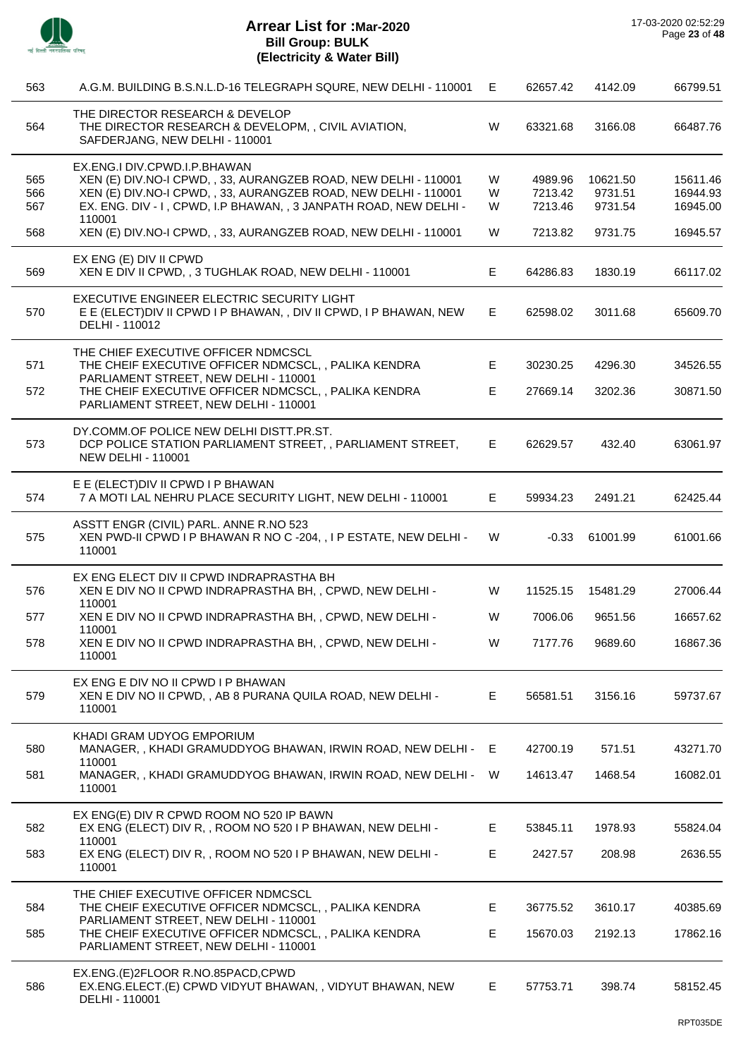

 $\overline{\phantom{a}}$ 

 $\overline{a}$ 

 $\overline{\phantom{a}}$ 

 $\overline{\phantom{a}}$ 

 $\overline{\phantom{a}}$ 

 $\overline{a}$ 

 $\overline{\phantom{a}}$ 

| 563               | A.G.M. BUILDING B.S.N.L.D-16 TELEGRAPH SQURE, NEW DELHI - 110001                                                                                                                                                                          | E           | 62657.42                      | 4142.09                        | 66799.51                         |
|-------------------|-------------------------------------------------------------------------------------------------------------------------------------------------------------------------------------------------------------------------------------------|-------------|-------------------------------|--------------------------------|----------------------------------|
| 564               | THE DIRECTOR RESEARCH & DEVELOP<br>THE DIRECTOR RESEARCH & DEVELOPM, , CIVIL AVIATION,<br>SAFDERJANG, NEW DELHI - 110001                                                                                                                  | W           | 63321.68                      | 3166.08                        | 66487.76                         |
| 565<br>566<br>567 | EX.ENG.I DIV.CPWD.I.P.BHAWAN<br>XEN (E) DIV. NO-I CPWD, , 33, AURANGZEB ROAD, NEW DELHI - 110001<br>XEN (E) DIV. NO-I CPWD, , 33, AURANGZEB ROAD, NEW DELHI - 110001<br>EX. ENG. DIV - I, CPWD, I.P BHAWAN, , 3 JANPATH ROAD, NEW DELHI - | W<br>W<br>W | 4989.96<br>7213.42<br>7213.46 | 10621.50<br>9731.51<br>9731.54 | 15611.46<br>16944.93<br>16945.00 |
| 568               | 110001<br>XEN (E) DIV. NO-I CPWD, , 33, AURANGZEB ROAD, NEW DELHI - 110001                                                                                                                                                                | W           | 7213.82                       | 9731.75                        | 16945.57                         |
| 569               | EX ENG (E) DIV II CPWD<br>XEN E DIV II CPWD, , 3 TUGHLAK ROAD, NEW DELHI - 110001                                                                                                                                                         | E.          | 64286.83                      | 1830.19                        | 66117.02                         |
| 570               | EXECUTIVE ENGINEER ELECTRIC SECURITY LIGHT<br>E E (ELECT)DIV II CPWD I P BHAWAN, , DIV II CPWD, I P BHAWAN, NEW<br>DELHI - 110012                                                                                                         | E.          | 62598.02                      | 3011.68                        | 65609.70                         |
| 571               | THE CHIEF EXECUTIVE OFFICER NDMCSCL<br>THE CHEIF EXECUTIVE OFFICER NDMCSCL, , PALIKA KENDRA                                                                                                                                               | Е           | 30230.25                      | 4296.30                        | 34526.55                         |
| 572               | PARLIAMENT STREET, NEW DELHI - 110001<br>THE CHEIF EXECUTIVE OFFICER NDMCSCL, , PALIKA KENDRA<br>PARLIAMENT STREET, NEW DELHI - 110001                                                                                                    | E           | 27669.14                      | 3202.36                        | 30871.50                         |
| 573               | DY.COMM.OF POLICE NEW DELHI DISTT.PR.ST.<br>DCP POLICE STATION PARLIAMENT STREET, , PARLIAMENT STREET,<br><b>NEW DELHI - 110001</b>                                                                                                       | E           | 62629.57                      | 432.40                         | 63061.97                         |
| 574               | E E (ELECT) DIV II CPWD I P BHAWAN<br>7 A MOTI LAL NEHRU PLACE SECURITY LIGHT, NEW DELHI - 110001                                                                                                                                         | E.          | 59934.23                      | 2491.21                        | 62425.44                         |
| 575               | ASSTT ENGR (CIVIL) PARL. ANNE R.NO 523<br>XEN PWD-II CPWD I P BHAWAN R NO C -204, , I P ESTATE, NEW DELHI -<br>110001                                                                                                                     | W           | $-0.33$                       | 61001.99                       | 61001.66                         |
| 576               | EX ENG ELECT DIV II CPWD INDRAPRASTHA BH<br>XEN E DIV NO II CPWD INDRAPRASTHA BH, , CPWD, NEW DELHI -<br>110001                                                                                                                           | W           | 11525.15                      | 15481.29                       | 27006.44                         |
| 577               | XEN E DIV NO II CPWD INDRAPRASTHA BH, , CPWD, NEW DELHI -                                                                                                                                                                                 | W           | 7006.06                       | 9651.56                        | 16657.62                         |
| 578               | 110001<br>XEN E DIV NO II CPWD INDRAPRASTHA BH, , CPWD, NEW DELHI -<br>110001                                                                                                                                                             | W           | 7177.76                       | 9689.60                        | 16867.36                         |
| 579               | EX ENG E DIV NO II CPWD I P BHAWAN<br>XEN E DIV NO II CPWD, , AB 8 PURANA QUILA ROAD, NEW DELHI -<br>110001                                                                                                                               | E           | 56581.51                      | 3156.16                        | 59737.67                         |
| 580               | KHADI GRAM UDYOG EMPORIUM<br>MANAGER, , KHADI GRAMUDDYOG BHAWAN, IRWIN ROAD, NEW DELHI - E                                                                                                                                                |             | 42700.19                      | 571.51                         | 43271.70                         |
| 581               | 110001<br>MANAGER, , KHADI GRAMUDDYOG BHAWAN, IRWIN ROAD, NEW DELHI -<br>110001                                                                                                                                                           | W           | 14613.47                      | 1468.54                        | 16082.01                         |
| 582               | EX ENG(E) DIV R CPWD ROOM NO 520 IP BAWN<br>EX ENG (ELECT) DIV R,, ROOM NO 520 I P BHAWAN, NEW DELHI -                                                                                                                                    | E.          | 53845.11                      | 1978.93                        | 55824.04                         |
| 583               | 110001<br>EX ENG (ELECT) DIV R,, ROOM NO 520 I P BHAWAN, NEW DELHI -<br>110001                                                                                                                                                            | E           | 2427.57                       | 208.98                         | 2636.55                          |
| 584               | THE CHIEF EXECUTIVE OFFICER NDMCSCL<br>THE CHEIF EXECUTIVE OFFICER NDMCSCL, , PALIKA KENDRA                                                                                                                                               | E           | 36775.52                      | 3610.17                        | 40385.69                         |
| 585               | PARLIAMENT STREET, NEW DELHI - 110001<br>THE CHEIF EXECUTIVE OFFICER NDMCSCL, , PALIKA KENDRA<br>PARLIAMENT STREET, NEW DELHI - 110001                                                                                                    | E           | 15670.03                      | 2192.13                        | 17862.16                         |
| 586               | EX.ENG.(E)2FLOOR R.NO.85PACD,CPWD<br>EX.ENG.ELECT.(E) CPWD VIDYUT BHAWAN,, VIDYUT BHAWAN, NEW<br>DELHI - 110001                                                                                                                           | E.          | 57753.71                      | 398.74                         | 58152.45                         |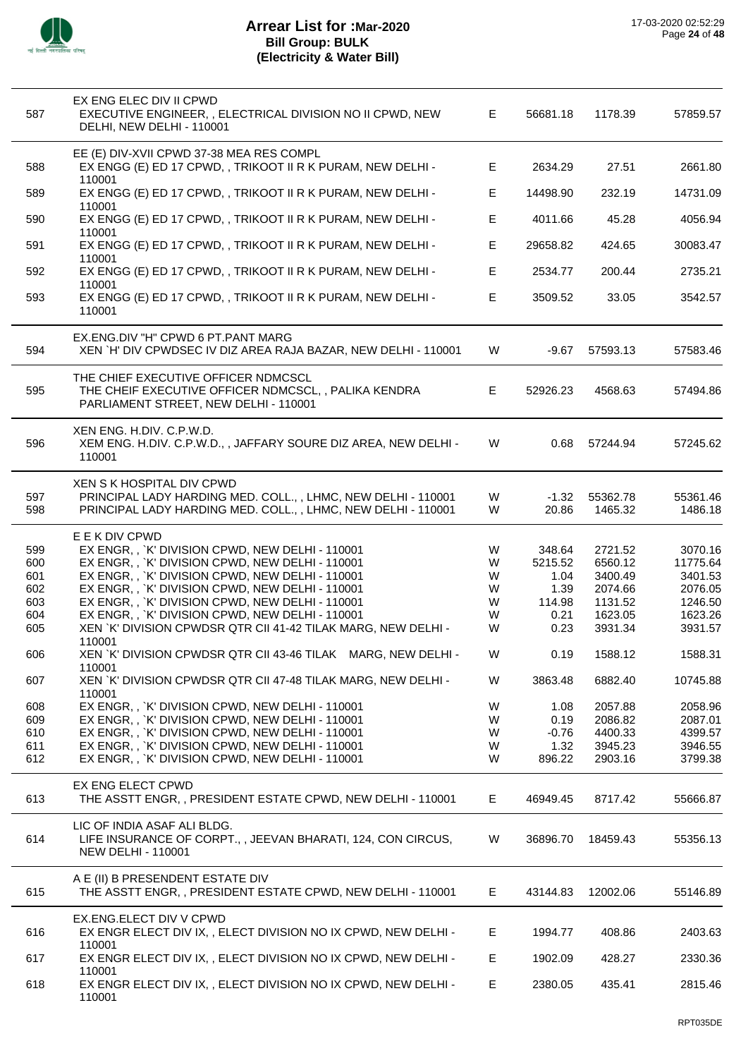

| 587        | EX ENG ELEC DIV II CPWD<br>EXECUTIVE ENGINEER, , ELECTRICAL DIVISION NO II CPWD, NEW<br>DELHI, NEW DELHI - 110001                                           | Е.     | 56681.18         | 1178.39             | 57859.57            |
|------------|-------------------------------------------------------------------------------------------------------------------------------------------------------------|--------|------------------|---------------------|---------------------|
|            | EE (E) DIV-XVII CPWD 37-38 MEA RES COMPL                                                                                                                    |        |                  |                     |                     |
| 588        | EX ENGG (E) ED 17 CPWD, , TRIKOOT II R K PURAM, NEW DELHI -<br>110001                                                                                       | E.     | 2634.29          | 27.51               | 2661.80             |
| 589        | EX ENGG (E) ED 17 CPWD, , TRIKOOT II R K PURAM, NEW DELHI -<br>110001                                                                                       | E      | 14498.90         | 232.19              | 14731.09            |
| 590        | EX ENGG (E) ED 17 CPWD, , TRIKOOT II R K PURAM, NEW DELHI -<br>110001                                                                                       | E      | 4011.66          | 45.28               | 4056.94             |
| 591        | EX ENGG (E) ED 17 CPWD, , TRIKOOT II R K PURAM, NEW DELHI -<br>110001                                                                                       | E      | 29658.82         | 424.65              | 30083.47            |
| 592        | EX ENGG (E) ED 17 CPWD, , TRIKOOT II R K PURAM, NEW DELHI -<br>110001                                                                                       | E      | 2534.77          | 200.44              | 2735.21             |
| 593        | EX ENGG (E) ED 17 CPWD, , TRIKOOT II R K PURAM, NEW DELHI -<br>110001                                                                                       | E      | 3509.52          | 33.05               | 3542.57             |
| 594        | EX.ENG.DIV "H" CPWD 6 PT.PANT MARG<br>XEN `H' DIV CPWDSEC IV DIZ AREA RAJA BAZAR, NEW DELHI - 110001                                                        | W      | -9.67            | 57593.13            | 57583.46            |
| 595        | THE CHIEF EXECUTIVE OFFICER NDMCSCL<br>THE CHEIF EXECUTIVE OFFICER NDMCSCL, , PALIKA KENDRA<br>PARLIAMENT STREET, NEW DELHI - 110001                        | E.     | 52926.23         | 4568.63             | 57494.86            |
| 596        | XEN ENG. H.DIV. C.P.W.D.<br>XEM ENG. H.DIV. C.P.W.D.,, JAFFARY SOURE DIZ AREA, NEW DELHI -<br>110001                                                        | W      | 0.68             | 57244.94            | 57245.62            |
| 597<br>598 | XEN S K HOSPITAL DIV CPWD<br>PRINCIPAL LADY HARDING MED. COLL., , LHMC, NEW DELHI - 110001<br>PRINCIPAL LADY HARDING MED. COLL., , LHMC, NEW DELHI - 110001 | W<br>W | $-1.32$<br>20.86 | 55362.78<br>1465.32 | 55361.46<br>1486.18 |
|            | E E K DIV CPWD                                                                                                                                              |        |                  |                     |                     |
| 599        | EX ENGR, , `K' DIVISION CPWD, NEW DELHI - 110001                                                                                                            | W      | 348.64           | 2721.52             | 3070.16             |
| 600<br>601 | EX ENGR, , `K' DIVISION CPWD, NEW DELHI - 110001<br>EX ENGR, , `K' DIVISION CPWD, NEW DELHI - 110001                                                        | W<br>W | 5215.52<br>1.04  | 6560.12<br>3400.49  | 11775.64<br>3401.53 |
| 602        | EX ENGR, , `K' DIVISION CPWD, NEW DELHI - 110001                                                                                                            | W      | 1.39             | 2074.66             | 2076.05             |
| 603        | EX ENGR, , `K' DIVISION CPWD, NEW DELHI - 110001                                                                                                            | W      | 114.98           | 1131.52             | 1246.50             |
| 604        | EX ENGR, , `K' DIVISION CPWD, NEW DELHI - 110001                                                                                                            | W      | 0.21             | 1623.05             | 1623.26             |
| 605        | XEN `K' DIVISION CPWDSR QTR CII 41-42 TILAK MARG, NEW DELHI -<br>110001                                                                                     | W      | 0.23             | 3931.34             | 3931.57             |
| 606        | XEN `K' DIVISION CPWDSR QTR CII 43-46 TILAK MARG, NEW DELHI -<br>110001                                                                                     | W      | 0.19             | 1588.12             | 1588.31             |
| 607        | XEN `K' DIVISION CPWDSR QTR CII 47-48 TILAK MARG, NEW DELHI -<br>110001                                                                                     | W      | 3863.48          | 6882.40             | 10745.88            |
| 608        | EX ENGR, , `K' DIVISION CPWD, NEW DELHI - 110001                                                                                                            | W      | 1.08             | 2057.88             | 2058.96             |
| 609        | EX ENGR, , `K' DIVISION CPWD, NEW DELHI - 110001                                                                                                            | W      | 0.19             | 2086.82             | 2087.01             |
| 610        | EX ENGR, , `K' DIVISION CPWD, NEW DELHI - 110001                                                                                                            | W      | $-0.76$          | 4400.33             | 4399.57             |
| 611<br>612 | EX ENGR, , `K' DIVISION CPWD, NEW DELHI - 110001<br>EX ENGR, , `K' DIVISION CPWD, NEW DELHI - 110001                                                        | W<br>W | 1.32<br>896.22   | 3945.23<br>2903.16  | 3946.55<br>3799.38  |
| 613        | EX ENG ELECT CPWD<br>THE ASSTT ENGR,, PRESIDENT ESTATE CPWD, NEW DELHI - 110001                                                                             | E.     | 46949.45         | 8717.42             | 55666.87            |
| 614        | LIC OF INDIA ASAF ALI BLDG.<br>LIFE INSURANCE OF CORPT., , JEEVAN BHARATI, 124, CON CIRCUS,<br><b>NEW DELHI - 110001</b>                                    | W      | 36896.70         | 18459.43            | 55356.13            |
| 615        | A E (II) B PRESENDENT ESTATE DIV<br>THE ASSTT ENGR,, PRESIDENT ESTATE CPWD, NEW DELHI - 110001                                                              | E.     | 43144.83         | 12002.06            | 55146.89            |
| 616        | EX.ENG.ELECT DIV V CPWD<br>EX ENGR ELECT DIV IX, , ELECT DIVISION NO IX CPWD, NEW DELHI -<br>110001                                                         | E.     | 1994.77          | 408.86              | 2403.63             |
| 617        | EX ENGR ELECT DIV IX, , ELECT DIVISION NO IX CPWD, NEW DELHI -<br>110001                                                                                    | E.     | 1902.09          | 428.27              | 2330.36             |
| 618        | EX ENGR ELECT DIV IX, , ELECT DIVISION NO IX CPWD, NEW DELHI -<br>110001                                                                                    | E      | 2380.05          | 435.41              | 2815.46             |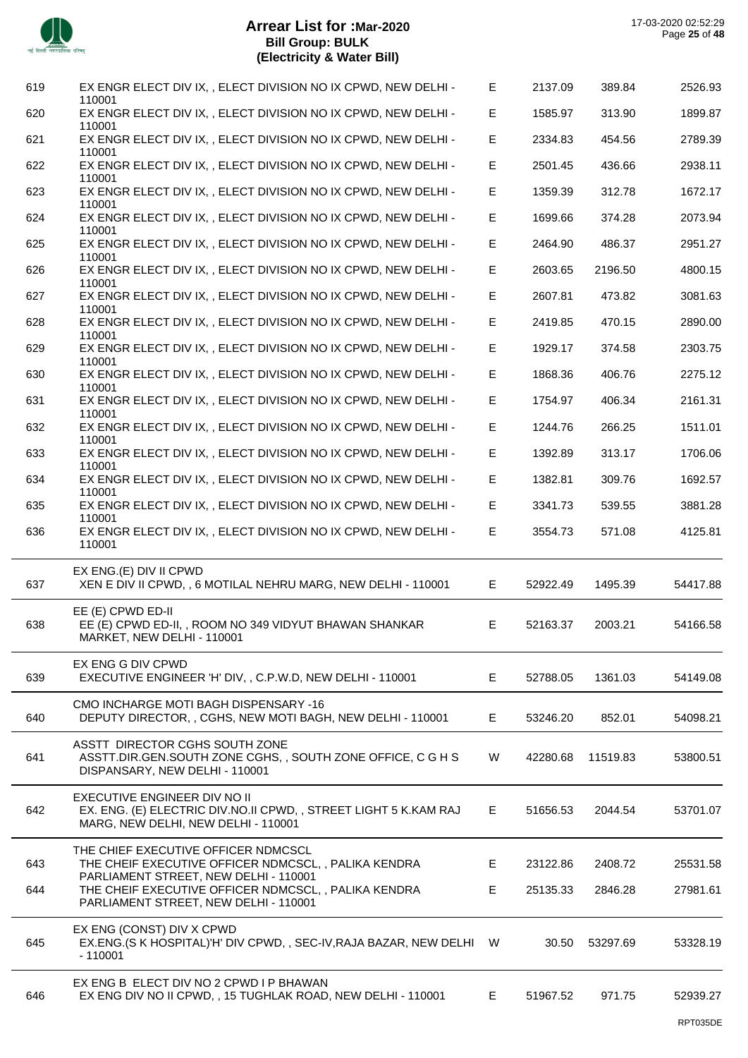

| 619 | EX ENGR ELECT DIV IX, , ELECT DIVISION NO IX CPWD, NEW DELHI -<br>110001                                                               | Е  | 2137.09  | 389.84   | 2526.93  |
|-----|----------------------------------------------------------------------------------------------------------------------------------------|----|----------|----------|----------|
| 620 | EX ENGR ELECT DIV IX, , ELECT DIVISION NO IX CPWD, NEW DELHI -<br>110001                                                               | Е  | 1585.97  | 313.90   | 1899.87  |
| 621 | EX ENGR ELECT DIV IX, , ELECT DIVISION NO IX CPWD, NEW DELHI -<br>110001                                                               | E  | 2334.83  | 454.56   | 2789.39  |
| 622 | EX ENGR ELECT DIV IX, , ELECT DIVISION NO IX CPWD, NEW DELHI -<br>110001                                                               | E. | 2501.45  | 436.66   | 2938.11  |
| 623 | EX ENGR ELECT DIV IX, , ELECT DIVISION NO IX CPWD, NEW DELHI -<br>110001                                                               | E  | 1359.39  | 312.78   | 1672.17  |
| 624 | EX ENGR ELECT DIV IX, , ELECT DIVISION NO IX CPWD, NEW DELHI -<br>110001                                                               | E  | 1699.66  | 374.28   | 2073.94  |
| 625 | EX ENGR ELECT DIV IX, , ELECT DIVISION NO IX CPWD, NEW DELHI -<br>110001                                                               | E  | 2464.90  | 486.37   | 2951.27  |
| 626 | EX ENGR ELECT DIV IX, , ELECT DIVISION NO IX CPWD, NEW DELHI -<br>110001                                                               | E  | 2603.65  | 2196.50  | 4800.15  |
| 627 | EX ENGR ELECT DIV IX, , ELECT DIVISION NO IX CPWD, NEW DELHI -<br>110001                                                               | E  | 2607.81  | 473.82   | 3081.63  |
| 628 | EX ENGR ELECT DIV IX, , ELECT DIVISION NO IX CPWD, NEW DELHI -<br>110001                                                               | E  | 2419.85  | 470.15   | 2890.00  |
| 629 | EX ENGR ELECT DIV IX, , ELECT DIVISION NO IX CPWD, NEW DELHI -<br>110001                                                               | E  | 1929.17  | 374.58   | 2303.75  |
| 630 | EX ENGR ELECT DIV IX, , ELECT DIVISION NO IX CPWD, NEW DELHI -                                                                         | Е  | 1868.36  | 406.76   | 2275.12  |
| 631 | 110001<br>EX ENGR ELECT DIV IX, , ELECT DIVISION NO IX CPWD, NEW DELHI -                                                               | E  | 1754.97  | 406.34   | 2161.31  |
| 632 | 110001<br>EX ENGR ELECT DIV IX, , ELECT DIVISION NO IX CPWD, NEW DELHI -                                                               | E  | 1244.76  | 266.25   | 1511.01  |
| 633 | 110001<br>EX ENGR ELECT DIV IX, , ELECT DIVISION NO IX CPWD, NEW DELHI -                                                               | Е  | 1392.89  | 313.17   | 1706.06  |
| 634 | 110001<br>EX ENGR ELECT DIV IX, , ELECT DIVISION NO IX CPWD, NEW DELHI -                                                               | Е  | 1382.81  | 309.76   | 1692.57  |
| 635 | 110001<br>EX ENGR ELECT DIV IX, , ELECT DIVISION NO IX CPWD, NEW DELHI -                                                               | E. | 3341.73  | 539.55   | 3881.28  |
| 636 | 110001<br>EX ENGR ELECT DIV IX, , ELECT DIVISION NO IX CPWD, NEW DELHI -                                                               | E  | 3554.73  | 571.08   | 4125.81  |
|     | 110001                                                                                                                                 |    |          |          |          |
| 637 | EX ENG.(E) DIV II CPWD<br>XEN E DIV II CPWD, , 6 MOTILAL NEHRU MARG, NEW DELHI - 110001                                                | E. | 52922.49 | 1495.39  | 54417.88 |
| 638 | EE (E) CPWD ED-II<br>EE (E) CPWD ED-II, , ROOM NO 349 VIDYUT BHAWAN SHANKAR<br>MARKET, NEW DELHI - 110001                              | E  | 52163.37 | 2003.21  | 54166.58 |
| 639 | EX ENG G DIV CPWD<br>EXECUTIVE ENGINEER 'H' DIV, , C.P.W.D, NEW DELHI - 110001                                                         | E. | 52788.05 | 1361.03  | 54149.08 |
| 640 | CMO INCHARGE MOTI BAGH DISPENSARY -16<br>DEPUTY DIRECTOR, , CGHS, NEW MOTI BAGH, NEW DELHI - 110001                                    | E. | 53246.20 | 852.01   | 54098.21 |
| 641 | ASSTT DIRECTOR CGHS SOUTH ZONE<br>ASSTT.DIR.GEN.SOUTH ZONE CGHS,, SOUTH ZONE OFFICE, C G H S<br>DISPANSARY, NEW DELHI - 110001         | W  | 42280.68 | 11519.83 | 53800.51 |
| 642 | EXECUTIVE ENGINEER DIV NO II<br>EX. ENG. (E) ELECTRIC DIV.NO.II CPWD,, STREET LIGHT 5 K.KAM RAJ<br>MARG, NEW DELHI, NEW DELHI - 110001 | E. | 51656.53 | 2044.54  | 53701.07 |
| 643 | THE CHIEF EXECUTIVE OFFICER NDMCSCL<br>THE CHEIF EXECUTIVE OFFICER NDMCSCL, , PALIKA KENDRA                                            | E. | 23122.86 | 2408.72  | 25531.58 |
| 644 | PARLIAMENT STREET, NEW DELHI - 110001<br>THE CHEIF EXECUTIVE OFFICER NDMCSCL,, PALIKA KENDRA<br>PARLIAMENT STREET, NEW DELHI - 110001  | E  | 25135.33 | 2846.28  | 27981.61 |
| 645 | EX ENG (CONST) DIV X CPWD<br>EX.ENG. (S K HOSPITAL) H' DIV CPWD,, SEC-IV, RAJA BAZAR, NEW DELHI W<br>$-110001$                         |    | 30.50    | 53297.69 | 53328.19 |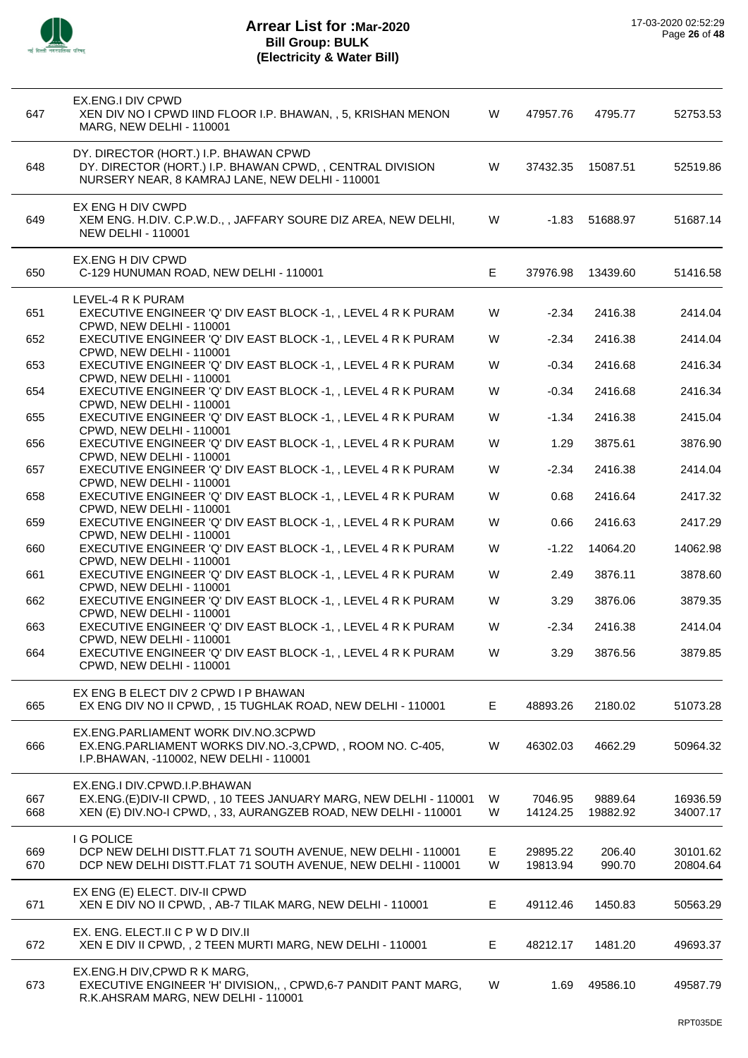

| 647 | EX.ENG.I DIV CPWD<br>XEN DIV NO I CPWD IIND FLOOR I.P. BHAWAN, , 5, KRISHAN MENON<br>MARG, NEW DELHI - 110001                                         | W  | 47957.76 | 4795.77  | 52753.53 |
|-----|-------------------------------------------------------------------------------------------------------------------------------------------------------|----|----------|----------|----------|
| 648 | DY. DIRECTOR (HORT.) I.P. BHAWAN CPWD<br>DY. DIRECTOR (HORT.) I.P. BHAWAN CPWD, , CENTRAL DIVISION<br>NURSERY NEAR, 8 KAMRAJ LANE, NEW DELHI - 110001 | W  | 37432.35 | 15087.51 | 52519.86 |
| 649 | EX ENG H DIV CWPD<br>XEM ENG. H.DIV. C.P.W.D., , JAFFARY SOURE DIZ AREA, NEW DELHI,<br><b>NEW DELHI - 110001</b>                                      | W  | $-1.83$  | 51688.97 | 51687.14 |
| 650 | EX.ENG H DIV CPWD<br>C-129 HUNUMAN ROAD, NEW DELHI - 110001                                                                                           | E. | 37976.98 | 13439.60 | 51416.58 |
| 651 | LEVEL-4 R K PURAM<br>EXECUTIVE ENGINEER 'Q' DIV EAST BLOCK -1, , LEVEL 4 R K PURAM<br>CPWD, NEW DELHI - 110001                                        | W  | $-2.34$  | 2416.38  | 2414.04  |
| 652 | EXECUTIVE ENGINEER 'Q' DIV EAST BLOCK -1, , LEVEL 4 R K PURAM                                                                                         | W  | $-2.34$  | 2416.38  | 2414.04  |
| 653 | CPWD, NEW DELHI - 110001<br>EXECUTIVE ENGINEER 'Q' DIV EAST BLOCK -1, , LEVEL 4 R K PURAM                                                             | W  | $-0.34$  | 2416.68  | 2416.34  |
| 654 | CPWD, NEW DELHI - 110001<br>EXECUTIVE ENGINEER 'Q' DIV EAST BLOCK -1, , LEVEL 4 R K PURAM                                                             | W  | $-0.34$  | 2416.68  | 2416.34  |
| 655 | CPWD, NEW DELHI - 110001<br>EXECUTIVE ENGINEER 'Q' DIV EAST BLOCK -1, , LEVEL 4 R K PURAM                                                             | W  | $-1.34$  | 2416.38  | 2415.04  |
| 656 | CPWD, NEW DELHI - 110001<br>EXECUTIVE ENGINEER 'Q' DIV EAST BLOCK -1, , LEVEL 4 R K PURAM                                                             | W  | 1.29     | 3875.61  | 3876.90  |
| 657 | <b>CPWD, NEW DELHI - 110001</b><br>EXECUTIVE ENGINEER 'Q' DIV EAST BLOCK -1, , LEVEL 4 R K PURAM                                                      | W  | $-2.34$  | 2416.38  | 2414.04  |
| 658 | CPWD, NEW DELHI - 110001<br>EXECUTIVE ENGINEER 'Q' DIV EAST BLOCK -1, , LEVEL 4 R K PURAM                                                             | W  | 0.68     | 2416.64  | 2417.32  |
| 659 | CPWD, NEW DELHI - 110001<br>EXECUTIVE ENGINEER 'Q' DIV EAST BLOCK -1, , LEVEL 4 R K PURAM                                                             | W  | 0.66     | 2416.63  | 2417.29  |
| 660 | CPWD, NEW DELHI - 110001<br>EXECUTIVE ENGINEER 'Q' DIV EAST BLOCK -1, , LEVEL 4 R K PURAM                                                             | W  | $-1.22$  | 14064.20 | 14062.98 |
| 661 | CPWD, NEW DELHI - 110001<br>EXECUTIVE ENGINEER 'Q' DIV EAST BLOCK -1, , LEVEL 4 R K PURAM                                                             | W  | 2.49     | 3876.11  | 3878.60  |
| 662 | CPWD, NEW DELHI - 110001<br>EXECUTIVE ENGINEER 'Q' DIV EAST BLOCK -1, , LEVEL 4 R K PURAM                                                             | W  | 3.29     | 3876.06  | 3879.35  |
| 663 | CPWD, NEW DELHI - 110001<br>EXECUTIVE ENGINEER 'Q' DIV EAST BLOCK -1, , LEVEL 4 R K PURAM                                                             | W  | $-2.34$  | 2416.38  | 2414.04  |
| 664 | CPWD, NEW DELHI - 110001<br>EXECUTIVE ENGINEER 'Q' DIV EAST BLOCK -1, , LEVEL 4 R K PURAM<br>CPWD, NEW DELHI - 110001                                 | W  | 3.29     | 3876.56  | 3879.85  |
| 665 | EX ENG B ELECT DIV 2 CPWD I P BHAWAN<br>EX ENG DIV NO II CPWD, , 15 TUGHLAK ROAD, NEW DELHI - 110001                                                  | Е  | 48893.26 | 2180.02  | 51073.28 |
| 666 | EX.ENG.PARLIAMENT WORK DIV.NO.3CPWD<br>EX.ENG.PARLIAMENT WORKS DIV.NO.-3,CPWD,, ROOM NO. C-405,<br>I.P.BHAWAN, -110002, NEW DELHI - 110001            | W  | 46302.03 | 4662.29  | 50964.32 |
| 667 | EX.ENG.I DIV.CPWD.I.P.BHAWAN<br>EX.ENG.(E)DIV-II CPWD, , 10 TEES JANUARY MARG, NEW DELHI - 110001                                                     | W  | 7046.95  | 9889.64  | 16936.59 |
| 668 | XEN (E) DIV. NO-I CPWD, , 33, AURANGZEB ROAD, NEW DELHI - 110001                                                                                      | W  | 14124.25 | 19882.92 | 34007.17 |
| 669 | <b>I G POLICE</b><br>DCP NEW DELHI DISTT.FLAT 71 SOUTH AVENUE, NEW DELHI - 110001                                                                     | Е  | 29895.22 | 206.40   | 30101.62 |
| 670 | DCP NEW DELHI DISTT.FLAT 71 SOUTH AVENUE, NEW DELHI - 110001                                                                                          | W  | 19813.94 | 990.70   | 20804.64 |
| 671 | EX ENG (E) ELECT. DIV-II CPWD<br>XEN E DIV NO II CPWD, , AB-7 TILAK MARG, NEW DELHI - 110001                                                          | E  | 49112.46 | 1450.83  | 50563.29 |
| 672 | EX. ENG. ELECT.II C P W D DIV.II<br>XEN E DIV II CPWD, , 2 TEEN MURTI MARG, NEW DELHI - 110001                                                        | Е  | 48212.17 | 1481.20  | 49693.37 |
| 673 | EX.ENG.H DIV, CPWD R K MARG,<br>EXECUTIVE ENGINEER 'H' DIVISION,,, CPWD, 6-7 PANDIT PANT MARG,<br>R.K.AHSRAM MARG, NEW DELHI - 110001                 | W  | 1.69     | 49586.10 | 49587.79 |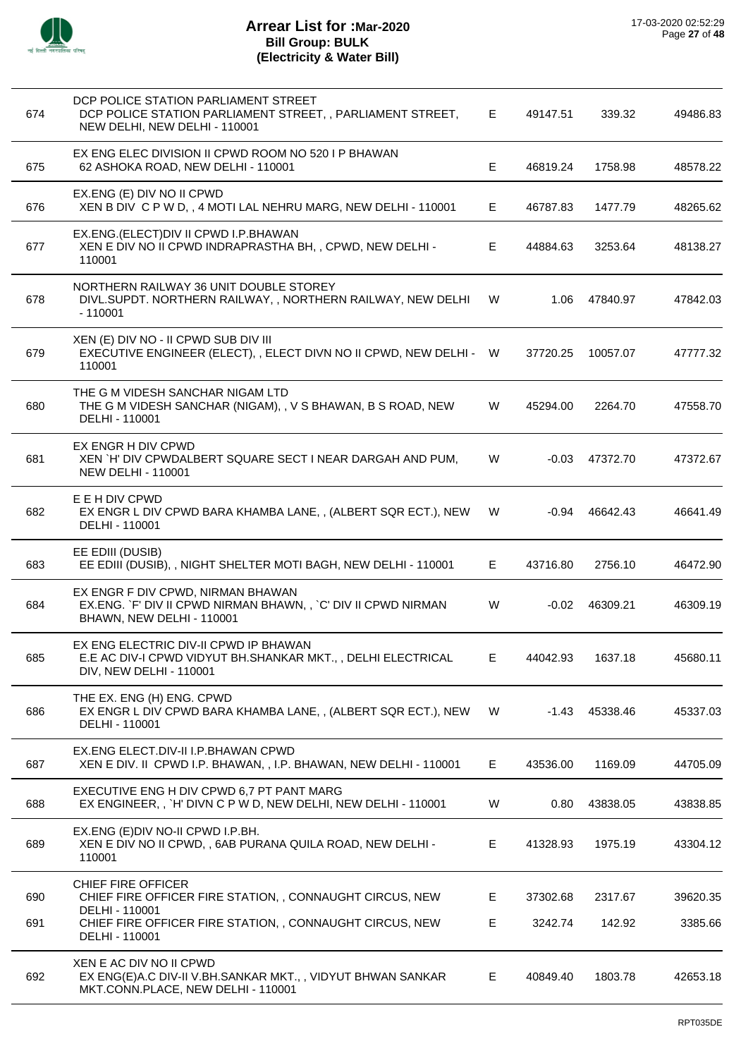

| 674 | DCP POLICE STATION PARLIAMENT STREET<br>DCP POLICE STATION PARLIAMENT STREET, , PARLIAMENT STREET,<br>NEW DELHI, NEW DELHI - 110001 | E. | 49147.51 | 339.32   | 49486.83 |
|-----|-------------------------------------------------------------------------------------------------------------------------------------|----|----------|----------|----------|
| 675 | EX ENG ELEC DIVISION II CPWD ROOM NO 520 I P BHAWAN<br>62 ASHOKA ROAD, NEW DELHI - 110001                                           | E  | 46819.24 | 1758.98  | 48578.22 |
| 676 | EX.ENG (E) DIV NO II CPWD<br>XEN B DIV C P W D, , 4 MOTI LAL NEHRU MARG, NEW DELHI - 110001                                         | E  | 46787.83 | 1477.79  | 48265.62 |
| 677 | EX.ENG.(ELECT)DIV II CPWD I.P.BHAWAN<br>XEN E DIV NO II CPWD INDRAPRASTHA BH, , CPWD, NEW DELHI -<br>110001                         | Е  | 44884.63 | 3253.64  | 48138.27 |
| 678 | NORTHERN RAILWAY 36 UNIT DOUBLE STOREY<br>DIVL.SUPDT. NORTHERN RAILWAY, , NORTHERN RAILWAY, NEW DELHI<br>$-110001$                  | W  | 1.06     | 47840.97 | 47842.03 |
| 679 | XEN (E) DIV NO - II CPWD SUB DIV III<br>EXECUTIVE ENGINEER (ELECT), , ELECT DIVN NO II CPWD, NEW DELHI - W<br>110001                |    | 37720.25 | 10057.07 | 47777.32 |
| 680 | THE G M VIDESH SANCHAR NIGAM LTD<br>THE G M VIDESH SANCHAR (NIGAM), , V S BHAWAN, B S ROAD, NEW<br>DELHI - 110001                   | W  | 45294.00 | 2264.70  | 47558.70 |
| 681 | EX ENGR H DIV CPWD<br>XEN `H' DIV CPWDALBERT SQUARE SECT I NEAR DARGAH AND PUM,<br><b>NEW DELHI - 110001</b>                        | W  | -0.03    | 47372.70 | 47372.67 |
| 682 | E E H DIV CPWD<br>EX ENGR L DIV CPWD BARA KHAMBA LANE,, (ALBERT SQR ECT.), NEW<br>DELHI - 110001                                    | W  | -0.94    | 46642.43 | 46641.49 |
| 683 | EE EDIII (DUSIB)<br>EE EDIII (DUSIB), , NIGHT SHELTER MOTI BAGH, NEW DELHI - 110001                                                 | E  | 43716.80 | 2756.10  | 46472.90 |
| 684 | EX ENGR F DIV CPWD, NIRMAN BHAWAN<br>EX.ENG. `F' DIV II CPWD NIRMAN BHAWN,, `C' DIV II CPWD NIRMAN<br>BHAWN, NEW DELHI - 110001     | W  | $-0.02$  | 46309.21 | 46309.19 |
| 685 | EX ENG ELECTRIC DIV-II CPWD IP BHAWAN<br>E.E AC DIV-I CPWD VIDYUT BH.SHANKAR MKT., , DELHI ELECTRICAL<br>DIV, NEW DELHI - 110001    | Е  | 44042.93 | 1637.18  | 45680.11 |
| 686 | THE EX. ENG (H) ENG. CPWD<br>EX ENGR L DIV CPWD BARA KHAMBA LANE,, (ALBERT SQR ECT.), NEW<br>DELHI - 110001                         | W  | -1.43    | 45338.46 | 45337.03 |
| 687 | EX.ENG ELECT.DIV-II I.P.BHAWAN CPWD<br>XEN E DIV. II CPWD I.P. BHAWAN, , I.P. BHAWAN, NEW DELHI - 110001                            | Е  | 43536.00 | 1169.09  | 44705.09 |
| 688 | EXECUTIVE ENG H DIV CPWD 6,7 PT PANT MARG<br>EX ENGINEER,, `H' DIVN C P W D, NEW DELHI, NEW DELHI - 110001                          | W  | 0.80     | 43838.05 | 43838.85 |
| 689 | EX.ENG (E) DIV NO-II CPWD I.P.BH.<br>XEN E DIV NO II CPWD, , 6AB PURANA QUILA ROAD, NEW DELHI -<br>110001                           | Е  | 41328.93 | 1975.19  | 43304.12 |
| 690 | <b>CHIEF FIRE OFFICER</b><br>CHIEF FIRE OFFICER FIRE STATION,, CONNAUGHT CIRCUS, NEW                                                | Е  | 37302.68 | 2317.67  | 39620.35 |
| 691 | DELHI - 110001<br>CHIEF FIRE OFFICER FIRE STATION,, CONNAUGHT CIRCUS, NEW<br>DELHI - 110001                                         | Е  | 3242.74  | 142.92   | 3385.66  |
| 692 | XEN E AC DIV NO II CPWD<br>EX ENG(E)A.C DIV-II V.BH.SANKAR MKT.,, VIDYUT BHWAN SANKAR<br>MKT.CONN.PLACE, NEW DELHI - 110001         | Е  | 40849.40 | 1803.78  | 42653.18 |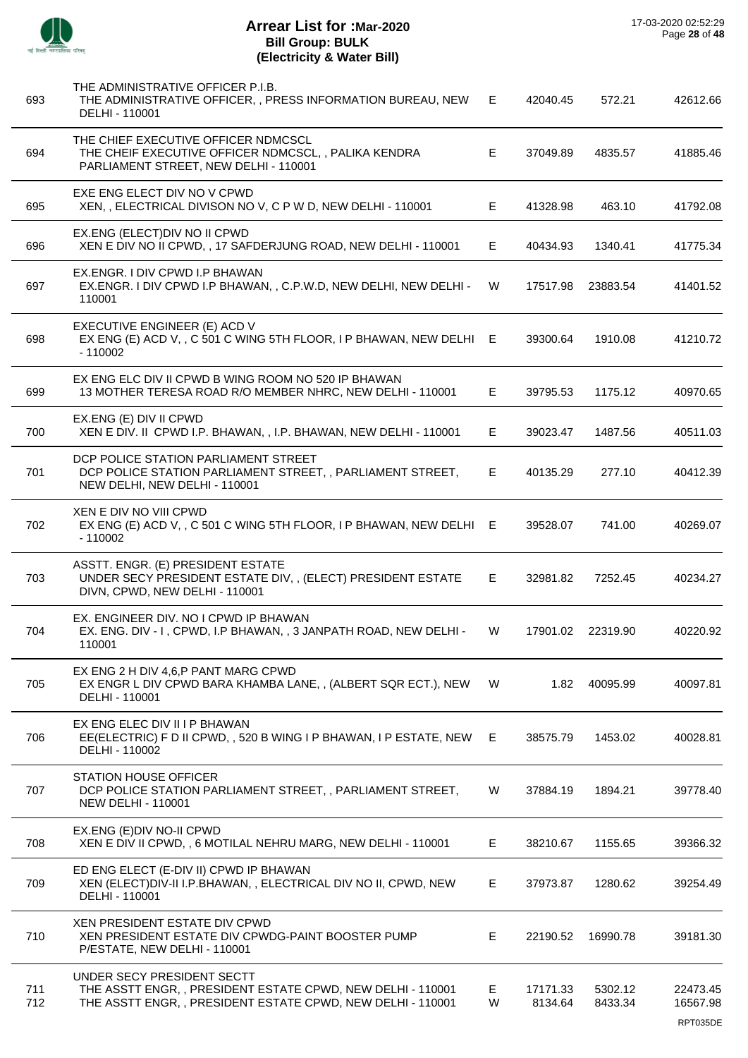| × |
|---|

| 693        | THE ADMINISTRATIVE OFFICER P.I.B.<br>THE ADMINISTRATIVE OFFICER, , PRESS INFORMATION BUREAU, NEW<br>DELHI - 110001                                      | Е.      | 42040.45            | 572.21             | 42612.66                         |
|------------|---------------------------------------------------------------------------------------------------------------------------------------------------------|---------|---------------------|--------------------|----------------------------------|
| 694        | THE CHIEF EXECUTIVE OFFICER NDMCSCL<br>THE CHEIF EXECUTIVE OFFICER NDMCSCL, , PALIKA KENDRA<br>PARLIAMENT STREET, NEW DELHI - 110001                    | E.      | 37049.89            | 4835.57            | 41885.46                         |
| 695        | EXE ENG ELECT DIV NO V CPWD<br>XEN, , ELECTRICAL DIVISON NO V, C P W D, NEW DELHI - 110001                                                              | E.      | 41328.98            | 463.10             | 41792.08                         |
| 696        | EX.ENG (ELECT) DIV NO II CPWD<br>XEN E DIV NO II CPWD, , 17 SAFDERJUNG ROAD, NEW DELHI - 110001                                                         | E.      | 40434.93            | 1340.41            | 41775.34                         |
| 697        | EX.ENGR. I DIV CPWD I.P BHAWAN<br>EX.ENGR. I DIV CPWD I.P BHAWAN, , C.P.W.D, NEW DELHI, NEW DELHI -<br>110001                                           | W       | 17517.98            | 23883.54           | 41401.52                         |
| 698        | EXECUTIVE ENGINEER (E) ACD V<br>EX ENG (E) ACD V, , C 501 C WING 5TH FLOOR, I P BHAWAN, NEW DELHI E<br>$-110002$                                        |         | 39300.64            | 1910.08            | 41210.72                         |
| 699        | EX ENG ELC DIV II CPWD B WING ROOM NO 520 IP BHAWAN<br>13 MOTHER TERESA ROAD R/O MEMBER NHRC, NEW DELHI - 110001                                        | Е       | 39795.53            | 1175.12            | 40970.65                         |
| 700        | EX.ENG (E) DIV II CPWD<br>XEN E DIV. II CPWD I.P. BHAWAN, , I.P. BHAWAN, NEW DELHI - 110001                                                             | E       | 39023.47            | 1487.56            | 40511.03                         |
| 701        | DCP POLICE STATION PARLIAMENT STREET<br>DCP POLICE STATION PARLIAMENT STREET, , PARLIAMENT STREET,<br>NEW DELHI, NEW DELHI - 110001                     | E.      | 40135.29            | 277.10             | 40412.39                         |
| 702        | XEN E DIV NO VIII CPWD<br>EX ENG (E) ACD V, , C 501 C WING 5TH FLOOR, I P BHAWAN, NEW DELHI E<br>$-110002$                                              |         | 39528.07            | 741.00             | 40269.07                         |
| 703        | ASSTT. ENGR. (E) PRESIDENT ESTATE<br>UNDER SECY PRESIDENT ESTATE DIV, , (ELECT) PRESIDENT ESTATE<br>DIVN, CPWD, NEW DELHI - 110001                      | E.      | 32981.82            | 7252.45            | 40234.27                         |
| 704        | EX. ENGINEER DIV. NO I CPWD IP BHAWAN<br>EX. ENG. DIV - I, CPWD, I.P BHAWAN, , 3 JANPATH ROAD, NEW DELHI -<br>110001                                    | W       | 17901.02            | 22319.90           | 40220.92                         |
| 705        | EX ENG 2 H DIV 4.6.P PANT MARG CPWD<br>EX ENGR L DIV CPWD BARA KHAMBA LANE,, (ALBERT SQR ECT.), NEW<br>DELHI - 110001                                   | W       | 1.82                | 40095.99           | 40097.81                         |
| 706        | EX ENG ELEC DIV II I P BHAWAN<br>EE(ELECTRIC) F D II CPWD, , 520 B WING I P BHAWAN, I P ESTATE, NEW<br>DELHI - 110002                                   | E.      | 38575.79            | 1453.02            | 40028.81                         |
| 707        | <b>STATION HOUSE OFFICER</b><br>DCP POLICE STATION PARLIAMENT STREET, , PARLIAMENT STREET,<br><b>NEW DELHI - 110001</b>                                 | W       | 37884.19            | 1894.21            | 39778.40                         |
| 708        | EX.ENG (E) DIV NO-II CPWD<br>XEN E DIV II CPWD, , 6 MOTILAL NEHRU MARG, NEW DELHI - 110001                                                              | E       | 38210.67            | 1155.65            | 39366.32                         |
| 709        | ED ENG ELECT (E-DIV II) CPWD IP BHAWAN<br>XEN (ELECT) DIV-II I.P.BHAWAN, , ELECTRICAL DIV NO II, CPWD, NEW<br>DELHI - 110001                            | Е       | 37973.87            | 1280.62            | 39254.49                         |
| 710        | <b>XEN PRESIDENT ESTATE DIV CPWD</b><br>XEN PRESIDENT ESTATE DIV CPWDG-PAINT BOOSTER PUMP<br>P/ESTATE, NEW DELHI - 110001                               | Е       | 22190.52            | 16990.78           | 39181.30                         |
| 711<br>712 | UNDER SECY PRESIDENT SECTT<br>THE ASSTT ENGR,, PRESIDENT ESTATE CPWD, NEW DELHI - 110001<br>THE ASSTT ENGR, , PRESIDENT ESTATE CPWD, NEW DELHI - 110001 | E.<br>W | 17171.33<br>8134.64 | 5302.12<br>8433.34 | 22473.45<br>16567.98<br>RPT035DE |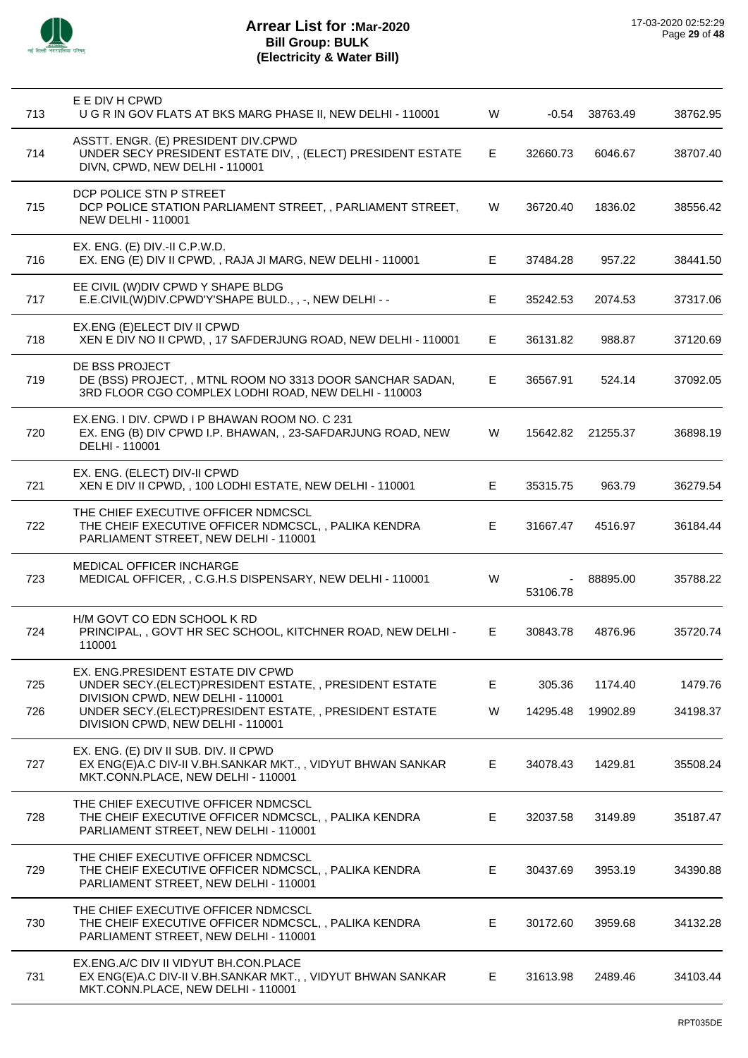

| 713 | E E DIV H CPWD<br>U G R IN GOV FLATS AT BKS MARG PHASE II, NEW DELHI - 110001                                                             | W  | -0.54    | 38763.49 | 38762.95 |
|-----|-------------------------------------------------------------------------------------------------------------------------------------------|----|----------|----------|----------|
| 714 | ASSTT. ENGR. (E) PRESIDENT DIV.CPWD<br>UNDER SECY PRESIDENT ESTATE DIV, , (ELECT) PRESIDENT ESTATE<br>DIVN, CPWD, NEW DELHI - 110001      | Е  | 32660.73 | 6046.67  | 38707.40 |
| 715 | DCP POLICE STN P STREET<br>DCP POLICE STATION PARLIAMENT STREET, , PARLIAMENT STREET,<br><b>NEW DELHI - 110001</b>                        | W  | 36720.40 | 1836.02  | 38556.42 |
| 716 | $EX. ENG. (E) DIV.-II C.P.W.D.$<br>EX. ENG (E) DIV II CPWD, , RAJA JI MARG, NEW DELHI - 110001                                            | Е  | 37484.28 | 957.22   | 38441.50 |
| 717 | EE CIVIL (W)DIV CPWD Y SHAPE BLDG<br>E.E.CIVIL(W)DIV.CPWD'Y'SHAPE BULD., , -, NEW DELHI - -                                               | E. | 35242.53 | 2074.53  | 37317.06 |
| 718 | EX.ENG (E)ELECT DIV II CPWD<br>XEN E DIV NO II CPWD, , 17 SAFDERJUNG ROAD, NEW DELHI - 110001                                             | Е. | 36131.82 | 988.87   | 37120.69 |
| 719 | DE BSS PROJECT<br>DE (BSS) PROJECT, , MTNL ROOM NO 3313 DOOR SANCHAR SADAN,<br>3RD FLOOR CGO COMPLEX LODHI ROAD, NEW DELHI - 110003       | Е  | 36567.91 | 524.14   | 37092.05 |
| 720 | EX.ENG. I DIV. CPWD I P BHAWAN ROOM NO. C 231<br>EX. ENG (B) DIV CPWD I.P. BHAWAN, , 23-SAFDARJUNG ROAD, NEW<br>DELHI - 110001            | W  | 15642.82 | 21255.37 | 36898.19 |
| 721 | EX. ENG. (ELECT) DIV-II CPWD<br>XEN E DIV II CPWD, , 100 LODHI ESTATE, NEW DELHI - 110001                                                 | Е  | 35315.75 | 963.79   | 36279.54 |
| 722 | THE CHIEF EXECUTIVE OFFICER NDMCSCL<br>THE CHEIF EXECUTIVE OFFICER NDMCSCL, , PALIKA KENDRA<br>PARLIAMENT STREET, NEW DELHI - 110001      | E  | 31667.47 | 4516.97  | 36184.44 |
| 723 | MEDICAL OFFICER INCHARGE<br>MEDICAL OFFICER, , C.G.H.S DISPENSARY, NEW DELHI - 110001                                                     | W  | 53106.78 | 88895.00 | 35788.22 |
| 724 | H/M GOVT CO EDN SCHOOL K RD<br>PRINCIPAL, , GOVT HR SEC SCHOOL, KITCHNER ROAD, NEW DELHI -<br>110001                                      | E. | 30843.78 | 4876.96  | 35720.74 |
| 725 | EX. ENG.PRESIDENT ESTATE DIV CPWD<br>UNDER SECY.(ELECT)PRESIDENT ESTATE,, PRESIDENT ESTATE                                                | Е  | 305.36   | 1174.40  | 1479.76  |
| 726 | DIVISION CPWD, NEW DELHI - 110001<br>UNDER SECY.(ELECT)PRESIDENT ESTATE,, PRESIDENT ESTATE<br>DIVISION CPWD, NEW DELHI - 110001           | W  | 14295.48 | 19902.89 | 34198.37 |
| 727 | EX. ENG. (E) DIV II SUB. DIV. II CPWD<br>EX ENG(E)A.C DIV-II V.BH.SANKAR MKT.,, VIDYUT BHWAN SANKAR<br>MKT.CONN.PLACE, NEW DELHI - 110001 | E. | 34078.43 | 1429.81  | 35508.24 |
| 728 | THE CHIEF EXECUTIVE OFFICER NDMCSCL<br>THE CHEIF EXECUTIVE OFFICER NDMCSCL,, PALIKA KENDRA<br>PARLIAMENT STREET, NEW DELHI - 110001       | E. | 32037.58 | 3149.89  | 35187.47 |
| 729 | THE CHIEF EXECUTIVE OFFICER NDMCSCL<br>THE CHEIF EXECUTIVE OFFICER NDMCSCL, , PALIKA KENDRA<br>PARLIAMENT STREET, NEW DELHI - 110001      | Е  | 30437.69 | 3953.19  | 34390.88 |
| 730 | THE CHIEF EXECUTIVE OFFICER NDMCSCL<br>THE CHEIF EXECUTIVE OFFICER NDMCSCL, , PALIKA KENDRA<br>PARLIAMENT STREET, NEW DELHI - 110001      | E. | 30172.60 | 3959.68  | 34132.28 |
| 731 | EX.ENG.A/C DIV II VIDYUT BH.CON.PLACE<br>EX ENG(E)A.C DIV-II V.BH.SANKAR MKT.,, VIDYUT BHWAN SANKAR<br>MKT.CONN.PLACE, NEW DELHI - 110001 | E. | 31613.98 | 2489.46  | 34103.44 |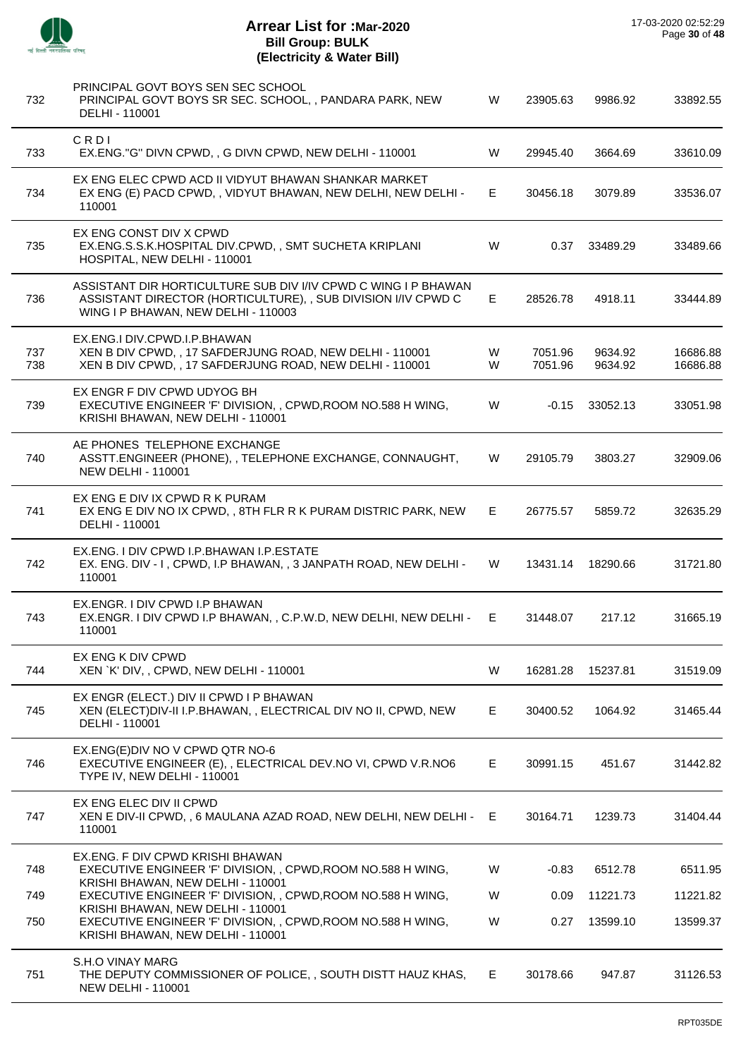

| 732        | PRINCIPAL GOVT BOYS SEN SEC SCHOOL<br>PRINCIPAL GOVT BOYS SR SEC. SCHOOL, , PANDARA PARK, NEW<br>DELHI - 110001                                                        | W      | 23905.63           | 9986.92            | 33892.55             |
|------------|------------------------------------------------------------------------------------------------------------------------------------------------------------------------|--------|--------------------|--------------------|----------------------|
| 733        | CRDI<br>EX.ENG."G" DIVN CPWD, , G DIVN CPWD, NEW DELHI - 110001                                                                                                        | W      | 29945.40           | 3664.69            | 33610.09             |
| 734        | EX ENG ELEC CPWD ACD II VIDYUT BHAWAN SHANKAR MARKET<br>EX ENG (E) PACD CPWD,, VIDYUT BHAWAN, NEW DELHI, NEW DELHI -<br>110001                                         | Е      | 30456.18           | 3079.89            | 33536.07             |
| 735        | EX ENG CONST DIV X CPWD<br>EX.ENG.S.S.K.HOSPITAL DIV.CPWD,, SMT SUCHETA KRIPLANI<br>HOSPITAL, NEW DELHI - 110001                                                       | W      | 0.37               | 33489.29           | 33489.66             |
| 736        | ASSISTANT DIR HORTICULTURE SUB DIV I/IV CPWD C WING I P BHAWAN<br>ASSISTANT DIRECTOR (HORTICULTURE), , SUB DIVISION I/IV CPWD C<br>WING I P BHAWAN, NEW DELHI - 110003 | E      | 28526.78           | 4918.11            | 33444.89             |
| 737<br>738 | EX.ENG.I DIV.CPWD.I.P.BHAWAN<br>XEN B DIV CPWD, , 17 SAFDERJUNG ROAD, NEW DELHI - 110001<br>XEN B DIV CPWD, , 17 SAFDERJUNG ROAD, NEW DELHI - 110001                   | W<br>W | 7051.96<br>7051.96 | 9634.92<br>9634.92 | 16686.88<br>16686.88 |
| 739        | EX ENGR F DIV CPWD UDYOG BH<br>EXECUTIVE ENGINEER 'F' DIVISION, , CPWD, ROOM NO.588 H WING,<br>KRISHI BHAWAN, NEW DELHI - 110001                                       | W      | $-0.15$            | 33052.13           | 33051.98             |
| 740        | AE PHONES TELEPHONE EXCHANGE<br>ASSTT.ENGINEER (PHONE), , TELEPHONE EXCHANGE, CONNAUGHT,<br><b>NEW DELHI - 110001</b>                                                  | W      | 29105.79           | 3803.27            | 32909.06             |
| 741        | EX ENG E DIV IX CPWD R K PURAM<br>EX ENG E DIV NO IX CPWD,, 8TH FLR R K PURAM DISTRIC PARK, NEW<br>DELHI - 110001                                                      | E.     | 26775.57           | 5859.72            | 32635.29             |
| 742        | EX.ENG. I DIV CPWD I.P.BHAWAN I.P.ESTATE<br>EX. ENG. DIV - I, CPWD, I.P BHAWAN, , 3 JANPATH ROAD, NEW DELHI -<br>110001                                                | W      | 13431.14           | 18290.66           | 31721.80             |
| 743        | EX.ENGR. I DIV CPWD I.P BHAWAN<br>EX.ENGR. I DIV CPWD I.P BHAWAN, , C.P.W.D, NEW DELHI, NEW DELHI -<br>110001                                                          | E.     | 31448.07           | 217.12             | 31665.19             |
| 744        | EX ENG K DIV CPWD<br>XEN `K' DIV, , CPWD, NEW DELHI - 110001                                                                                                           | W      | 16281.28           | 15237.81           | 31519.09             |
| 745        | EX ENGR (ELECT.) DIV II CPWD I P BHAWAN<br>XEN (ELECT) DIV-II I.P.BHAWAN, , ELECTRICAL DIV NO II, CPWD, NEW<br>DELHI - 110001                                          | E      | 30400.52           | 1064.92            | 31465.44             |
| 746        | EX.ENG(E)DIV NO V CPWD QTR NO-6<br>EXECUTIVE ENGINEER (E), , ELECTRICAL DEV.NO VI, CPWD V.R.NO6<br>TYPE IV, NEW DELHI - 110001                                         | E.     | 30991.15           | 451.67             | 31442.82             |
| 747        | EX ENG ELEC DIV II CPWD<br>XEN E DIV-II CPWD, , 6 MAULANA AZAD ROAD, NEW DELHI, NEW DELHI - E<br>110001                                                                |        | 30164.71           | 1239.73            | 31404.44             |
| 748        | EX.ENG. F DIV CPWD KRISHI BHAWAN<br>EXECUTIVE ENGINEER 'F' DIVISION, , CPWD, ROOM NO.588 H WING,                                                                       | W      | $-0.83$            | 6512.78            | 6511.95              |
| 749        | KRISHI BHAWAN, NEW DELHI - 110001<br>EXECUTIVE ENGINEER 'F' DIVISION, , CPWD, ROOM NO.588 H WING,                                                                      | W      | 0.09               | 11221.73           | 11221.82             |
| 750        | KRISHI BHAWAN, NEW DELHI - 110001<br>EXECUTIVE ENGINEER 'F' DIVISION, , CPWD, ROOM NO.588 H WING,<br>KRISHI BHAWAN, NEW DELHI - 110001                                 | W      | 0.27               | 13599.10           | 13599.37             |
| 751        | S.H.O VINAY MARG<br>THE DEPUTY COMMISSIONER OF POLICE, , SOUTH DISTT HAUZ KHAS,<br><b>NEW DELHI - 110001</b>                                                           | E.     | 30178.66           | 947.87             | 31126.53             |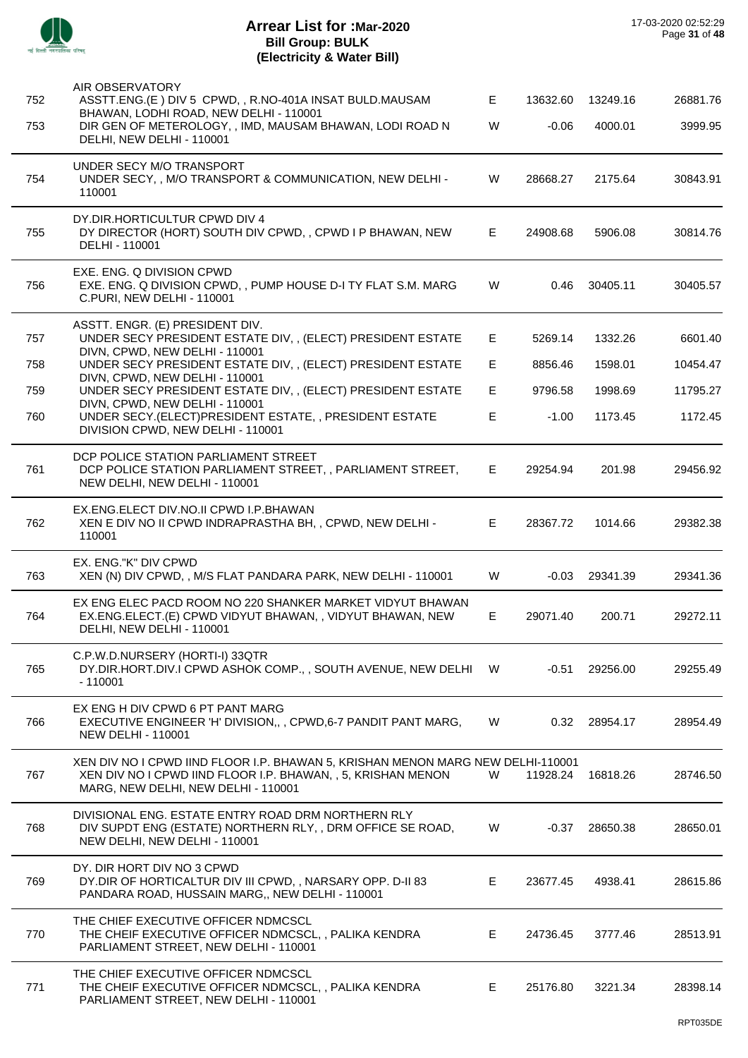

| 752 | AIR OBSERVATORY<br>ASSTT.ENG.(E) DIV 5 CPWD, , R.NO-401A INSAT BULD.MAUSAM                                                                                                             | E. | 13632.60 | 13249.16 | 26881.76 |
|-----|----------------------------------------------------------------------------------------------------------------------------------------------------------------------------------------|----|----------|----------|----------|
| 753 | BHAWAN, LODHI ROAD, NEW DELHI - 110001<br>DIR GEN OF METEROLOGY, , IMD, MAUSAM BHAWAN, LODI ROAD N<br>DELHI, NEW DELHI - 110001                                                        | W  | $-0.06$  | 4000.01  | 3999.95  |
| 754 | UNDER SECY M/O TRANSPORT<br>UNDER SECY, , M/O TRANSPORT & COMMUNICATION, NEW DELHI -<br>110001                                                                                         | W  | 28668.27 | 2175.64  | 30843.91 |
| 755 | DY.DIR.HORTICULTUR CPWD DIV 4<br>DY DIRECTOR (HORT) SOUTH DIV CPWD, , CPWD I P BHAWAN, NEW<br>DELHI - 110001                                                                           | E  | 24908.68 | 5906.08  | 30814.76 |
| 756 | EXE. ENG. Q DIVISION CPWD<br>EXE. ENG. Q DIVISION CPWD,, PUMP HOUSE D-I TY FLAT S.M. MARG<br>C.PURI, NEW DELHI - 110001                                                                | W  | 0.46     | 30405.11 | 30405.57 |
| 757 | ASSTT. ENGR. (E) PRESIDENT DIV.<br>UNDER SECY PRESIDENT ESTATE DIV,, (ELECT) PRESIDENT ESTATE                                                                                          | E  | 5269.14  | 1332.26  | 6601.40  |
| 758 | DIVN, CPWD, NEW DELHI - 110001<br>UNDER SECY PRESIDENT ESTATE DIV,, (ELECT) PRESIDENT ESTATE                                                                                           | E. | 8856.46  | 1598.01  | 10454.47 |
| 759 | DIVN, CPWD, NEW DELHI - 110001<br>UNDER SECY PRESIDENT ESTATE DIV,, (ELECT) PRESIDENT ESTATE                                                                                           | E. | 9796.58  | 1998.69  | 11795.27 |
| 760 | DIVN, CPWD, NEW DELHI - 110001<br>UNDER SECY.(ELECT)PRESIDENT ESTATE,, PRESIDENT ESTATE<br>DIVISION CPWD, NEW DELHI - 110001                                                           | E. | $-1.00$  | 1173.45  | 1172.45  |
| 761 | DCP POLICE STATION PARLIAMENT STREET<br>DCP POLICE STATION PARLIAMENT STREET, , PARLIAMENT STREET,<br>NEW DELHI, NEW DELHI - 110001                                                    | Е. | 29254.94 | 201.98   | 29456.92 |
| 762 | EX.ENG.ELECT DIV.NO.II CPWD I.P.BHAWAN<br>XEN E DIV NO II CPWD INDRAPRASTHA BH, , CPWD, NEW DELHI -<br>110001                                                                          | E  | 28367.72 | 1014.66  | 29382.38 |
| 763 | EX. ENG."K" DIV CPWD<br>XEN (N) DIV CPWD, , M/S FLAT PANDARA PARK, NEW DELHI - 110001                                                                                                  | W  | $-0.03$  | 29341.39 | 29341.36 |
| 764 | EX ENG ELEC PACD ROOM NO 220 SHANKER MARKET VIDYUT BHAWAN<br>EX.ENG.ELECT.(E) CPWD VIDYUT BHAWAN,, VIDYUT BHAWAN, NEW<br>DELHI, NEW DELHI - 110001                                     | E. | 29071.40 | 200.71   | 29272.11 |
| 765 | C.P.W.D.NURSERY (HORTI-I) 33QTR<br>DY.DIR.HORT.DIV.I CPWD ASHOK COMP.,, SOUTH AVENUE, NEW DELHI W<br>- 110001                                                                          |    | -0.51    | 29256.00 | 29255.49 |
| 766 | EX ENG H DIV CPWD 6 PT PANT MARG<br>EXECUTIVE ENGINEER 'H' DIVISION,,, CPWD, 6-7 PANDIT PANT MARG,<br><b>NEW DELHI - 110001</b>                                                        | W  | 0.32     | 28954.17 | 28954.49 |
| 767 | XEN DIV NO I CPWD IIND FLOOR I.P. BHAWAN 5, KRISHAN MENON MARG NEW DELHI-110001<br>XEN DIV NO I CPWD IIND FLOOR I.P. BHAWAN, , 5, KRISHAN MENON<br>MARG, NEW DELHI, NEW DELHI - 110001 | W  | 11928.24 | 16818.26 | 28746.50 |
| 768 | DIVISIONAL ENG. ESTATE ENTRY ROAD DRM NORTHERN RLY<br>DIV SUPDT ENG (ESTATE) NORTHERN RLY, , DRM OFFICE SE ROAD,<br>NEW DELHI, NEW DELHI - 110001                                      | W  | -0.37    | 28650.38 | 28650.01 |
| 769 | DY. DIR HORT DIV NO 3 CPWD<br>DY.DIR OF HORTICALTUR DIV III CPWD, , NARSARY OPP. D-II 83<br>PANDARA ROAD, HUSSAIN MARG,, NEW DELHI - 110001                                            | E  | 23677.45 | 4938.41  | 28615.86 |
| 770 | THE CHIEF EXECUTIVE OFFICER NDMCSCL<br>THE CHEIF EXECUTIVE OFFICER NDMCSCL,, PALIKA KENDRA<br>PARLIAMENT STREET, NEW DELHI - 110001                                                    | E  | 24736.45 | 3777.46  | 28513.91 |
| 771 | THE CHIEF EXECUTIVE OFFICER NDMCSCL<br>THE CHEIF EXECUTIVE OFFICER NDMCSCL, , PALIKA KENDRA<br>PARLIAMENT STREET, NEW DELHI - 110001                                                   | E  | 25176.80 | 3221.34  | 28398.14 |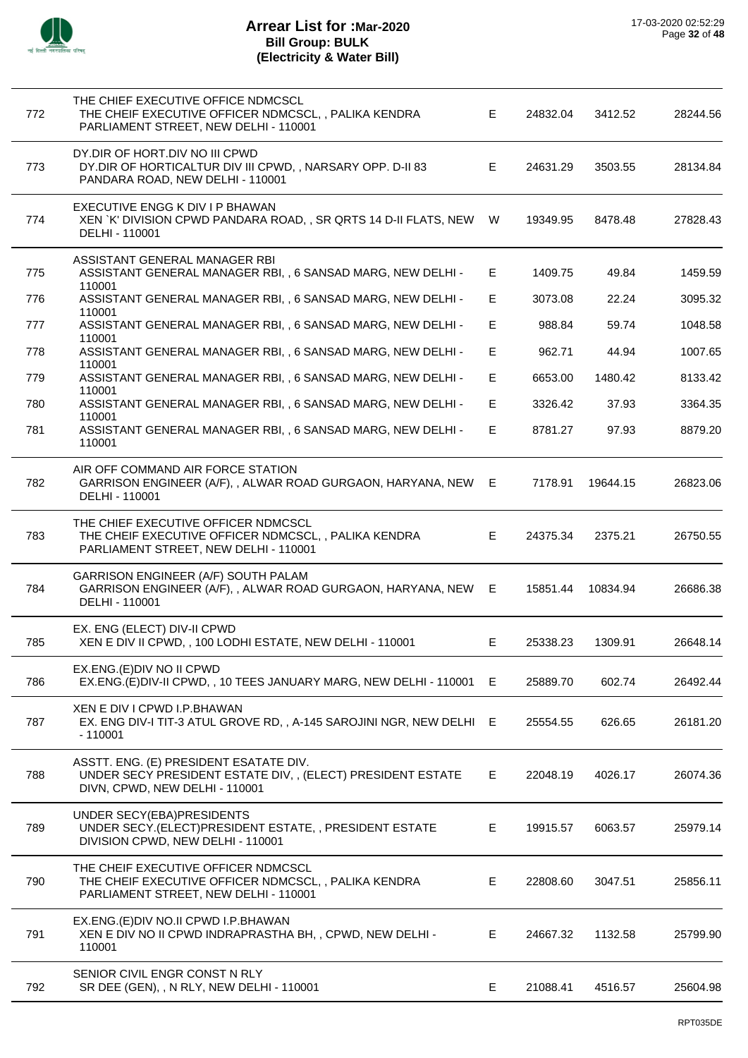

| 772 | THE CHIEF EXECUTIVE OFFICE NDMCSCL<br>THE CHEIF EXECUTIVE OFFICER NDMCSCL, , PALIKA KENDRA<br>PARLIAMENT STREET, NEW DELHI - 110001    | E. | 24832.04 | 3412.52  | 28244.56 |
|-----|----------------------------------------------------------------------------------------------------------------------------------------|----|----------|----------|----------|
| 773 | DY.DIR OF HORT.DIV NO III CPWD<br>DY.DIR OF HORTICALTUR DIV III CPWD, , NARSARY OPP. D-II 83<br>PANDARA ROAD, NEW DELHI - 110001       | E. | 24631.29 | 3503.55  | 28134.84 |
| 774 | EXECUTIVE ENGG K DIV I P BHAWAN<br>XEN `K' DIVISION CPWD PANDARA ROAD,, SR QRTS 14 D-II FLATS, NEW W<br>DELHI - 110001                 |    | 19349.95 | 8478.48  | 27828.43 |
| 775 | ASSISTANT GENERAL MANAGER RBI<br>ASSISTANT GENERAL MANAGER RBI, , 6 SANSAD MARG, NEW DELHI -<br>110001                                 | Е  | 1409.75  | 49.84    | 1459.59  |
| 776 | ASSISTANT GENERAL MANAGER RBI, , 6 SANSAD MARG, NEW DELHI -<br>110001                                                                  | E. | 3073.08  | 22.24    | 3095.32  |
| 777 | ASSISTANT GENERAL MANAGER RBI, , 6 SANSAD MARG, NEW DELHI -                                                                            | E. | 988.84   | 59.74    | 1048.58  |
| 778 | 110001<br>ASSISTANT GENERAL MANAGER RBI, , 6 SANSAD MARG, NEW DELHI -                                                                  | E. | 962.71   | 44.94    | 1007.65  |
| 779 | 110001<br>ASSISTANT GENERAL MANAGER RBI, , 6 SANSAD MARG, NEW DELHI -                                                                  | E. | 6653.00  | 1480.42  | 8133.42  |
| 780 | 110001<br>ASSISTANT GENERAL MANAGER RBI, , 6 SANSAD MARG, NEW DELHI -                                                                  | E. | 3326.42  | 37.93    | 3364.35  |
| 781 | 110001<br>ASSISTANT GENERAL MANAGER RBI, , 6 SANSAD MARG, NEW DELHI -<br>110001                                                        | E. | 8781.27  | 97.93    | 8879.20  |
| 782 | AIR OFF COMMAND AIR FORCE STATION<br>GARRISON ENGINEER (A/F), , ALWAR ROAD GURGAON, HARYANA, NEW E<br>DELHI - 110001                   |    | 7178.91  | 19644.15 | 26823.06 |
| 783 | THE CHIEF EXECUTIVE OFFICER NDMCSCL<br>THE CHEIF EXECUTIVE OFFICER NDMCSCL, , PALIKA KENDRA<br>PARLIAMENT STREET, NEW DELHI - 110001   | E. | 24375.34 | 2375.21  | 26750.55 |
| 784 | GARRISON ENGINEER (A/F) SOUTH PALAM<br>GARRISON ENGINEER (A/F), , ALWAR ROAD GURGAON, HARYANA, NEW E<br>DELHI - 110001                 |    | 15851.44 | 10834.94 | 26686.38 |
| 785 | EX. ENG (ELECT) DIV-II CPWD<br>XEN E DIV II CPWD, , 100 LODHI ESTATE, NEW DELHI - 110001                                               | Е  | 25338.23 | 1309.91  | 26648.14 |
| 786 | EX.ENG.(E)DIV NO II CPWD<br>EX.ENG.(E)DIV-II CPWD,, 10 TEES JANUARY MARG, NEW DELHI - 110001 E                                         |    | 25889.70 | 602.74   | 26492.44 |
| 787 | XEN E DIV I CPWD I.P.BHAWAN<br>EX. ENG DIV-I TIT-3 ATUL GROVE RD,, A-145 SAROJINI NGR, NEW DELHI E<br>$-110001$                        |    | 25554.55 | 626.65   | 26181.20 |
| 788 | ASSTT. ENG. (E) PRESIDENT ESATATE DIV.<br>UNDER SECY PRESIDENT ESTATE DIV,, (ELECT) PRESIDENT ESTATE<br>DIVN, CPWD, NEW DELHI - 110001 | E. | 22048.19 | 4026.17  | 26074.36 |
| 789 | UNDER SECY(EBA)PRESIDENTS<br>UNDER SECY.(ELECT)PRESIDENT ESTATE,, PRESIDENT ESTATE<br>DIVISION CPWD, NEW DELHI - 110001                | E. | 19915.57 | 6063.57  | 25979.14 |
| 790 | THE CHEIF EXECUTIVE OFFICER NDMCSCL<br>THE CHEIF EXECUTIVE OFFICER NDMCSCL,, PALIKA KENDRA<br>PARLIAMENT STREET, NEW DELHI - 110001    | E. | 22808.60 | 3047.51  | 25856.11 |
| 791 | EX.ENG.(E)DIV NO.II CPWD I.P.BHAWAN<br>XEN E DIV NO II CPWD INDRAPRASTHA BH, , CPWD, NEW DELHI -<br>110001                             | E. | 24667.32 | 1132.58  | 25799.90 |
| 792 | SENIOR CIVIL ENGR CONST N RLY<br>SR DEE (GEN), , N RLY, NEW DELHI - 110001                                                             | Е  | 21088.41 | 4516.57  | 25604.98 |
|     |                                                                                                                                        |    |          |          |          |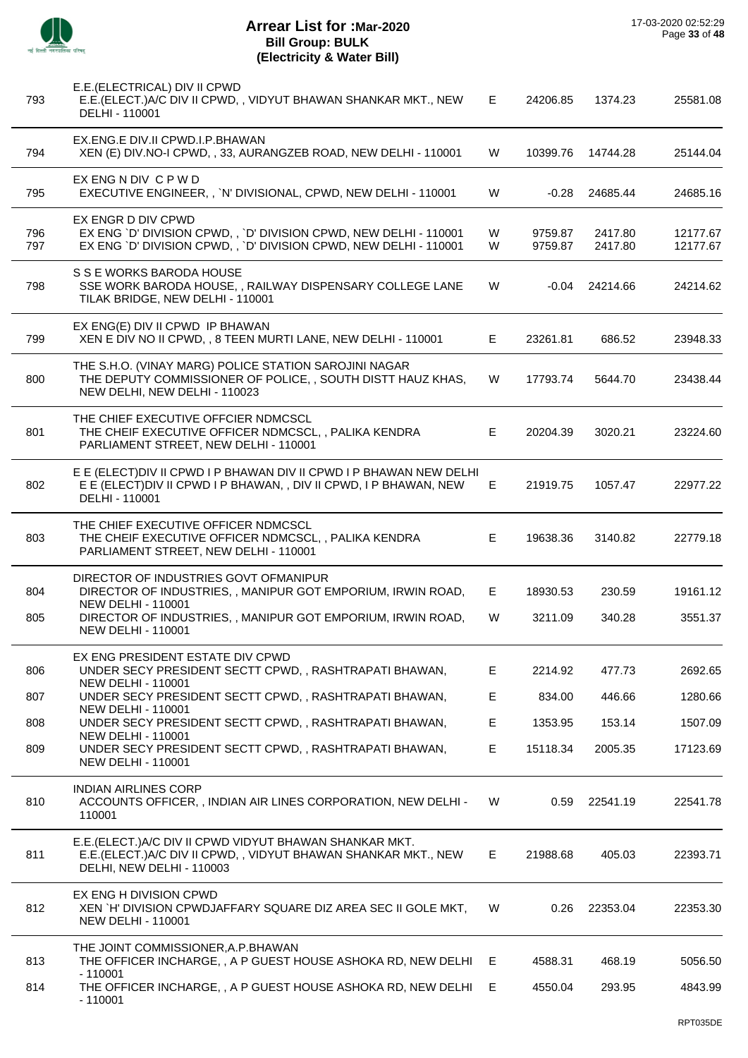

| 793        | E.E. (ELECTRICAL) DIV II CPWD<br>E.E. (ELECT.) A/C DIV II CPWD,, VIDYUT BHAWAN SHANKAR MKT., NEW<br>DELHI - 110001                                           | E.     | 24206.85           | 1374.23            | 25581.08             |
|------------|--------------------------------------------------------------------------------------------------------------------------------------------------------------|--------|--------------------|--------------------|----------------------|
| 794        | EX.ENG.E DIV.II CPWD.I.P.BHAWAN<br>XEN (E) DIV. NO-I CPWD, , 33, AURANGZEB ROAD, NEW DELHI - 110001                                                          | W      | 10399.76           | 14744.28           | 25144.04             |
| 795        | EX ENG N DIV C P W D<br>EXECUTIVE ENGINEER,, `N' DIVISIONAL, CPWD, NEW DELHI - 110001                                                                        | W      | -0.28              | 24685.44           | 24685.16             |
| 796<br>797 | EX ENGR D DIV CPWD<br>EX ENG 'D' DIVISION CPWD, , 'D' DIVISION CPWD, NEW DELHI - 110001<br>EX ENG 'D' DIVISION CPWD, , 'D' DIVISION CPWD, NEW DELHI - 110001 | W<br>W | 9759.87<br>9759.87 | 2417.80<br>2417.80 | 12177.67<br>12177.67 |
| 798        | S S E WORKS BARODA HOUSE<br>SSE WORK BARODA HOUSE, , RAILWAY DISPENSARY COLLEGE LANE<br>TILAK BRIDGE, NEW DELHI - 110001                                     | W      |                    | $-0.04$ 24214.66   | 24214.62             |
| 799        | EX ENG(E) DIV II CPWD IP BHAWAN<br>XEN E DIV NO II CPWD, , 8 TEEN MURTI LANE, NEW DELHI - 110001                                                             | E      | 23261.81           | 686.52             | 23948.33             |
| 800        | THE S.H.O. (VINAY MARG) POLICE STATION SAROJINI NAGAR<br>THE DEPUTY COMMISSIONER OF POLICE, , SOUTH DISTT HAUZ KHAS,<br>NEW DELHI, NEW DELHI - 110023        | W      | 17793.74           | 5644.70            | 23438.44             |
| 801        | THE CHIEF EXECUTIVE OFFCIER NDMCSCL<br>THE CHEIF EXECUTIVE OFFICER NDMCSCL, , PALIKA KENDRA<br>PARLIAMENT STREET, NEW DELHI - 110001                         | E      | 20204.39           | 3020.21            | 23224.60             |
| 802        | E E (ELECT)DIV II CPWD I P BHAWAN DIV II CPWD I P BHAWAN NEW DELHI<br>E E (ELECT) DIV II CPWD I P BHAWAN, , DIV II CPWD, I P BHAWAN, NEW<br>DELHI - 110001   | E      | 21919.75           | 1057.47            | 22977.22             |
| 803        | THE CHIEF EXECUTIVE OFFICER NDMCSCL<br>THE CHEIF EXECUTIVE OFFICER NDMCSCL, , PALIKA KENDRA<br>PARLIAMENT STREET, NEW DELHI - 110001                         | Е      | 19638.36           | 3140.82            | 22779.18             |
| 804        | DIRECTOR OF INDUSTRIES GOVT OFMANIPUR<br>DIRECTOR OF INDUSTRIES,, MANIPUR GOT EMPORIUM, IRWIN ROAD,                                                          | Е      | 18930.53           | 230.59             | 19161.12             |
| 805        | <b>NEW DELHI - 110001</b><br>DIRECTOR OF INDUSTRIES, , MANIPUR GOT EMPORIUM, IRWIN ROAD,<br><b>NEW DELHI - 110001</b>                                        | W      | 3211.09            | 340.28             | 3551.37              |
| 806        | EX ENG PRESIDENT ESTATE DIV CPWD<br>UNDER SECY PRESIDENT SECTT CPWD, , RASHTRAPATI BHAWAN,                                                                   | Е      | 2214.92            | 477.73             | 2692.65              |
| 807        | <b>NEW DELHI - 110001</b><br>UNDER SECY PRESIDENT SECTT CPWD,, RASHTRAPATI BHAWAN,                                                                           | E      | 834.00             | 446.66             | 1280.66              |
| 808        | <b>NEW DELHI - 110001</b><br>UNDER SECY PRESIDENT SECTT CPWD, , RASHTRAPATI BHAWAN,                                                                          | Е      | 1353.95            | 153.14             | 1507.09              |
| 809        | <b>NEW DELHI - 110001</b><br>UNDER SECY PRESIDENT SECTT CPWD, , RASHTRAPATI BHAWAN,                                                                          | Е      | 15118.34           | 2005.35            | 17123.69             |
| 810        | <b>NEW DELHI - 110001</b><br><b>INDIAN AIRLINES CORP</b><br>ACCOUNTS OFFICER, , INDIAN AIR LINES CORPORATION, NEW DELHI -<br>110001                          | W      | 0.59               | 22541.19           | 22541.78             |
| 811        | E.E. (ELECT.) A/C DIV II CPWD VIDYUT BHAWAN SHANKAR MKT.<br>E.E. (ELECT.) A/C DIV II CPWD,, VIDYUT BHAWAN SHANKAR MKT., NEW<br>DELHI, NEW DELHI - 110003     | E.     | 21988.68           | 405.03             | 22393.71             |
| 812        | EX ENG H DIVISION CPWD<br>XEN `H' DIVISION CPWDJAFFARY SQUARE DIZ AREA SEC II GOLE MKT,<br><b>NEW DELHI - 110001</b>                                         | W      | 0.26               | 22353.04           | 22353.30             |
| 813        | THE JOINT COMMISSIONER, A.P. BHAWAN<br>THE OFFICER INCHARGE,, A P GUEST HOUSE ASHOKA RD, NEW DELHI                                                           | E      | 4588.31            | 468.19             | 5056.50              |
| 814        | $-110001$<br>THE OFFICER INCHARGE,, A P GUEST HOUSE ASHOKA RD, NEW DELHI<br>$-110001$                                                                        | E      | 4550.04            | 293.95             | 4843.99              |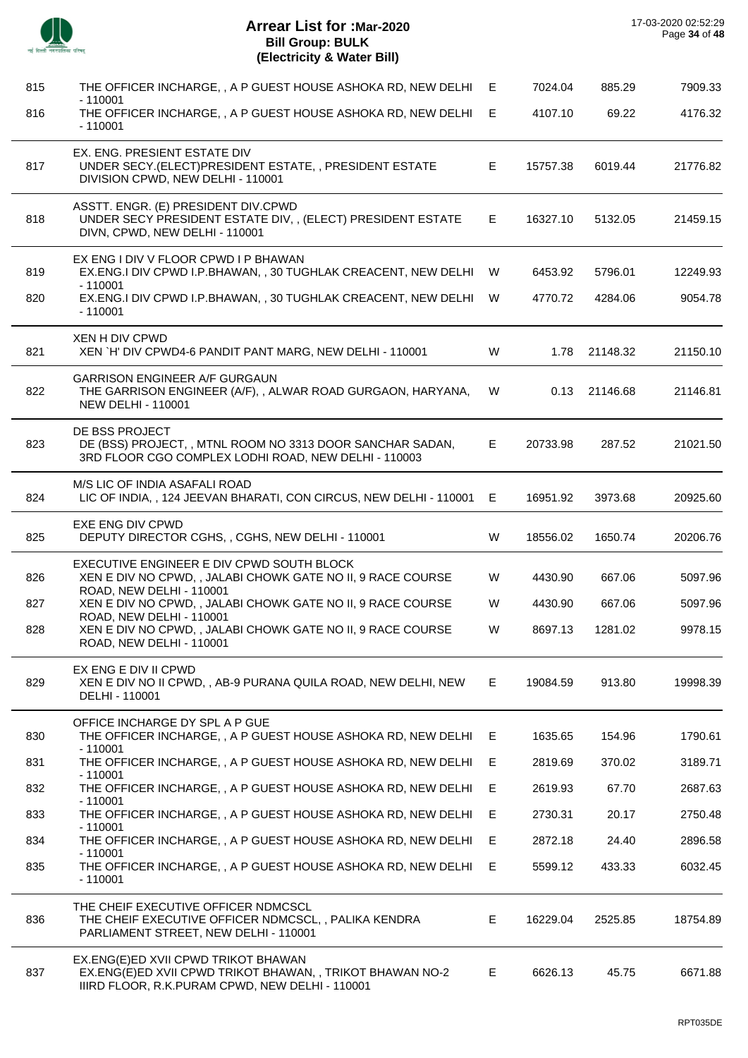|     | <b>Arrear List for : Mar-2020</b><br><b>Bill Group: BULK</b><br>(Electricity & Water Bill)                                                          |    |          |          | 17-03-2020 02:52:29<br>Page 34 of 48 |
|-----|-----------------------------------------------------------------------------------------------------------------------------------------------------|----|----------|----------|--------------------------------------|
| 815 | THE OFFICER INCHARGE,, A P GUEST HOUSE ASHOKA RD, NEW DELHI                                                                                         | E  | 7024.04  | 885.29   | 7909.33                              |
| 816 | $-110001$<br>THE OFFICER INCHARGE, , A P GUEST HOUSE ASHOKA RD, NEW DELHI<br>$-110001$                                                              | E  | 4107.10  | 69.22    | 4176.32                              |
| 817 | EX. ENG. PRESIENT ESTATE DIV<br>UNDER SECY.(ELECT)PRESIDENT ESTATE,, PRESIDENT ESTATE<br>DIVISION CPWD, NEW DELHI - 110001                          | E. | 15757.38 | 6019.44  | 21776.82                             |
| 818 | ASSTT. ENGR. (E) PRESIDENT DIV.CPWD<br>UNDER SECY PRESIDENT ESTATE DIV, , (ELECT) PRESIDENT ESTATE<br>DIVN, CPWD, NEW DELHI - 110001                | E. | 16327.10 | 5132.05  | 21459.15                             |
| 819 | EX ENG I DIV V FLOOR CPWD I P BHAWAN<br>EX.ENG.I DIV CPWD I.P.BHAWAN,, 30 TUGHLAK CREACENT, NEW DELHI W<br>$-110001$                                |    | 6453.92  | 5796.01  | 12249.93                             |
| 820 | EX.ENG.I DIV CPWD I.P.BHAWAN, , 30 TUGHLAK CREACENT, NEW DELHI<br>$-110001$                                                                         | W  | 4770.72  | 4284.06  | 9054.78                              |
| 821 | XEN H DIV CPWD<br>XEN `H' DIV CPWD4-6 PANDIT PANT MARG, NEW DELHI - 110001                                                                          | W  | 1.78     | 21148.32 | 21150.10                             |
| 822 | <b>GARRISON ENGINEER A/F GURGAUN</b><br>THE GARRISON ENGINEER (A/F), , ALWAR ROAD GURGAON, HARYANA,<br><b>NEW DELHI - 110001</b>                    | W  | 0.13     | 21146.68 | 21146.81                             |
| 823 | DE BSS PROJECT<br>DE (BSS) PROJECT, , MTNL ROOM NO 3313 DOOR SANCHAR SADAN,<br>3RD FLOOR CGO COMPLEX LODHI ROAD, NEW DELHI - 110003                 | E. | 20733.98 | 287.52   | 21021.50                             |
| 824 | M/S LIC OF INDIA ASAFALI ROAD<br>LIC OF INDIA, , 124 JEEVAN BHARATI, CON CIRCUS, NEW DELHI - 110001 E                                               |    | 16951.92 | 3973.68  | 20925.60                             |
| 825 | EXE ENG DIV CPWD<br>DEPUTY DIRECTOR CGHS, , CGHS, NEW DELHI - 110001                                                                                | W  | 18556.02 | 1650.74  | 20206.76                             |
| 826 | EXECUTIVE ENGINEER E DIV CPWD SOUTH BLOCK<br>XEN E DIV NO CPWD, , JALABI CHOWK GATE NO II, 9 RACE COURSE<br>ROAD, NEW DELHI - 110001                | W  | 4430.90  | 667.06   | 5097.96                              |
| 827 | XEN E DIV NO CPWD, , JALABI CHOWK GATE NO II, 9 RACE COURSE<br>ROAD, NEW DELHI - 110001                                                             | W  | 4430.90  | 667.06   | 5097.96                              |
| 828 | XEN E DIV NO CPWD, , JALABI CHOWK GATE NO II, 9 RACE COURSE<br>ROAD, NEW DELHI - 110001                                                             | W  | 8697.13  | 1281.02  | 9978.15                              |
| 829 | EX ENG E DIV II CPWD<br>XEN E DIV NO II CPWD, , AB-9 PURANA QUILA ROAD, NEW DELHI, NEW<br>DELHI - 110001                                            | E. | 19084.59 | 913.80   | 19998.39                             |
| 830 | OFFICE INCHARGE DY SPL A P GUE<br>THE OFFICER INCHARGE, , A P GUEST HOUSE ASHOKA RD, NEW DELHI<br>$-110001$                                         | Е  | 1635.65  | 154.96   | 1790.61                              |
| 831 | THE OFFICER INCHARGE, , A P GUEST HOUSE ASHOKA RD, NEW DELHI<br>$-110001$                                                                           | Е  | 2819.69  | 370.02   | 3189.71                              |
| 832 | THE OFFICER INCHARGE, , A P GUEST HOUSE ASHOKA RD, NEW DELHI<br>$-110001$                                                                           | Е  | 2619.93  | 67.70    | 2687.63                              |
| 833 | THE OFFICER INCHARGE, , A P GUEST HOUSE ASHOKA RD, NEW DELHI                                                                                        | E  | 2730.31  | 20.17    | 2750.48                              |
| 834 | $-110001$<br>THE OFFICER INCHARGE, , A P GUEST HOUSE ASHOKA RD, NEW DELHI                                                                           | Е  | 2872.18  | 24.40    | 2896.58                              |
| 835 | $-110001$<br>THE OFFICER INCHARGE, , A P GUEST HOUSE ASHOKA RD, NEW DELHI<br>$-110001$                                                              | E  | 5599.12  | 433.33   | 6032.45                              |
| 836 | THE CHEIF EXECUTIVE OFFICER NDMCSCL<br>THE CHEIF EXECUTIVE OFFICER NDMCSCL, , PALIKA KENDRA<br>PARLIAMENT STREET, NEW DELHI - 110001                | E. | 16229.04 | 2525.85  | 18754.89                             |
| 837 | EX.ENG(E)ED XVII CPWD TRIKOT BHAWAN<br>EX.ENG(E)ED XVII CPWD TRIKOT BHAWAN, , TRIKOT BHAWAN NO-2<br>IIIRD FLOOR, R.K.PURAM CPWD, NEW DELHI - 110001 | E. | 6626.13  | 45.75    | 6671.88                              |

 $\overline{\phantom{a}}$ 

J.

 $\overline{\phantom{a}}$ 

 $\overline{a}$ 

 $\overline{a}$ 

 $\overline{\phantom{a}}$ 

 $\overline{\phantom{a}}$ 

 $\overline{a}$ 

J.

 $\overline{a}$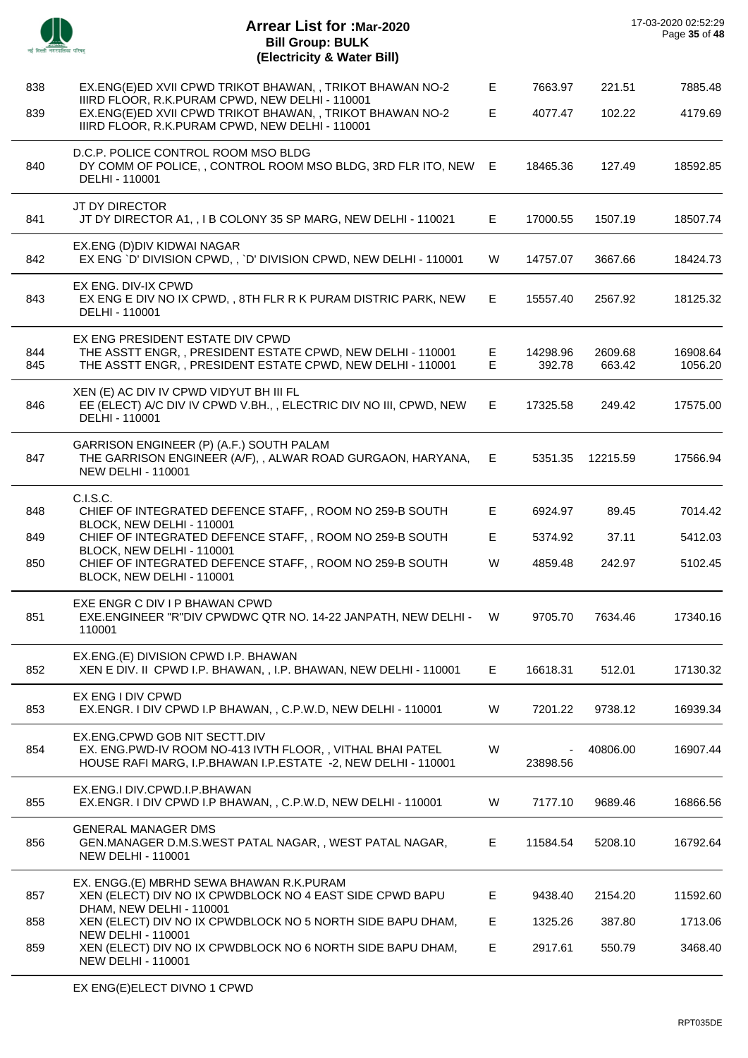|            | <b>Arrear List for :Mar-2020</b><br><b>Bill Group: BULK</b><br>(Electricity & Water Bill)                                                                       |        |                    |                   | 17-03-2020 02:52:29<br>Page 35 of 48 |
|------------|-----------------------------------------------------------------------------------------------------------------------------------------------------------------|--------|--------------------|-------------------|--------------------------------------|
| 838        | EX.ENG(E)ED XVII CPWD TRIKOT BHAWAN, , TRIKOT BHAWAN NO-2                                                                                                       | E      | 7663.97            | 221.51            | 7885.48                              |
| 839        | IIIRD FLOOR, R.K.PURAM CPWD, NEW DELHI - 110001<br>EX.ENG(E)ED XVII CPWD TRIKOT BHAWAN, , TRIKOT BHAWAN NO-2<br>IIIRD FLOOR, R.K.PURAM CPWD, NEW DELHI - 110001 | E      | 4077.47            | 102.22            | 4179.69                              |
| 840        | D.C.P. POLICE CONTROL ROOM MSO BLDG<br>DY COMM OF POLICE, , CONTROL ROOM MSO BLDG, 3RD FLR ITO, NEW E<br>DELHI - 110001                                         |        | 18465.36           | 127.49            | 18592.85                             |
| 841        | JT DY DIRECTOR<br>JT DY DIRECTOR A1, , I B COLONY 35 SP MARG, NEW DELHI - 110021                                                                                | Е      | 17000.55           | 1507.19           | 18507.74                             |
| 842        | EX.ENG (D)DIV KIDWAI NAGAR<br>EX ENG `D' DIVISION CPWD, , `D' DIVISION CPWD, NEW DELHI - 110001                                                                 | W      | 14757.07           | 3667.66           | 18424.73                             |
| 843        | EX ENG. DIV-IX CPWD<br>EX ENG E DIV NO IX CPWD, , 8TH FLR R K PURAM DISTRIC PARK, NEW<br>DELHI - 110001                                                         | E.     | 15557.40           | 2567.92           | 18125.32                             |
| 844<br>845 | EX ENG PRESIDENT ESTATE DIV CPWD<br>THE ASSTT ENGR,, PRESIDENT ESTATE CPWD, NEW DELHI - 110001<br>THE ASSTT ENGR,, PRESIDENT ESTATE CPWD, NEW DELHI - 110001    | Е<br>Е | 14298.96<br>392.78 | 2609.68<br>663.42 | 16908.64<br>1056.20                  |
| 846        | XEN (E) AC DIV IV CPWD VIDYUT BH III FL<br>EE (ELECT) A/C DIV IV CPWD V.BH., , ELECTRIC DIV NO III, CPWD, NEW<br>DELHI - 110001                                 | Е.     | 17325.58           | 249.42            | 17575.00                             |
| 847        | GARRISON ENGINEER (P) (A.F.) SOUTH PALAM<br>THE GARRISON ENGINEER (A/F), , ALWAR ROAD GURGAON, HARYANA,<br><b>NEW DELHI - 110001</b>                            | Е      | 5351.35            | 12215.59          | 17566.94                             |
| 848        | C.I.S.C.<br>CHIEF OF INTEGRATED DEFENCE STAFF,, ROOM NO 259-B SOUTH<br>BLOCK, NEW DELHI - 110001                                                                | Е      | 6924.97            | 89.45             | 7014.42                              |
| 849        | CHIEF OF INTEGRATED DEFENCE STAFF, , ROOM NO 259-B SOUTH                                                                                                        | Е      | 5374.92            | 37.11             | 5412.03                              |
| 850        | BLOCK, NEW DELHI - 110001<br>CHIEF OF INTEGRATED DEFENCE STAFF,, ROOM NO 259-B SOUTH<br>BLOCK, NEW DELHI - 110001                                               | W      | 4859.48            | 242.97            | 5102.45                              |
| 851        | EXE ENGR C DIV I P BHAWAN CPWD<br>EXE.ENGINEER "R"DIV CPWDWC QTR NO. 14-22 JANPATH, NEW DELHI -<br>110001                                                       | W      | 9705.70            | 7634.46           | 17340.16                             |
| 852        | EX.ENG.(E) DIVISION CPWD I.P. BHAWAN<br>XEN E DIV. II CPWD I.P. BHAWAN, , I.P. BHAWAN, NEW DELHI - 110001                                                       | E.     | 16618.31           | 512.01            | 17130.32                             |
| 853        | EX ENG I DIV CPWD<br>EX.ENGR. I DIV CPWD I.P BHAWAN, , C.P.W.D, NEW DELHI - 110001                                                                              | W      | 7201.22            | 9738.12           | 16939.34                             |
| 854        | EX.ENG.CPWD GOB NIT SECTT.DIV<br>EX. ENG.PWD-IV ROOM NO-413 IVTH FLOOR,, VITHAL BHAI PATEL<br>HOUSE RAFI MARG, I.P.BHAWAN I.P.ESTATE -2, NEW DELHI - 110001     | W      | 23898.56           | 40806.00          | 16907.44                             |
| 855        | EX.ENG.I DIV.CPWD.I.P.BHAWAN<br>EX.ENGR. I DIV CPWD I.P BHAWAN, , C.P.W.D, NEW DELHI - 110001                                                                   | W      | 7177.10            | 9689.46           | 16866.56                             |
| 856        | <b>GENERAL MANAGER DMS</b><br>GEN.MANAGER D.M.S.WEST PATAL NAGAR,, WEST PATAL NAGAR,<br><b>NEW DELHI - 110001</b>                                               | E      | 11584.54           | 5208.10           | 16792.64                             |
| 857        | EX. ENGG.(E) MBRHD SEWA BHAWAN R.K.PURAM<br>XEN (ELECT) DIV NO IX CPWDBLOCK NO 4 EAST SIDE CPWD BAPU                                                            | Е      | 9438.40            | 2154.20           | 11592.60                             |
| 858        | DHAM, NEW DELHI - 110001<br>XEN (ELECT) DIV NO IX CPWDBLOCK NO 5 NORTH SIDE BAPU DHAM,                                                                          | Е      | 1325.26            | 387.80            | 1713.06                              |
| 859        | <b>NEW DELHI - 110001</b><br>XEN (ELECT) DIV NO IX CPWDBLOCK NO 6 NORTH SIDE BAPU DHAM,<br><b>NEW DELHI - 110001</b>                                            | E      | 2917.61            | 550.79            | 3468.40                              |
|            |                                                                                                                                                                 |        |                    |                   |                                      |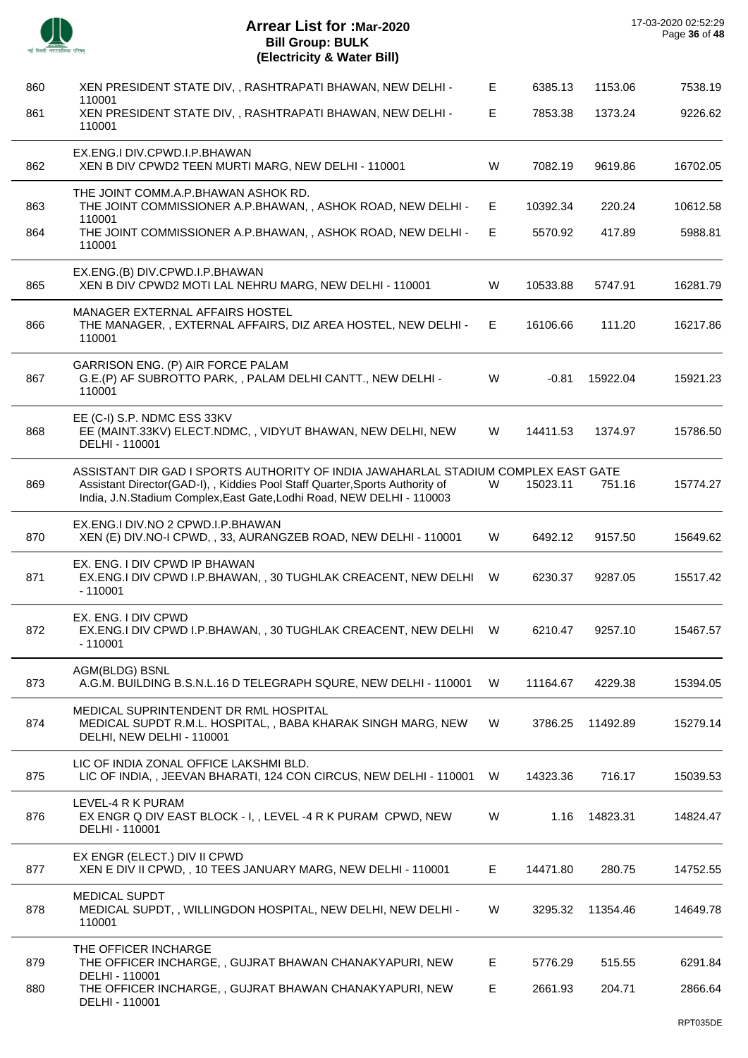|     | <b>Arrear List for :Mar-2020</b><br><b>Bill Group: BULK</b><br>(Electricity & Water Bill)                                                                                                                            |
|-----|----------------------------------------------------------------------------------------------------------------------------------------------------------------------------------------------------------------------|
| 860 | XEN PRESIDENT STATE DIV, , RASHTRAPATI BHAWAN, NEW DELHI -                                                                                                                                                           |
| 861 | 110001<br>XEN PRESIDENT STATE DIV, , RASHTRAPATI BHAWAN, NEW DELHI -<br>110001                                                                                                                                       |
| 862 | EX.ENG.I DIV.CPWD.I.P.BHAWAN<br>XEN B DIV CPWD2 TEEN MURTI MARG, NEW DELHI - 110001                                                                                                                                  |
| 863 | THE JOINT COMM.A.P.BHAWAN ASHOK RD.<br>THE JOINT COMMISSIONER A.P.BHAWAN,, ASHOK ROAD, NEW DELH<br>110001                                                                                                            |
| 864 | THE JOINT COMMISSIONER A.P.BHAWAN,, ASHOK ROAD, NEW DELH<br>110001                                                                                                                                                   |
| 865 | EX.ENG.(B) DIV.CPWD.I.P.BHAWAN<br>XEN B DIV CPWD2 MOTI LAL NEHRU MARG, NEW DELHI - 110001                                                                                                                            |
| 866 | <b>MANAGER EXTERNAL AFFAIRS HOSTEL</b><br>THE MANAGER,, EXTERNAL AFFAIRS, DIZ AREA HOSTEL, NEW DELH<br>110001                                                                                                        |
| 867 | GARRISON ENG. (P) AIR FORCE PALAM<br>G.E.(P) AF SUBROTTO PARK,, PALAM DELHI CANTT., NEW DELHI -<br>110001                                                                                                            |
| 868 | EE (C-I) S.P. NDMC ESS 33KV<br>EE (MAINT.33KV) ELECT.NDMC, , VIDYUT BHAWAN, NEW DELHI, NEW<br>DELHI - 110001                                                                                                         |
| 869 | ASSISTANT DIR GAD I SPORTS AUTHORITY OF INDIA JAWAHARLAL ST<br>Assistant Director(GAD-I), , Kiddies Pool Staff Quarter, Sports Authority of<br>India, J.N.Stadium Complex, East Gate, Lodhi Road, NEW DELHI - 110003 |
| 870 | EX.ENG.I DIV.NO 2 CPWD.I.P.BHAWAN<br>XEN (E) DIV.NO-I CPWD, , 33, AURANGZEB ROAD, NEW DELHI - 11000                                                                                                                  |
| 871 | EX. ENG. I DIV CPWD IP BHAWAN<br>EX.ENG.I DIV CPWD I.P.BHAWAN, , 30 TUGHLAK CREACENT, NEW DE<br>$-110001$                                                                                                            |
| 872 | EX. ENG. I DIV CPWD<br>EX.ENG.I DIV CPWD I.P.BHAWAN, , 30 TUGHLAK CREACENT, NEW DE<br>$-110001$                                                                                                                      |
| 873 | AGM(BLDG) BSNL<br>A.G.M. BUILDING B.S.N.L.16 D TELEGRAPH SQURE, NEW DELHI - 110                                                                                                                                      |
| 874 | MEDICAL SUPRINTENDENT DR RML HOSPITAL<br>MEDICAL SUPDT R.M.L. HOSPITAL,, BABA KHARAK SINGH MARG, NE<br>DELHI, NEW DELHI - 110001                                                                                     |
|     |                                                                                                                                                                                                                      |

880 THE OFFICER INCHARGE, , GUJRAT BHAWAN CHANAKYAPURI, NEW

DELHI - 110001

E 6385.13 1153.06 7538.19

E 7853.38 1373.24 9226.62

| 862 | EX.ENG.I DIV.CPWD.I.P.BHAWAN<br>XEN B DIV CPWD2 TEEN MURTI MARG, NEW DELHI - 110001                                                                                                                                                        | W  | 7082.19  | 9619.86  | 16702.05 |
|-----|--------------------------------------------------------------------------------------------------------------------------------------------------------------------------------------------------------------------------------------------|----|----------|----------|----------|
| 863 | THE JOINT COMM.A.P.BHAWAN ASHOK RD.<br>THE JOINT COMMISSIONER A.P.BHAWAN, , ASHOK ROAD, NEW DELHI -<br>110001                                                                                                                              | E. | 10392.34 | 220.24   | 10612.58 |
| 864 | THE JOINT COMMISSIONER A.P.BHAWAN, , ASHOK ROAD, NEW DELHI -<br>110001                                                                                                                                                                     | E. | 5570.92  | 417.89   | 5988.81  |
| 865 | EX.ENG.(B) DIV.CPWD.I.P.BHAWAN<br>XEN B DIV CPWD2 MOTI LAL NEHRU MARG, NEW DELHI - 110001                                                                                                                                                  | W  | 10533.88 | 5747.91  | 16281.79 |
| 866 | MANAGER EXTERNAL AFFAIRS HOSTEL<br>THE MANAGER, , EXTERNAL AFFAIRS, DIZ AREA HOSTEL, NEW DELHI -<br>110001                                                                                                                                 | E. | 16106.66 | 111.20   | 16217.86 |
| 867 | GARRISON ENG. (P) AIR FORCE PALAM<br>G.E.(P) AF SUBROTTO PARK,, PALAM DELHI CANTT., NEW DELHI -<br>110001                                                                                                                                  | W  | $-0.81$  | 15922.04 | 15921.23 |
| 868 | EE (C-I) S.P. NDMC ESS 33KV<br>EE (MAINT.33KV) ELECT.NDMC,, VIDYUT BHAWAN, NEW DELHI, NEW<br>DELHI - 110001                                                                                                                                | W  | 14411.53 | 1374.97  | 15786.50 |
| 869 | ASSISTANT DIR GAD I SPORTS AUTHORITY OF INDIA JAWAHARLAL STADIUM COMPLEX EAST GATE<br>Assistant Director(GAD-I),, Kiddies Pool Staff Quarter, Sports Authority of<br>India, J.N.Stadium Complex, East Gate, Lodhi Road, NEW DELHI - 110003 | W  | 15023.11 | 751.16   | 15774.27 |
| 870 | EX.ENG.I DIV.NO 2 CPWD.I.P.BHAWAN<br>XEN (E) DIV. NO-I CPWD, , 33, AURANGZEB ROAD, NEW DELHI - 110001                                                                                                                                      | W  | 6492.12  | 9157.50  | 15649.62 |
| 871 | EX. ENG. I DIV CPWD IP BHAWAN<br>EX.ENG.I DIV CPWD I.P.BHAWAN,, 30 TUGHLAK CREACENT, NEW DELHI<br>$-110001$                                                                                                                                | W  | 6230.37  | 9287.05  | 15517.42 |
| 872 | EX. ENG. I DIV CPWD<br>EX.ENG.I DIV CPWD I.P.BHAWAN,, 30 TUGHLAK CREACENT, NEW DELHI<br>$-110001$                                                                                                                                          | W  | 6210.47  | 9257.10  | 15467.57 |
| 873 | AGM(BLDG) BSNL<br>A.G.M. BUILDING B.S.N.L.16 D TELEGRAPH SQURE, NEW DELHI - 110001                                                                                                                                                         | W  | 11164.67 | 4229.38  | 15394.05 |
| 874 | MEDICAL SUPRINTENDENT DR RML HOSPITAL<br>MEDICAL SUPDT R.M.L. HOSPITAL, , BABA KHARAK SINGH MARG, NEW<br>DELHI, NEW DELHI - 110001                                                                                                         | W  | 3786.25  | 11492.89 | 15279.14 |
| 875 | LIC OF INDIA ZONAL OFFICE LAKSHMI BLD.<br>LIC OF INDIA,, JEEVAN BHARATI, 124 CON CIRCUS, NEW DELHI - 110001                                                                                                                                | W  | 14323.36 | 716.17   | 15039.53 |
| 876 | LEVEL-4 R K PURAM<br>EX ENGR Q DIV EAST BLOCK - I, , LEVEL -4 R K PURAM CPWD, NEW<br>DELHI - 110001                                                                                                                                        | W  | 1.16     | 14823.31 | 14824.47 |
| 877 | EX ENGR (ELECT.) DIV II CPWD<br>XEN E DIV II CPWD, , 10 TEES JANUARY MARG, NEW DELHI - 110001                                                                                                                                              | E. | 14471.80 | 280.75   | 14752.55 |
| 878 | <b>MEDICAL SUPDT</b><br>MEDICAL SUPDT,, WILLINGDON HOSPITAL, NEW DELHI, NEW DELHI -<br>110001                                                                                                                                              | W  | 3295.32  | 11354.46 | 14649.78 |
| 879 | THE OFFICER INCHARGE<br>THE OFFICER INCHARGE, , GUJRAT BHAWAN CHANAKYAPURI, NEW<br>DELHI - 110001                                                                                                                                          | Е  | 5776.29  | 515.55   | 6291.84  |

E 2661.93 204.71 2866.64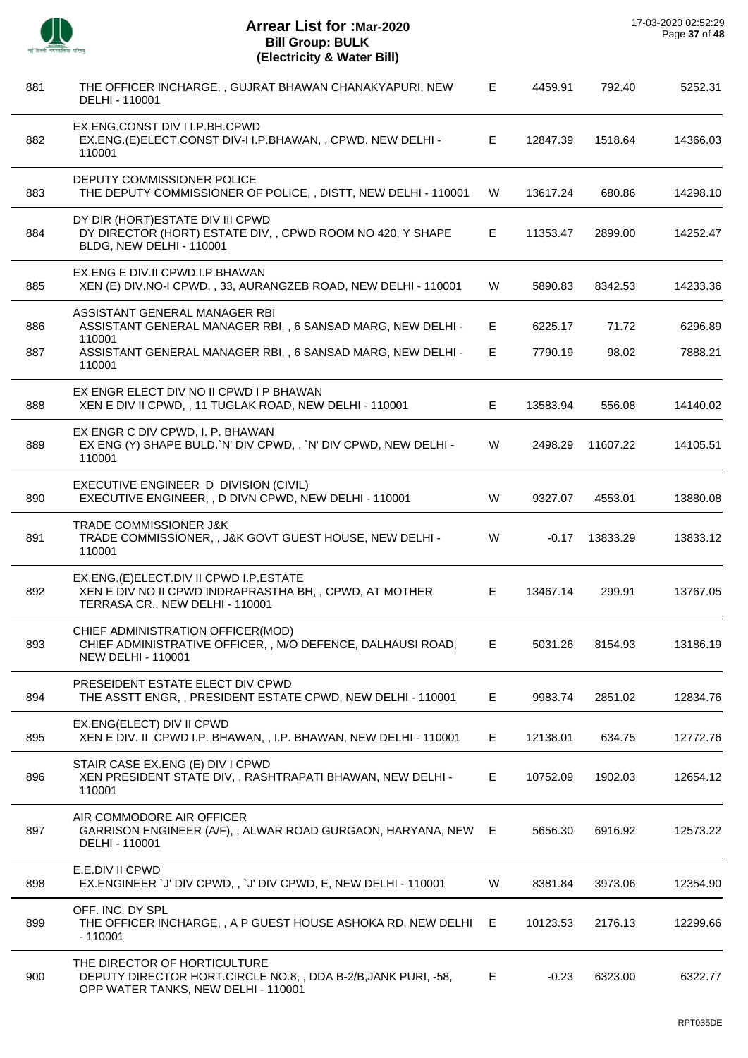

J.

J.

J.

J.

÷,

J.

J.

| 881 | THE OFFICER INCHARGE,, GUJRAT BHAWAN CHANAKYAPURI, NEW<br>DELHI - 110001                                                             | Е  | 4459.91  | 792.40   | 5252.31  |
|-----|--------------------------------------------------------------------------------------------------------------------------------------|----|----------|----------|----------|
| 882 | EX.ENG.CONST DIV I I.P.BH.CPWD<br>EX.ENG.(E)ELECT.CONST DIV-I I.P.BHAWAN,, CPWD, NEW DELHI -<br>110001                               | E  | 12847.39 | 1518.64  | 14366.03 |
| 883 | DEPUTY COMMISSIONER POLICE<br>THE DEPUTY COMMISSIONER OF POLICE, , DISTT, NEW DELHI - 110001                                         | W  | 13617.24 | 680.86   | 14298.10 |
| 884 | DY DIR (HORT) ESTATE DIV III CPWD<br>DY DIRECTOR (HORT) ESTATE DIV, , CPWD ROOM NO 420, Y SHAPE<br>BLDG, NEW DELHI - 110001          | E  | 11353.47 | 2899.00  | 14252.47 |
| 885 | EX.ENG E DIV.II CPWD.I.P.BHAWAN<br>XEN (E) DIV. NO-I CPWD, , 33, AURANGZEB ROAD, NEW DELHI - 110001                                  | W  | 5890.83  | 8342.53  | 14233.36 |
| 886 | ASSISTANT GENERAL MANAGER RBI<br>ASSISTANT GENERAL MANAGER RBI, , 6 SANSAD MARG, NEW DELHI -<br>110001                               | Е  | 6225.17  | 71.72    | 6296.89  |
| 887 | ASSISTANT GENERAL MANAGER RBI, , 6 SANSAD MARG, NEW DELHI -<br>110001                                                                | E  | 7790.19  | 98.02    | 7888.21  |
| 888 | EX ENGR ELECT DIV NO II CPWD I P BHAWAN<br>XEN E DIV II CPWD, , 11 TUGLAK ROAD, NEW DELHI - 110001                                   | E  | 13583.94 | 556.08   | 14140.02 |
| 889 | EX ENGR C DIV CPWD, I. P. BHAWAN<br>EX ENG (Y) SHAPE BULD. N' DIV CPWD,, N' DIV CPWD, NEW DELHI -<br>110001                          | W  | 2498.29  | 11607.22 | 14105.51 |
| 890 | EXECUTIVE ENGINEER D DIVISION (CIVIL)<br>EXECUTIVE ENGINEER, , D DIVN CPWD, NEW DELHI - 110001                                       | W  | 9327.07  | 4553.01  | 13880.08 |
| 891 | <b>TRADE COMMISSIONER J&amp;K</b><br>TRADE COMMISSIONER, , J&K GOVT GUEST HOUSE, NEW DELHI -<br>110001                               | W  | $-0.17$  | 13833.29 | 13833.12 |
| 892 | EX.ENG.(E)ELECT.DIV II CPWD I.P.ESTATE<br>XEN E DIV NO II CPWD INDRAPRASTHA BH, , CPWD, AT MOTHER<br>TERRASA CR., NEW DELHI - 110001 | E  | 13467.14 | 299.91   | 13767.05 |
| 893 | CHIEF ADMINISTRATION OFFICER(MOD)<br>CHIEF ADMINISTRATIVE OFFICER, , M/O DEFENCE, DALHAUSI ROAD,<br><b>NEW DELHI - 110001</b>        | E. | 5031.26  | 8154.93  | 13186.19 |
| 894 | PRESEIDENT ESTATE ELECT DIV CPWD<br>THE ASSTT ENGR,, PRESIDENT ESTATE CPWD, NEW DELHI - 110001                                       | Е  | 9983.74  | 2851.02  | 12834.76 |
| 895 | EX.ENG(ELECT) DIV II CPWD<br>XEN E DIV. II CPWD I.P. BHAWAN, , I.P. BHAWAN, NEW DELHI - 110001                                       | Е  | 12138.01 | 634.75   | 12772.76 |
| 896 | STAIR CASE EX.ENG (E) DIV I CPWD<br>XEN PRESIDENT STATE DIV, , RASHTRAPATI BHAWAN, NEW DELHI -<br>110001                             | E. | 10752.09 | 1902.03  | 12654.12 |
| 897 | AIR COMMODORE AIR OFFICER<br>GARRISON ENGINEER (A/F),, ALWAR ROAD GURGAON, HARYANA, NEW E<br>DELHI - 110001                          |    | 5656.30  | 6916.92  | 12573.22 |
| 898 | E.E.DIV II CPWD<br>EX.ENGINEER `J' DIV CPWD,, `J' DIV CPWD, E, NEW DELHI - 110001                                                    | W  | 8381.84  | 3973.06  | 12354.90 |
| 899 | OFF. INC. DY SPL<br>THE OFFICER INCHARGE, , A P GUEST HOUSE ASHOKA RD, NEW DELHI E<br>$-110001$                                      |    | 10123.53 | 2176.13  | 12299.66 |
| 900 | THE DIRECTOR OF HORTICULTURE<br>DEPUTY DIRECTOR HORT.CIRCLE NO.8,, DDA B-2/B, JANK PURI, -58,<br>OPP WATER TANKS, NEW DELHI - 110001 | Е  | $-0.23$  | 6323.00  | 6322.77  |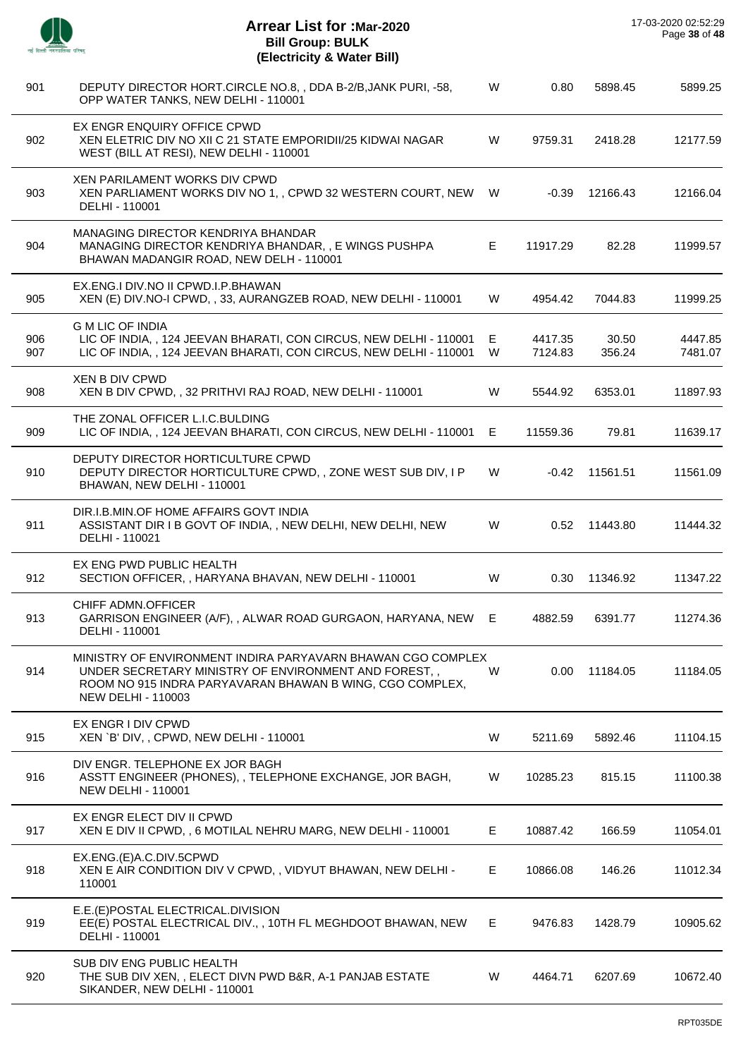$\overline{\phantom{a}}$ 

J.

 $\overline{a}$ 

 $\overline{a}$ 

| 901        | DEPUTY DIRECTOR HORT.CIRCLE NO.8, , DDA B-2/B, JANK PURI, -58,<br>OPP WATER TANKS, NEW DELHI - 110001                                                                                                        | W      | 0.80               | 5898.45         | 5899.25            |
|------------|--------------------------------------------------------------------------------------------------------------------------------------------------------------------------------------------------------------|--------|--------------------|-----------------|--------------------|
| 902        | EX ENGR ENQUIRY OFFICE CPWD<br>XEN ELETRIC DIV NO XII C 21 STATE EMPORIDII/25 KIDWAI NAGAR<br>WEST (BILL AT RESI), NEW DELHI - 110001                                                                        | W      | 9759.31            | 2418.28         | 12177.59           |
| 903        | XEN PARILAMENT WORKS DIV CPWD<br>XEN PARLIAMENT WORKS DIV NO 1, , CPWD 32 WESTERN COURT, NEW<br>DELHI - 110001                                                                                               | W      | -0.39              | 12166.43        | 12166.04           |
| 904        | MANAGING DIRECTOR KENDRIYA BHANDAR<br>MANAGING DIRECTOR KENDRIYA BHANDAR, , E WINGS PUSHPA<br>BHAWAN MADANGIR ROAD, NEW DELH - 110001                                                                        | Е      | 11917.29           | 82.28           | 11999.57           |
| 905        | EX.ENG.I DIV.NO II CPWD.I.P.BHAWAN<br>XEN (E) DIV. NO-I CPWD, , 33, AURANGZEB ROAD, NEW DELHI - 110001                                                                                                       | W      | 4954.42            | 7044.83         | 11999.25           |
| 906<br>907 | <b>G M LIC OF INDIA</b><br>LIC OF INDIA,, 124 JEEVAN BHARATI, CON CIRCUS, NEW DELHI - 110001<br>LIC OF INDIA,, 124 JEEVAN BHARATI, CON CIRCUS, NEW DELHI - 110001                                            | E<br>W | 4417.35<br>7124.83 | 30.50<br>356.24 | 4447.85<br>7481.07 |
| 908        | <b>XEN B DIV CPWD</b><br>XEN B DIV CPWD, , 32 PRITHVI RAJ ROAD, NEW DELHI - 110001                                                                                                                           | W      | 5544.92            | 6353.01         | 11897.93           |
| 909        | THE ZONAL OFFICER L.I.C.BULDING<br>LIC OF INDIA,, 124 JEEVAN BHARATI, CON CIRCUS, NEW DELHI - 110001                                                                                                         | E.     | 11559.36           | 79.81           | 11639.17           |
| 910        | DEPUTY DIRECTOR HORTICULTURE CPWD<br>DEPUTY DIRECTOR HORTICULTURE CPWD, , ZONE WEST SUB DIV, I P<br>BHAWAN, NEW DELHI - 110001                                                                               | W      | -0.42              | 11561.51        | 11561.09           |
| 911        | DIR.I.B.MIN.OF HOME AFFAIRS GOVT INDIA<br>ASSISTANT DIR I B GOVT OF INDIA, , NEW DELHI, NEW DELHI, NEW<br>DELHI - 110021                                                                                     | W      | 0.52               | 11443.80        | 11444.32           |
| 912        | EX ENG PWD PUBLIC HEALTH<br>SECTION OFFICER, , HARYANA BHAVAN, NEW DELHI - 110001                                                                                                                            | W      | 0.30               | 11346.92        | 11347.22           |
| 913        | CHIFF ADMN.OFFICER<br>GARRISON ENGINEER (A/F), , ALWAR ROAD GURGAON, HARYANA, NEW<br>DELHI - 110001                                                                                                          | E      | 4882.59            | 6391.77         | 11274.36           |
| 914        | MINISTRY OF ENVIRONMENT INDIRA PARYAVARN BHAWAN CGO COMPLEX<br>UNDER SECRETARY MINISTRY OF ENVIRONMENT AND FOREST,,<br>ROOM NO 915 INDRA PARYAVARAN BHAWAN B WING, CGO COMPLEX,<br><b>NEW DELHI - 110003</b> | W      | 0.00               | 11184.05        | 11184.05           |
| 915        | EX ENGR I DIV CPWD<br>XEN `B' DIV, , CPWD, NEW DELHI - 110001                                                                                                                                                | W      | 5211.69            | 5892.46         | 11104.15           |
| 916        | DIV ENGR. TELEPHONE EX JOR BAGH<br>ASSTT ENGINEER (PHONES), , TELEPHONE EXCHANGE, JOR BAGH,<br><b>NEW DELHI - 110001</b>                                                                                     | W      | 10285.23           | 815.15          | 11100.38           |
| 917        | EX ENGR ELECT DIV II CPWD<br>XEN E DIV II CPWD, , 6 MOTILAL NEHRU MARG, NEW DELHI - 110001                                                                                                                   | Е      | 10887.42           | 166.59          | 11054.01           |
| 918        | EX.ENG.(E)A.C.DIV.5CPWD<br>XEN E AIR CONDITION DIV V CPWD, , VIDYUT BHAWAN, NEW DELHI -<br>110001                                                                                                            | Е      | 10866.08           | 146.26          | 11012.34           |
| 919        | E.E.(E)POSTAL ELECTRICAL.DIVISION<br>EE(E) POSTAL ELECTRICAL DIV.,, 10TH FL MEGHDOOT BHAWAN, NEW<br>DELHI - 110001                                                                                           | Е      | 9476.83            | 1428.79         | 10905.62           |
| 920        | SUB DIV ENG PUBLIC HEALTH<br>THE SUB DIV XEN,, ELECT DIVN PWD B&R, A-1 PANJAB ESTATE<br>SIKANDER, NEW DELHI - 110001                                                                                         | W      | 4464.71            | 6207.69         | 10672.40           |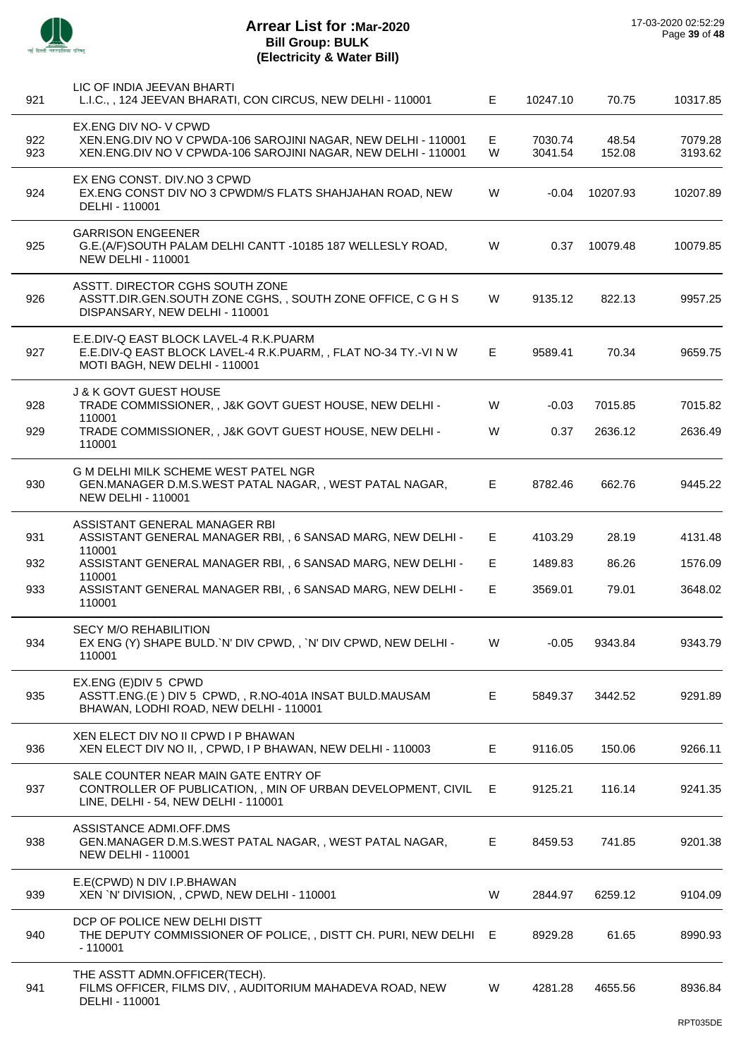

| 921        | LIC OF INDIA JEEVAN BHARTI<br>L.I.C., , 124 JEEVAN BHARATI, CON CIRCUS, NEW DELHI - 110001                                                             | E.     | 10247.10           | 70.75           | 10317.85           |
|------------|--------------------------------------------------------------------------------------------------------------------------------------------------------|--------|--------------------|-----------------|--------------------|
| 922<br>923 | EX.ENG DIV NO-V CPWD<br>XEN.ENG.DIV NO V CPWDA-106 SAROJINI NAGAR, NEW DELHI - 110001<br>XEN.ENG.DIV NO V CPWDA-106 SAROJINI NAGAR, NEW DELHI - 110001 | E<br>W | 7030.74<br>3041.54 | 48.54<br>152.08 | 7079.28<br>3193.62 |
| 924        | EX ENG CONST. DIV.NO 3 CPWD<br>EX.ENG CONST DIV NO 3 CPWDM/S FLATS SHAHJAHAN ROAD, NEW<br>DELHI - 110001                                               | W      | $-0.04$            | 10207.93        | 10207.89           |
| 925        | <b>GARRISON ENGEENER</b><br>G.E.(A/F)SOUTH PALAM DELHI CANTT -10185 187 WELLESLY ROAD,<br>NEW DELHI - 110001                                           | W      | 0.37               | 10079.48        | 10079.85           |
| 926        | ASSTT. DIRECTOR CGHS SOUTH ZONE<br>ASSTT.DIR.GEN.SOUTH ZONE CGHS,, SOUTH ZONE OFFICE, C G H S<br>DISPANSARY, NEW DELHI - 110001                        | W      | 9135.12            | 822.13          | 9957.25            |
| 927        | E.E.DIV-Q EAST BLOCK LAVEL-4 R.K.PUARM<br>E.E.DIV-Q EAST BLOCK LAVEL-4 R.K.PUARM, , FLAT NO-34 TY.-VI N W<br>MOTI BAGH, NEW DELHI - 110001             | E      | 9589.41            | 70.34           | 9659.75            |
| 928        | <b>J &amp; K GOVT GUEST HOUSE</b><br>TRADE COMMISSIONER, , J&K GOVT GUEST HOUSE, NEW DELHI -                                                           | W      | $-0.03$            | 7015.85         | 7015.82            |
| 929        | 110001<br>TRADE COMMISSIONER, , J&K GOVT GUEST HOUSE, NEW DELHI -<br>110001                                                                            | W      | 0.37               | 2636.12         | 2636.49            |
| 930        | <b>G M DELHI MILK SCHEME WEST PATEL NGR</b><br>GEN.MANAGER D.M.S.WEST PATAL NAGAR,, WEST PATAL NAGAR,<br><b>NEW DELHI - 110001</b>                     | E.     | 8782.46            | 662.76          | 9445.22            |
| 931        | ASSISTANT GENERAL MANAGER RBI<br>ASSISTANT GENERAL MANAGER RBI, , 6 SANSAD MARG, NEW DELHI -<br>110001                                                 | E      | 4103.29            | 28.19           | 4131.48            |
| 932        | ASSISTANT GENERAL MANAGER RBI, , 6 SANSAD MARG, NEW DELHI -                                                                                            | E.     | 1489.83            | 86.26           | 1576.09            |
| 933        | 110001<br>ASSISTANT GENERAL MANAGER RBI, , 6 SANSAD MARG, NEW DELHI -<br>110001                                                                        | E.     | 3569.01            | 79.01           | 3648.02            |
| 934        | <b>SECY M/O REHABILITION</b><br>EX ENG (Y) SHAPE BULD. N' DIV CPWD, , 'N' DIV CPWD, NEW DELHI -<br>110001                                              | W      | $-0.05$            | 9343.84         | 9343.79            |
| 935        | EX.ENG (E)DIV 5 CPWD<br>ASSTT.ENG.(E) DIV 5 CPWD,, R.NO-401A INSAT BULD.MAUSAM<br>BHAWAN, LODHI ROAD, NEW DELHI - 110001                               | E      | 5849.37            | 3442.52         | 9291.89            |
| 936        | XEN ELECT DIV NO II CPWD I P BHAWAN<br>XEN ELECT DIV NO II,, CPWD, I P BHAWAN, NEW DELHI - 110003                                                      | E.     | 9116.05            | 150.06          | 9266.11            |
| 937        | SALE COUNTER NEAR MAIN GATE ENTRY OF<br>CONTROLLER OF PUBLICATION, , MIN OF URBAN DEVELOPMENT, CIVIL<br>LINE, DELHI - 54, NEW DELHI - 110001           | E      | 9125.21            | 116.14          | 9241.35            |
| 938        | ASSISTANCE ADMI.OFF.DMS<br>GEN.MANAGER D.M.S.WEST PATAL NAGAR,, WEST PATAL NAGAR,<br><b>NEW DELHI - 110001</b>                                         | E.     | 8459.53            | 741.85          | 9201.38            |
| 939        | E.E(CPWD) N DIV I.P.BHAWAN<br>XEN 'N' DIVISION, , CPWD, NEW DELHI - 110001                                                                             | W      | 2844.97            | 6259.12         | 9104.09            |
| 940        | DCP OF POLICE NEW DELHI DISTT<br>THE DEPUTY COMMISSIONER OF POLICE, , DISTT CH. PURI, NEW DELHI E<br>$-110001$                                         |        | 8929.28            | 61.65           | 8990.93            |
| 941        | THE ASSTT ADMN.OFFICER(TECH).<br>FILMS OFFICER, FILMS DIV,, AUDITORIUM MAHADEVA ROAD, NEW<br>DELHI - 110001                                            | W      | 4281.28            | 4655.56         | 8936.84            |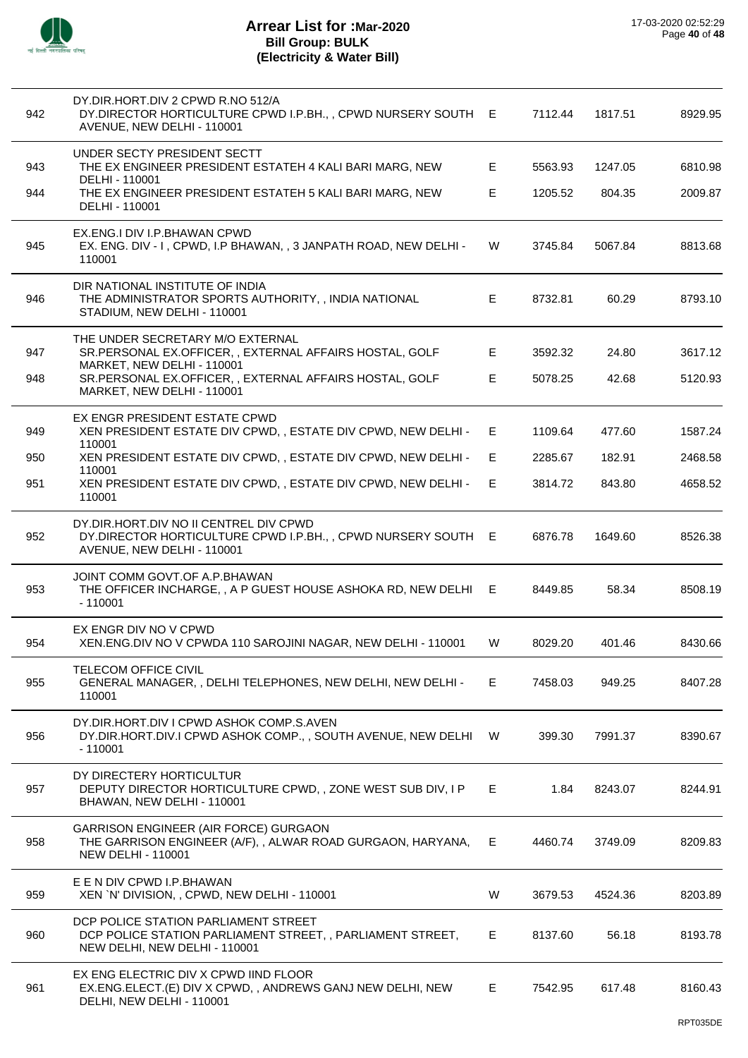

| 942        | DY.DIR.HORT.DIV 2 CPWD R.NO 512/A<br>DY.DIRECTOR HORTICULTURE CPWD I.P.BH., , CPWD NURSERY SOUTH E<br>AVENUE, NEW DELHI - 110001                                                      |         | 7112.44            | 1817.51           | 8929.95            |
|------------|---------------------------------------------------------------------------------------------------------------------------------------------------------------------------------------|---------|--------------------|-------------------|--------------------|
| 943<br>944 | UNDER SECTY PRESIDENT SECTT<br>THE EX ENGINEER PRESIDENT ESTATEH 4 KALI BARI MARG, NEW<br>DELHI - 110001<br>THE EX ENGINEER PRESIDENT ESTATEH 5 KALI BARI MARG, NEW<br>DELHI - 110001 | E<br>E. | 5563.93<br>1205.52 | 1247.05<br>804.35 | 6810.98<br>2009.87 |
| 945        | EX.ENG.I DIV I.P.BHAWAN CPWD<br>EX. ENG. DIV - I, CPWD, I.P BHAWAN, , 3 JANPATH ROAD, NEW DELHI -<br>110001                                                                           | W       | 3745.84            | 5067.84           | 8813.68            |
| 946        | DIR NATIONAL INSTITUTE OF INDIA<br>THE ADMINISTRATOR SPORTS AUTHORITY, , INDIA NATIONAL<br>STADIUM, NEW DELHI - 110001                                                                | E       | 8732.81            | 60.29             | 8793.10            |
| 947<br>948 | THE UNDER SECRETARY M/O EXTERNAL<br>SR.PERSONAL EX.OFFICER,, EXTERNAL AFFAIRS HOSTAL, GOLF<br>MARKET, NEW DELHI - 110001<br>SR.PERSONAL EX.OFFICER,, EXTERNAL AFFAIRS HOSTAL, GOLF    | E.<br>E | 3592.32<br>5078.25 | 24.80<br>42.68    | 3617.12<br>5120.93 |
|            | MARKET, NEW DELHI - 110001                                                                                                                                                            |         |                    |                   |                    |
| 949        | EX ENGR PRESIDENT ESTATE CPWD<br>XEN PRESIDENT ESTATE DIV CPWD,, ESTATE DIV CPWD, NEW DELHI -<br>110001                                                                               | E       | 1109.64            | 477.60            | 1587.24            |
| 950        | XEN PRESIDENT ESTATE DIV CPWD, , ESTATE DIV CPWD, NEW DELHI -<br>110001                                                                                                               | E.      | 2285.67            | 182.91            | 2468.58            |
| 951        | XEN PRESIDENT ESTATE DIV CPWD, , ESTATE DIV CPWD, NEW DELHI -<br>110001                                                                                                               | E.      | 3814.72            | 843.80            | 4658.52            |
| 952        | DY.DIR.HORT.DIV NO II CENTREL DIV CPWD<br>DY.DIRECTOR HORTICULTURE CPWD I.P.BH., , CPWD NURSERY SOUTH E<br>AVENUE, NEW DELHI - 110001                                                 |         | 6876.78            | 1649.60           | 8526.38            |
| 953        | JOINT COMM GOVT.OF A.P.BHAWAN<br>THE OFFICER INCHARGE, , A P GUEST HOUSE ASHOKA RD, NEW DELHI E<br>$-110001$                                                                          |         | 8449.85            | 58.34             | 8508.19            |
| 954        | EX ENGR DIV NO V CPWD<br>XEN.ENG.DIV NO V CPWDA 110 SAROJINI NAGAR, NEW DELHI - 110001                                                                                                | W       | 8029.20            | 401.46            | 8430.66            |
| 955        | <b>TELECOM OFFICE CIVIL</b><br>GENERAL MANAGER, , DELHI TELEPHONES, NEW DELHI, NEW DELHI -<br>110001                                                                                  | E.      | 7458.03            | 949.25            | 8407.28            |
| 956        | DY.DIR.HORT.DIV I CPWD ASHOK COMP.S.AVEN<br>DY.DIR.HORT.DIV.I CPWD ASHOK COMP.,, SOUTH AVENUE, NEW DELHI<br>$-110001$                                                                 | W       | 399.30             | 7991.37           | 8390.67            |
| 957        | DY DIRECTERY HORTICULTUR<br>DEPUTY DIRECTOR HORTICULTURE CPWD,, ZONE WEST SUB DIV, I P<br>BHAWAN, NEW DELHI - 110001                                                                  | Е.      | 1.84               | 8243.07           | 8244.91            |
| 958        | <b>GARRISON ENGINEER (AIR FORCE) GURGAON</b><br>THE GARRISON ENGINEER (A/F), , ALWAR ROAD GURGAON, HARYANA,<br><b>NEW DELHI - 110001</b>                                              | E.      | 4460.74            | 3749.09           | 8209.83            |
| 959        | E E N DIV CPWD I.P.BHAWAN<br>XEN `N' DIVISION, , CPWD, NEW DELHI - 110001                                                                                                             | W       | 3679.53            | 4524.36           | 8203.89            |
| 960        | DCP POLICE STATION PARLIAMENT STREET<br>DCP POLICE STATION PARLIAMENT STREET, , PARLIAMENT STREET,<br>NEW DELHI, NEW DELHI - 110001                                                   | E.      | 8137.60            | 56.18             | 8193.78            |
| 961        | EX ENG ELECTRIC DIV X CPWD IIND FLOOR<br>EX.ENG.ELECT.(E) DIV X CPWD,, ANDREWS GANJ NEW DELHI, NEW<br>DELHI, NEW DELHI - 110001                                                       | E       | 7542.95            | 617.48            | 8160.43            |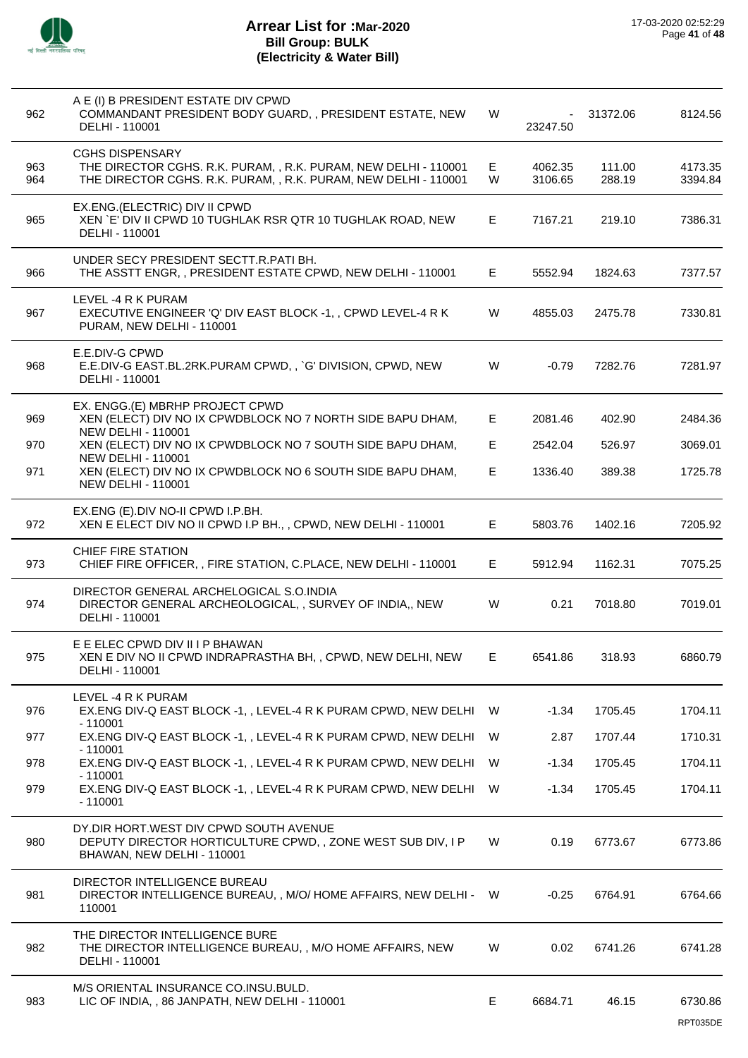

| 962        | A E (I) B PRESIDENT ESTATE DIV CPWD<br>COMMANDANT PRESIDENT BODY GUARD, , PRESIDENT ESTATE, NEW<br>DELHI - 110001                                            | W       | 23247.50           | 31372.06         | 8124.56             |
|------------|--------------------------------------------------------------------------------------------------------------------------------------------------------------|---------|--------------------|------------------|---------------------|
| 963<br>964 | <b>CGHS DISPENSARY</b><br>THE DIRECTOR CGHS. R.K. PURAM, , R.K. PURAM, NEW DELHI - 110001<br>THE DIRECTOR CGHS. R.K. PURAM, , R.K. PURAM, NEW DELHI - 110001 | E.<br>W | 4062.35<br>3106.65 | 111.00<br>288.19 | 4173.35<br>3394.84  |
| 965        | EX.ENG.(ELECTRIC) DIV II CPWD<br>XEN `E' DIV II CPWD 10 TUGHLAK RSR QTR 10 TUGHLAK ROAD, NEW<br>DELHI - 110001                                               | E.      | 7167.21            | 219.10           | 7386.31             |
| 966        | UNDER SECY PRESIDENT SECTT.R.PATI BH.<br>THE ASSTT ENGR,, PRESIDENT ESTATE CPWD, NEW DELHI - 110001                                                          | E.      | 5552.94            | 1824.63          | 7377.57             |
| 967        | LEVEL -4 R K PURAM<br>EXECUTIVE ENGINEER 'Q' DIV EAST BLOCK -1, , CPWD LEVEL-4 R K<br>PURAM, NEW DELHI - 110001                                              | W       | 4855.03            | 2475.78          | 7330.81             |
| 968        | E.E.DIV-G CPWD<br>E.E.DIV-G EAST.BL.2RK.PURAM CPWD,, `G' DIVISION, CPWD, NEW<br>DELHI - 110001                                                               | W       | $-0.79$            | 7282.76          | 7281.97             |
| 969        | EX. ENGG.(E) MBRHP PROJECT CPWD<br>XEN (ELECT) DIV NO IX CPWDBLOCK NO 7 NORTH SIDE BAPU DHAM,<br><b>NEW DELHI - 110001</b>                                   | E.      | 2081.46            | 402.90           | 2484.36             |
| 970        | XEN (ELECT) DIV NO IX CPWDBLOCK NO 7 SOUTH SIDE BAPU DHAM,                                                                                                   | E       | 2542.04            | 526.97           | 3069.01             |
| 971        | <b>NEW DELHI - 110001</b><br>XEN (ELECT) DIV NO IX CPWDBLOCK NO 6 SOUTH SIDE BAPU DHAM,<br><b>NEW DELHI - 110001</b>                                         | E       | 1336.40            | 389.38           | 1725.78             |
| 972        | EX.ENG (E).DIV NO-II CPWD I.P.BH.<br>XEN E ELECT DIV NO II CPWD I.P BH., , CPWD, NEW DELHI - 110001                                                          | E.      | 5803.76            | 1402.16          | 7205.92             |
| 973        | CHIEF FIRE STATION<br>CHIEF FIRE OFFICER, , FIRE STATION, C.PLACE, NEW DELHI - 110001                                                                        | E.      | 5912.94            | 1162.31          | 7075.25             |
| 974        | DIRECTOR GENERAL ARCHELOGICAL S.O.INDIA<br>DIRECTOR GENERAL ARCHEOLOGICAL, , SURVEY OF INDIA,, NEW<br>DELHI - 110001                                         | W       | 0.21               | 7018.80          | 7019.01             |
| 975        | E E ELEC CPWD DIV II I P BHAWAN<br>XEN E DIV NO II CPWD INDRAPRASTHA BH, , CPWD, NEW DELHI, NEW<br>DELHI - 110001                                            | E.      | 6541.86            | 318.93           | 6860.79             |
| 976        | LEVEL -4 R K PURAM<br>EX.ENG DIV-Q EAST BLOCK -1, , LEVEL-4 R K PURAM CPWD, NEW DELHI W<br>$-110001$                                                         |         | $-1.34$            | 1705.45          | 1704.11             |
| 977        | EX.ENG DIV-Q EAST BLOCK -1, , LEVEL-4 R K PURAM CPWD, NEW DELHI                                                                                              | W.      | 2.87               | 1707.44          | 1710.31             |
| 978        | $-110001$<br>EX.ENG DIV-Q EAST BLOCK -1, , LEVEL-4 R K PURAM CPWD, NEW DELHI                                                                                 | - W     | $-1.34$            | 1705.45          | 1704.11             |
| 979        | $-110001$<br>EX.ENG DIV-Q EAST BLOCK -1, , LEVEL-4 R K PURAM CPWD, NEW DELHI<br>$-110001$                                                                    | - W     | $-1.34$            | 1705.45          | 1704.11             |
| 980        | DY.DIR HORT.WEST DIV CPWD SOUTH AVENUE<br>DEPUTY DIRECTOR HORTICULTURE CPWD,, ZONE WEST SUB DIV, I P<br>BHAWAN, NEW DELHI - 110001                           | W       | 0.19               | 6773.67          | 6773.86             |
| 981        | DIRECTOR INTELLIGENCE BUREAU<br>DIRECTOR INTELLIGENCE BUREAU, , M/O/ HOME AFFAIRS, NEW DELHI - W<br>110001                                                   |         | $-0.25$            | 6764.91          | 6764.66             |
| 982        | THE DIRECTOR INTELLIGENCE BURE<br>THE DIRECTOR INTELLIGENCE BUREAU, , M/O HOME AFFAIRS, NEW<br>DELHI - 110001                                                | W       | 0.02               | 6741.26          | 6741.28             |
| 983        | M/S ORIENTAL INSURANCE CO.INSU.BULD.<br>LIC OF INDIA, , 86 JANPATH, NEW DELHI - 110001                                                                       | E       | 6684.71            | 46.15            | 6730.86<br>RPT035DE |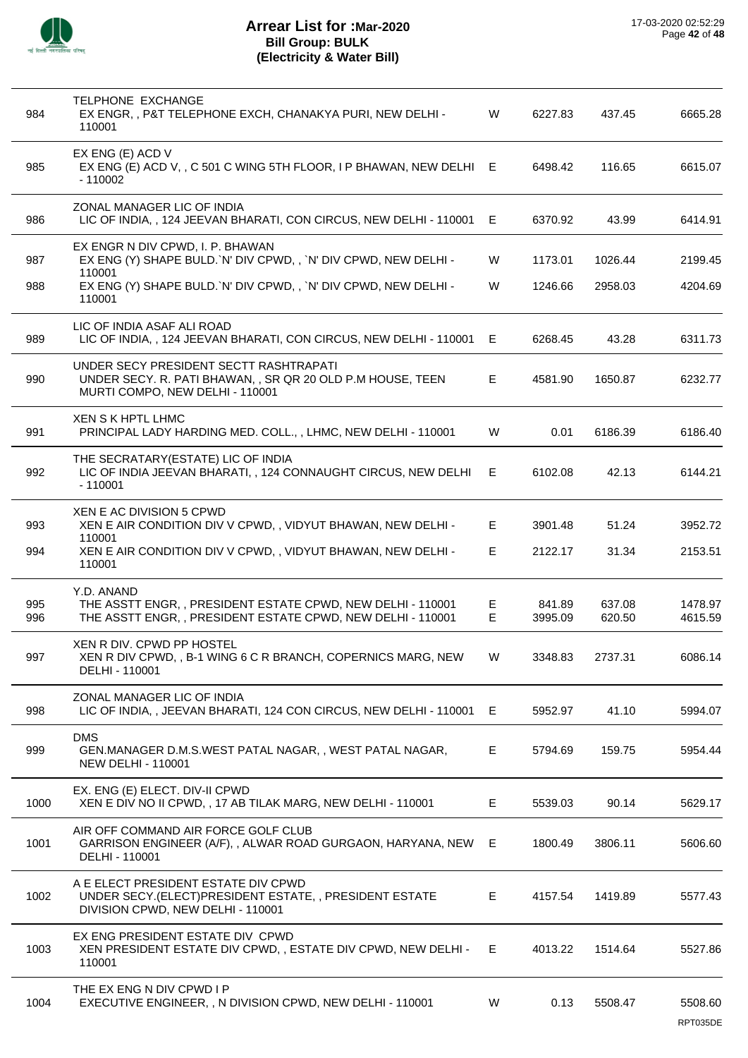

| 984        | <b>TELPHONE EXCHANGE</b><br>EX ENGR, , P&T TELEPHONE EXCH, CHANAKYA PURI, NEW DELHI -<br>110001                                         | W       | 6227.83           | 437.45           | 6665.28             |
|------------|-----------------------------------------------------------------------------------------------------------------------------------------|---------|-------------------|------------------|---------------------|
| 985        | EX ENG (E) ACD V<br>EX ENG (E) ACD V, , C 501 C WING 5TH FLOOR, I P BHAWAN, NEW DELHI E<br>$-110002$                                    |         | 6498.42           | 116.65           | 6615.07             |
| 986        | ZONAL MANAGER LIC OF INDIA<br>LIC OF INDIA,, 124 JEEVAN BHARATI, CON CIRCUS, NEW DELHI - 110001                                         | E       | 6370.92           | 43.99            | 6414.91             |
| 987        | EX ENGR N DIV CPWD, I. P. BHAWAN<br>EX ENG (Y) SHAPE BULD. N' DIV CPWD,, 'N' DIV CPWD, NEW DELHI -                                      | W       | 1173.01           | 1026.44          | 2199.45             |
| 988        | 110001<br>EX ENG (Y) SHAPE BULD. N' DIV CPWD,, 'N' DIV CPWD, NEW DELHI -<br>110001                                                      | W       | 1246.66           | 2958.03          | 4204.69             |
| 989        | LIC OF INDIA ASAF ALI ROAD<br>LIC OF INDIA,, 124 JEEVAN BHARATI, CON CIRCUS, NEW DELHI - 110001                                         | E.      | 6268.45           | 43.28            | 6311.73             |
| 990        | UNDER SECY PRESIDENT SECTT RASHTRAPATI<br>UNDER SECY. R. PATI BHAWAN, , SR QR 20 OLD P.M HOUSE, TEEN<br>MURTI COMPO, NEW DELHI - 110001 | E.      | 4581.90           | 1650.87          | 6232.77             |
| 991        | XEN S K HPTL LHMC<br>PRINCIPAL LADY HARDING MED. COLL., , LHMC, NEW DELHI - 110001                                                      | W       | 0.01              | 6186.39          | 6186.40             |
| 992        | THE SECRATARY(ESTATE) LIC OF INDIA<br>LIC OF INDIA JEEVAN BHARATI, , 124 CONNAUGHT CIRCUS, NEW DELHI<br>$-110001$                       | E       | 6102.08           | 42.13            | 6144.21             |
| 993        | XEN E AC DIVISION 5 CPWD<br>XEN E AIR CONDITION DIV V CPWD,, VIDYUT BHAWAN, NEW DELHI -                                                 | E.      | 3901.48           | 51.24            | 3952.72             |
| 994        | 110001<br>XEN E AIR CONDITION DIV V CPWD, , VIDYUT BHAWAN, NEW DELHI -<br>110001                                                        | E.      | 2122.17           | 31.34            | 2153.51             |
| 995<br>996 | Y.D. ANAND<br>THE ASSTT ENGR,, PRESIDENT ESTATE CPWD, NEW DELHI - 110001<br>THE ASSTT ENGR,, PRESIDENT ESTATE CPWD, NEW DELHI - 110001  | Е<br>E. | 841.89<br>3995.09 | 637.08<br>620.50 | 1478.97<br>4615.59  |
| 997        | XEN R DIV. CPWD PP HOSTEL<br>XEN R DIV CPWD, , B-1 WING 6 C R BRANCH, COPERNICS MARG, NEW<br>DELHI - 110001                             | w       | 3348.83           | 2737.31          | 6086.14             |
| 998        | ZONAL MANAGER LIC OF INDIA<br>LIC OF INDIA, , JEEVAN BHARATI, 124 CON CIRCUS, NEW DELHI - 110001                                        | E.      | 5952.97           | 41.10            | 5994.07             |
| 999        | <b>DMS</b><br>GEN.MANAGER D.M.S.WEST PATAL NAGAR,, WEST PATAL NAGAR,<br><b>NEW DELHI - 110001</b>                                       | E       | 5794.69           | 159.75           | 5954.44             |
| 1000       | EX. ENG (E) ELECT. DIV-II CPWD<br>XEN E DIV NO II CPWD, , 17 AB TILAK MARG, NEW DELHI - 110001                                          | E.      | 5539.03           | 90.14            | 5629.17             |
| 1001       | AIR OFF COMMAND AIR FORCE GOLF CLUB<br>GARRISON ENGINEER (A/F), , ALWAR ROAD GURGAON, HARYANA, NEW<br>DELHI - 110001                    | E       | 1800.49           | 3806.11          | 5606.60             |
| 1002       | A E ELECT PRESIDENT ESTATE DIV CPWD<br>UNDER SECY.(ELECT)PRESIDENT ESTATE,, PRESIDENT ESTATE<br>DIVISION CPWD, NEW DELHI - 110001       | E.      | 4157.54           | 1419.89          | 5577.43             |
| 1003       | EX ENG PRESIDENT ESTATE DIV CPWD<br>XEN PRESIDENT ESTATE DIV CPWD, , ESTATE DIV CPWD, NEW DELHI -<br>110001                             | E       | 4013.22           | 1514.64          | 5527.86             |
| 1004       | THE EX ENG N DIV CPWD I P<br>EXECUTIVE ENGINEER, , N DIVISION CPWD, NEW DELHI - 110001                                                  | W       | 0.13              | 5508.47          | 5508.60<br>RPT035DE |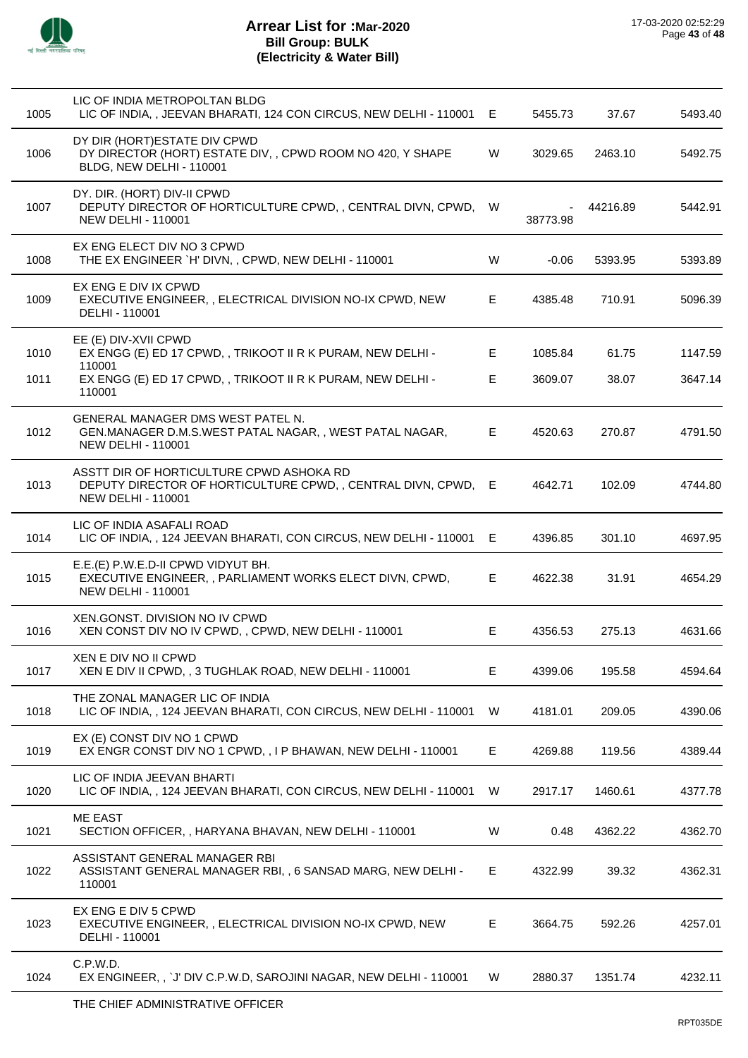

| 1005 | LIC OF INDIA METROPOLTAN BLDG<br>LIC OF INDIA,, JEEVAN BHARATI, 124 CON CIRCUS, NEW DELHI - 110001                                    | E  | 5455.73  | 37.67    | 5493.40 |
|------|---------------------------------------------------------------------------------------------------------------------------------------|----|----------|----------|---------|
| 1006 | DY DIR (HORT) ESTATE DIV CPWD<br>DY DIRECTOR (HORT) ESTATE DIV, , CPWD ROOM NO 420, Y SHAPE<br>BLDG, NEW DELHI - 110001               | W  | 3029.65  | 2463.10  | 5492.75 |
| 1007 | DY. DIR. (HORT) DIV-II CPWD<br>DEPUTY DIRECTOR OF HORTICULTURE CPWD,, CENTRAL DIVN, CPWD, W<br><b>NEW DELHI - 110001</b>              |    | 38773.98 | 44216.89 | 5442.91 |
| 1008 | EX ENG ELECT DIV NO 3 CPWD<br>THE EX ENGINEER `H' DIVN, , CPWD, NEW DELHI - 110001                                                    | W  | $-0.06$  | 5393.95  | 5393.89 |
| 1009 | EX ENG E DIV IX CPWD<br>EXECUTIVE ENGINEER, , ELECTRICAL DIVISION NO-IX CPWD, NEW<br>DELHI - 110001                                   | E. | 4385.48  | 710.91   | 5096.39 |
| 1010 | EE (E) DIV-XVII CPWD<br>EX ENGG (E) ED 17 CPWD, , TRIKOOT II R K PURAM, NEW DELHI -<br>110001                                         | E  | 1085.84  | 61.75    | 1147.59 |
| 1011 | EX ENGG (E) ED 17 CPWD, , TRIKOOT II R K PURAM, NEW DELHI -<br>110001                                                                 | Е  | 3609.07  | 38.07    | 3647.14 |
| 1012 | <b>GENERAL MANAGER DMS WEST PATEL N.</b><br>GEN.MANAGER D.M.S.WEST PATAL NAGAR,, WEST PATAL NAGAR,<br><b>NEW DELHI - 110001</b>       | E  | 4520.63  | 270.87   | 4791.50 |
| 1013 | ASSTT DIR OF HORTICULTURE CPWD ASHOKA RD<br>DEPUTY DIRECTOR OF HORTICULTURE CPWD,, CENTRAL DIVN, CPWD, E<br><b>NEW DELHI - 110001</b> |    | 4642.71  | 102.09   | 4744.80 |
| 1014 | LIC OF INDIA ASAFALI ROAD<br>LIC OF INDIA,, 124 JEEVAN BHARATI, CON CIRCUS, NEW DELHI - 110001                                        | Е  | 4396.85  | 301.10   | 4697.95 |
| 1015 | E.E.(E) P.W.E.D-II CPWD VIDYUT BH.<br>EXECUTIVE ENGINEER, , PARLIAMENT WORKS ELECT DIVN, CPWD,<br><b>NEW DELHI - 110001</b>           | E. | 4622.38  | 31.91    | 4654.29 |
| 1016 | XEN.GONST. DIVISION NO IV CPWD<br>XEN CONST DIV NO IV CPWD, , CPWD, NEW DELHI - 110001                                                | E  | 4356.53  | 275.13   | 4631.66 |
| 1017 | XEN E DIV NO II CPWD<br>XEN E DIV II CPWD, , 3 TUGHLAK ROAD, NEW DELHI - 110001                                                       | Е  | 4399.06  | 195.58   | 4594.64 |
| 1018 | THE ZONAL MANAGER LIC OF INDIA<br>LIC OF INDIA,, 124 JEEVAN BHARATI, CON CIRCUS, NEW DELHI - 110001                                   | W  | 4181.01  | 209.05   | 4390.06 |
| 1019 | EX (E) CONST DIV NO 1 CPWD<br>EX ENGR CONST DIV NO 1 CPWD, , I P BHAWAN, NEW DELHI - 110001                                           | Е  | 4269.88  | 119.56   | 4389.44 |
| 1020 | LIC OF INDIA JEEVAN BHARTI<br>LIC OF INDIA, , 124 JEEVAN BHARATI, CON CIRCUS, NEW DELHI - 110001                                      | W  | 2917.17  | 1460.61  | 4377.78 |
| 1021 | <b>ME EAST</b><br>SECTION OFFICER, , HARYANA BHAVAN, NEW DELHI - 110001                                                               | W  | 0.48     | 4362.22  | 4362.70 |
| 1022 | ASSISTANT GENERAL MANAGER RBI<br>ASSISTANT GENERAL MANAGER RBI, , 6 SANSAD MARG, NEW DELHI -<br>110001                                | Е  | 4322.99  | 39.32    | 4362.31 |
| 1023 | EX ENG E DIV 5 CPWD<br>EXECUTIVE ENGINEER,, ELECTRICAL DIVISION NO-IX CPWD, NEW<br>DELHI - 110001                                     | Е  | 3664.75  | 592.26   | 4257.01 |
| 1024 | C.P.W.D.<br>EX ENGINEER,, `J' DIV C.P.W.D, SAROJINI NAGAR, NEW DELHI - 110001                                                         | W  | 2880.37  | 1351.74  | 4232.11 |
|      | $\lambda$                                                                                                                             |    |          |          |         |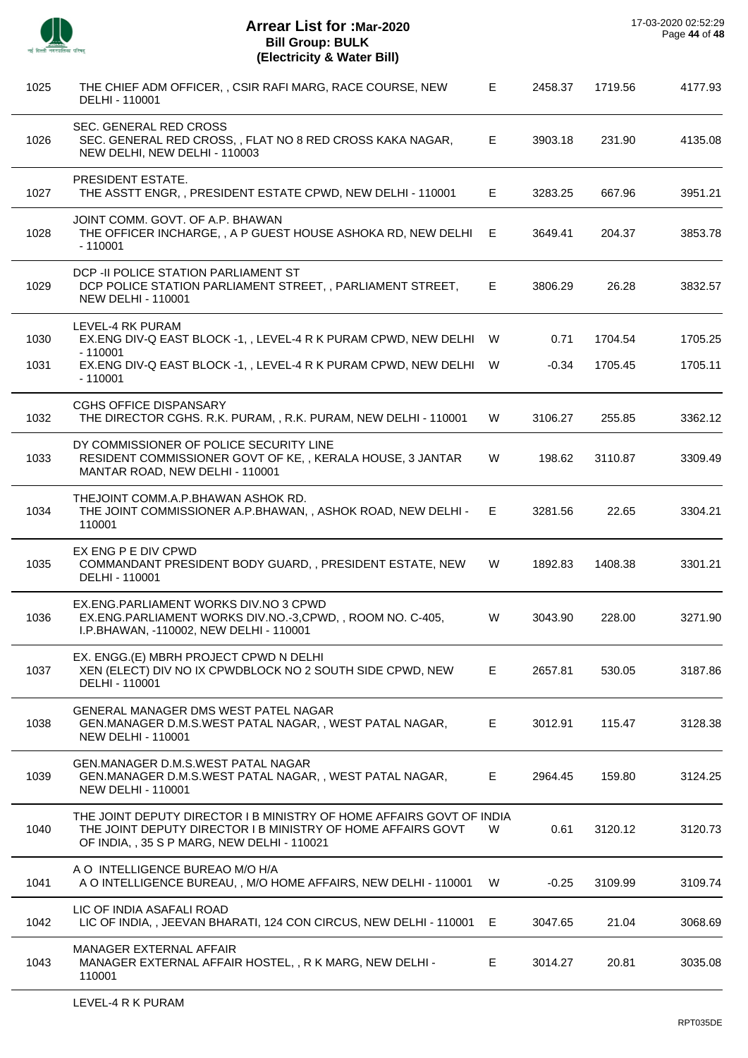| Æ.<br>ञ |
|---------|

| 1026 | <b>SEC. GENERAL RED CROSS</b><br>SEC. GENERAL RED CROSS, , FLAT NO 8 RED CROSS KAKA NAGAR,<br>NEW DELHI, NEW DELHI - 110003                                                        | E  | 3903.18 | 231.90  | 4135.08 |
|------|------------------------------------------------------------------------------------------------------------------------------------------------------------------------------------|----|---------|---------|---------|
| 1027 | PRESIDENT ESTATE.<br>THE ASSTT ENGR, , PRESIDENT ESTATE CPWD, NEW DELHI - 110001                                                                                                   | E. | 3283.25 | 667.96  | 3951.21 |
| 1028 | JOINT COMM. GOVT. OF A.P. BHAWAN<br>THE OFFICER INCHARGE, , A P GUEST HOUSE ASHOKA RD, NEW DELHI E<br>$-110001$                                                                    |    | 3649.41 | 204.37  | 3853.78 |
| 1029 | DCP - II POLICE STATION PARLIAMENT ST<br>DCP POLICE STATION PARLIAMENT STREET,, PARLIAMENT STREET,<br><b>NEW DELHI - 110001</b>                                                    | E. | 3806.29 | 26.28   | 3832.57 |
| 1030 | LEVEL-4 RK PURAM<br>EX.ENG DIV-Q EAST BLOCK -1, , LEVEL-4 R K PURAM CPWD, NEW DELHI W<br>$-110001$                                                                                 |    | 0.71    | 1704.54 | 1705.25 |
| 1031 | EX.ENG DIV-Q EAST BLOCK -1, , LEVEL-4 R K PURAM CPWD, NEW DELHI W<br>$-110001$                                                                                                     |    | $-0.34$ | 1705.45 | 1705.11 |
| 1032 | <b>CGHS OFFICE DISPANSARY</b><br>THE DIRECTOR CGHS. R.K. PURAM, , R.K. PURAM, NEW DELHI - 110001                                                                                   | W  | 3106.27 | 255.85  | 3362.12 |
| 1033 | DY COMMISSIONER OF POLICE SECURITY LINE<br>RESIDENT COMMISSIONER GOVT OF KE,, KERALA HOUSE, 3 JANTAR<br>MANTAR ROAD, NEW DELHI - 110001                                            | W  | 198.62  | 3110.87 | 3309.49 |
| 1034 | THEJOINT COMM.A.P.BHAWAN ASHOK RD.<br>THE JOINT COMMISSIONER A.P.BHAWAN, , ASHOK ROAD, NEW DELHI - E<br>110001                                                                     |    | 3281.56 | 22.65   | 3304.21 |
| 1035 | EX ENG P E DIV CPWD<br>COMMANDANT PRESIDENT BODY GUARD, , PRESIDENT ESTATE, NEW<br>DELHI - 110001                                                                                  | W  | 1892.83 | 1408.38 | 3301.21 |
| 1036 | EX.ENG.PARLIAMENT WORKS DIV.NO 3 CPWD<br>EX.ENG.PARLIAMENT WORKS DIV.NO.-3,CPWD,, ROOM NO. C-405,<br>I.P.BHAWAN, -110002, NEW DELHI - 110001                                       | W  | 3043.90 | 228.00  | 3271.90 |
| 1037 | EX. ENGG. (E) MBRH PROJECT CPWD N DELHI<br>XEN (ELECT) DIV NO IX CPWDBLOCK NO 2 SOUTH SIDE CPWD, NEW<br>DELHI - 110001                                                             | E. | 2657.81 | 530.05  | 3187.86 |
| 1038 | <b>GENERAL MANAGER DMS WEST PATEL NAGAR</b><br>GEN.MANAGER D.M.S.WEST PATAL NAGAR,, WEST PATAL NAGAR,<br><b>NEW DELHI - 110001</b>                                                 | E. | 3012.91 | 115.47  | 3128.38 |
| 1039 | <b>GEN.MANAGER D.M.S.WEST PATAL NAGAR</b><br>GEN.MANAGER D.M.S.WEST PATAL NAGAR,, WEST PATAL NAGAR,<br>NEW DELHI - 110001                                                          | Е. | 2964.45 | 159.80  | 3124.25 |
| 1040 | THE JOINT DEPUTY DIRECTOR I B MINISTRY OF HOME AFFAIRS GOVT OF INDIA<br>THE JOINT DEPUTY DIRECTOR I B MINISTRY OF HOME AFFAIRS GOVT<br>OF INDIA, , 35 S P MARG, NEW DELHI - 110021 | W  | 0.61    | 3120.12 | 3120.73 |
| 1041 | A O INTELLIGENCE BUREAO M/O H/A<br>A O INTELLIGENCE BUREAU, , M/O HOME AFFAIRS, NEW DELHI - 110001                                                                                 | W. | $-0.25$ | 3109.99 | 3109.74 |
| 1042 | LIC OF INDIA ASAFALI ROAD<br>LIC OF INDIA,, JEEVAN BHARATI, 124 CON CIRCUS, NEW DELHI - 110001 E                                                                                   |    | 3047.65 | 21.04   | 3068.69 |
| 1043 | MANAGER EXTERNAL AFFAIR<br>MANAGER EXTERNAL AFFAIR HOSTEL, , R K MARG, NEW DELHI -<br>110001                                                                                       | E  | 3014.27 | 20.81   | 3035.08 |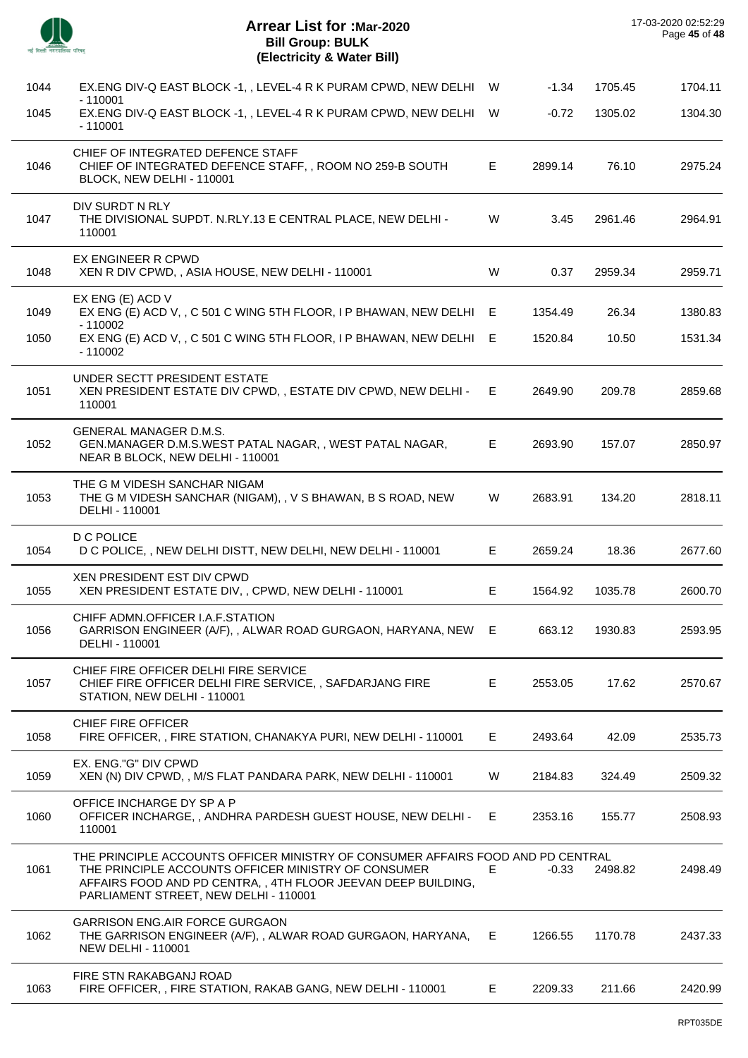|      | <b>Arrear List for :Mar-2020</b><br><b>Bill Group: BULK</b><br>(Electricity & Water Bill)                                                                                                                                                       |    |         |         | 17-03-2020 02:52:29<br>Page 45 of 48 |
|------|-------------------------------------------------------------------------------------------------------------------------------------------------------------------------------------------------------------------------------------------------|----|---------|---------|--------------------------------------|
| 1044 | EX.ENG DIV-Q EAST BLOCK -1, , LEVEL-4 R K PURAM CPWD, NEW DELHI W                                                                                                                                                                               |    | $-1.34$ | 1705.45 | 1704.11                              |
| 1045 | $-110001$<br>EX.ENG DIV-Q EAST BLOCK -1, , LEVEL-4 R K PURAM CPWD, NEW DELHI<br>$-110001$                                                                                                                                                       | W  | $-0.72$ | 1305.02 | 1304.30                              |
| 1046 | CHIEF OF INTEGRATED DEFENCE STAFF<br>CHIEF OF INTEGRATED DEFENCE STAFF,, ROOM NO 259-B SOUTH<br>BLOCK, NEW DELHI - 110001                                                                                                                       | E. | 2899.14 | 76.10   | 2975.24                              |
| 1047 | DIV SURDT N RLY<br>THE DIVISIONAL SUPDT. N.RLY.13 E CENTRAL PLACE, NEW DELHI -<br>110001                                                                                                                                                        | W  | 3.45    | 2961.46 | 2964.91                              |
| 1048 | EX ENGINEER R CPWD<br>XEN R DIV CPWD, , ASIA HOUSE, NEW DELHI - 110001                                                                                                                                                                          | W  | 0.37    | 2959.34 | 2959.71                              |
| 1049 | EX ENG (E) ACD V<br>EX ENG (E) ACD V, , C 501 C WING 5TH FLOOR, I P BHAWAN, NEW DELHI<br>- 110002                                                                                                                                               | E  | 1354.49 | 26.34   | 1380.83                              |
| 1050 | EX ENG (E) ACD V, , C 501 C WING 5TH FLOOR, I P BHAWAN, NEW DELHI E<br>$-110002$                                                                                                                                                                |    | 1520.84 | 10.50   | 1531.34                              |
| 1051 | UNDER SECTT PRESIDENT ESTATE<br>XEN PRESIDENT ESTATE DIV CPWD, , ESTATE DIV CPWD, NEW DELHI -<br>110001                                                                                                                                         | E. | 2649.90 | 209.78  | 2859.68                              |
| 1052 | <b>GENERAL MANAGER D.M.S.</b><br>GEN.MANAGER D.M.S.WEST PATAL NAGAR,, WEST PATAL NAGAR,<br>NEAR B BLOCK, NEW DELHI - 110001                                                                                                                     | E  | 2693.90 | 157.07  | 2850.97                              |
| 1053 | THE G M VIDESH SANCHAR NIGAM<br>THE G M VIDESH SANCHAR (NIGAM), , V S BHAWAN, B S ROAD, NEW<br>DELHI - 110001                                                                                                                                   | W  | 2683.91 | 134.20  | 2818.11                              |
| 1054 | <b>D C POLICE</b><br>D C POLICE, , NEW DELHI DISTT, NEW DELHI, NEW DELHI - 110001                                                                                                                                                               | E. | 2659.24 | 18.36   | 2677.60                              |
| 1055 | XEN PRESIDENT EST DIV CPWD<br>XEN PRESIDENT ESTATE DIV, , CPWD, NEW DELHI - 110001                                                                                                                                                              | E  | 1564.92 | 1035.78 | 2600.70                              |
| 1056 | CHIFF ADMN.OFFICER I.A.F.STATION<br>GARRISON ENGINEER (A/F), , ALWAR ROAD GURGAON, HARYANA, NEW<br>DELHI - 110001                                                                                                                               | E. | 663.12  | 1930.83 | 2593.95                              |
| 1057 | CHIEF FIRE OFFICER DELHI FIRE SERVICE<br>CHIEF FIRE OFFICER DELHI FIRE SERVICE,, SAFDARJANG FIRE<br>STATION, NEW DELHI - 110001                                                                                                                 | E. | 2553.05 | 17.62   | 2570.67                              |
| 1058 | <b>CHIEF FIRE OFFICER</b><br>FIRE OFFICER,, FIRE STATION, CHANAKYA PURI, NEW DELHI - 110001                                                                                                                                                     | E  | 2493.64 | 42.09   | 2535.73                              |
| 1059 | EX. ENG."G" DIV CPWD<br>XEN (N) DIV CPWD, , M/S FLAT PANDARA PARK, NEW DELHI - 110001                                                                                                                                                           | W  | 2184.83 | 324.49  | 2509.32                              |
| 1060 | OFFICE INCHARGE DY SP A P<br>OFFICER INCHARGE,, ANDHRA PARDESH GUEST HOUSE, NEW DELHI -<br>110001                                                                                                                                               | E. | 2353.16 | 155.77  | 2508.93                              |
| 1061 | THE PRINCIPLE ACCOUNTS OFFICER MINISTRY OF CONSUMER AFFAIRS FOOD AND PD CENTRAL<br>THE PRINCIPLE ACCOUNTS OFFICER MINISTRY OF CONSUMER<br>AFFAIRS FOOD AND PD CENTRA,, 4TH FLOOR JEEVAN DEEP BUILDING,<br>PARLIAMENT STREET, NEW DELHI - 110001 | Е  | $-0.33$ | 2498.82 | 2498.49                              |
| 1062 | <b>GARRISON ENG.AIR FORCE GURGAON</b><br>THE GARRISON ENGINEER (A/F), , ALWAR ROAD GURGAON, HARYANA,<br><b>NEW DELHI - 110001</b>                                                                                                               | E. | 1266.55 | 1170.78 | 2437.33                              |
| 1063 | FIRE STN RAKABGANJ ROAD<br>FIRE OFFICER,, FIRE STATION, RAKAB GANG, NEW DELHI - 110001                                                                                                                                                          | E. | 2209.33 | 211.66  | 2420.99                              |
|      |                                                                                                                                                                                                                                                 |    |         |         |                                      |

 $\overline{\phantom{a}}$ 

Ĭ.

 $\overline{a}$ 

 $\overline{a}$ 

J.

 $\overline{a}$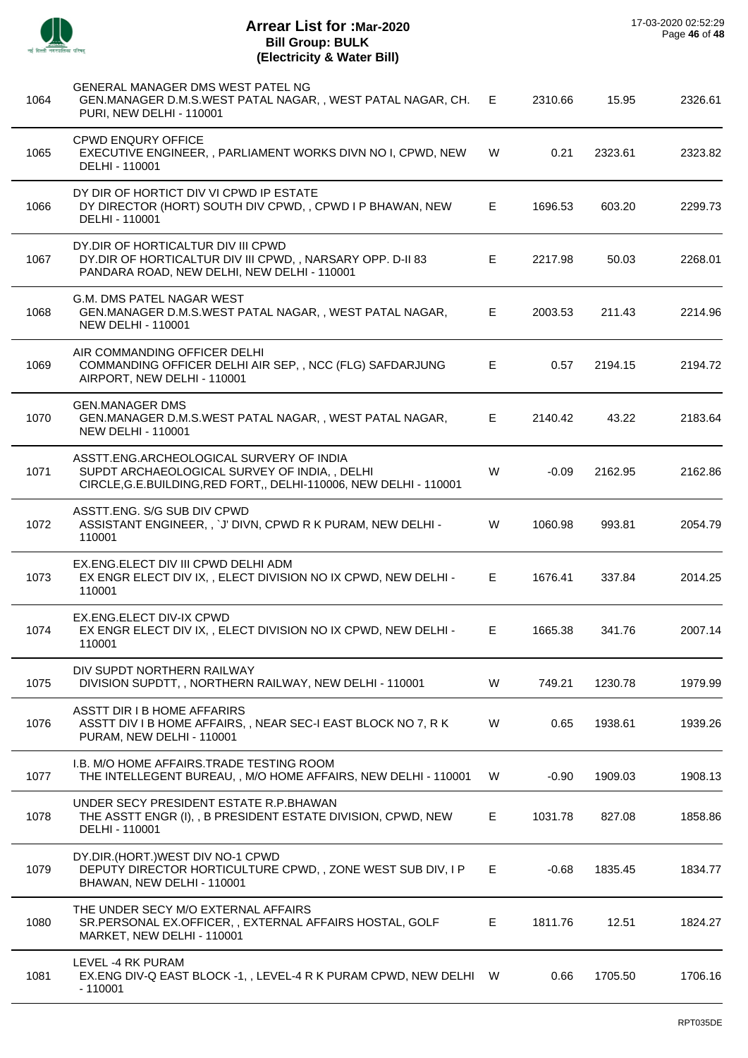J.

 $\overline{\phantom{a}}$ 

 $\overline{a}$ 

| 1064 | GENERAL MANAGER DMS WEST PATEL NG<br>GEN.MANAGER D.M.S.WEST PATAL NAGAR,, WEST PATAL NAGAR, CH.<br>PURI, NEW DELHI - 110001                                  | E. | 2310.66 | 15.95   | 2326.61 |
|------|--------------------------------------------------------------------------------------------------------------------------------------------------------------|----|---------|---------|---------|
| 1065 | <b>CPWD ENQURY OFFICE</b><br>EXECUTIVE ENGINEER, , PARLIAMENT WORKS DIVN NO I, CPWD, NEW<br>DELHI - 110001                                                   | W  | 0.21    | 2323.61 | 2323.82 |
| 1066 | DY DIR OF HORTICT DIV VI CPWD IP ESTATE<br>DY DIRECTOR (HORT) SOUTH DIV CPWD, , CPWD I P BHAWAN, NEW<br>DELHI - 110001                                       | Е  | 1696.53 | 603.20  | 2299.73 |
| 1067 | DY.DIR OF HORTICALTUR DIV III CPWD<br>DY.DIR OF HORTICALTUR DIV III CPWD, , NARSARY OPP. D-II 83<br>PANDARA ROAD, NEW DELHI, NEW DELHI - 110001              | E  | 2217.98 | 50.03   | 2268.01 |
| 1068 | G.M. DMS PATEL NAGAR WEST<br>GEN.MANAGER D.M.S.WEST PATAL NAGAR,, WEST PATAL NAGAR,<br><b>NEW DELHI - 110001</b>                                             | Е  | 2003.53 | 211.43  | 2214.96 |
| 1069 | AIR COMMANDING OFFICER DELHI<br>COMMANDING OFFICER DELHI AIR SEP,, NCC (FLG) SAFDARJUNG<br>AIRPORT, NEW DELHI - 110001                                       | E. | 0.57    | 2194.15 | 2194.72 |
| 1070 | <b>GEN.MANAGER DMS</b><br>GEN.MANAGER D.M.S.WEST PATAL NAGAR,, WEST PATAL NAGAR,<br><b>NEW DELHI - 110001</b>                                                | E. | 2140.42 | 43.22   | 2183.64 |
| 1071 | ASSTT.ENG.ARCHEOLOGICAL SURVERY OF INDIA<br>SUPDT ARCHAEOLOGICAL SURVEY OF INDIA,, DELHI<br>CIRCLE, G.E. BUILDING, RED FORT,, DELHI-110006, NEW DELHI-110001 | W  | $-0.09$ | 2162.95 | 2162.86 |
| 1072 | ASSTT.ENG. S/G SUB DIV CPWD<br>ASSISTANT ENGINEER, , `J' DIVN, CPWD R K PURAM, NEW DELHI -<br>110001                                                         | W  | 1060.98 | 993.81  | 2054.79 |
| 1073 | EX.ENG.ELECT DIV III CPWD DELHI ADM<br>EX ENGR ELECT DIV IX, , ELECT DIVISION NO IX CPWD, NEW DELHI -<br>110001                                              | E  | 1676.41 | 337.84  | 2014.25 |
| 1074 | EX.ENG.ELECT DIV-IX CPWD<br>EX ENGR ELECT DIV IX, , ELECT DIVISION NO IX CPWD, NEW DELHI -<br>110001                                                         | E  | 1665.38 | 341.76  | 2007.14 |
| 1075 | DIV SUPDT NORTHERN RAILWAY<br>DIVISION SUPDTT, , NORTHERN RAILWAY, NEW DELHI - 110001                                                                        | W  | 749.21  | 1230.78 | 1979.99 |
| 1076 | ASSTT DIR I B HOME AFFARIRS<br>ASSTT DIV I B HOME AFFAIRS, , NEAR SEC-I EAST BLOCK NO 7, R K<br>PURAM, NEW DELHI - 110001                                    | W  | 0.65    | 1938.61 | 1939.26 |
| 1077 | I.B. M/O HOME AFFAIRS.TRADE TESTING ROOM<br>THE INTELLEGENT BUREAU, , M/O HOME AFFAIRS, NEW DELHI - 110001                                                   | W  | $-0.90$ | 1909.03 | 1908.13 |
| 1078 | UNDER SECY PRESIDENT ESTATE R.P.BHAWAN<br>THE ASSTT ENGR (I), , B PRESIDENT ESTATE DIVISION, CPWD, NEW<br>DELHI - 110001                                     | Е  | 1031.78 | 827.08  | 1858.86 |
| 1079 | DY.DIR.(HORT.)WEST DIV NO-1 CPWD<br>DEPUTY DIRECTOR HORTICULTURE CPWD,, ZONE WEST SUB DIV, I P<br>BHAWAN, NEW DELHI - 110001                                 | E  | $-0.68$ | 1835.45 | 1834.77 |
| 1080 | THE UNDER SECY M/O EXTERNAL AFFAIRS<br>SR.PERSONAL EX.OFFICER,, EXTERNAL AFFAIRS HOSTAL, GOLF<br>MARKET, NEW DELHI - 110001                                  | E  | 1811.76 | 12.51   | 1824.27 |
| 1081 | LEVEL -4 RK PURAM<br>EX.ENG DIV-Q EAST BLOCK -1, , LEVEL-4 R K PURAM CPWD, NEW DELHI W<br>$-110001$                                                          |    | 0.66    | 1705.50 | 1706.16 |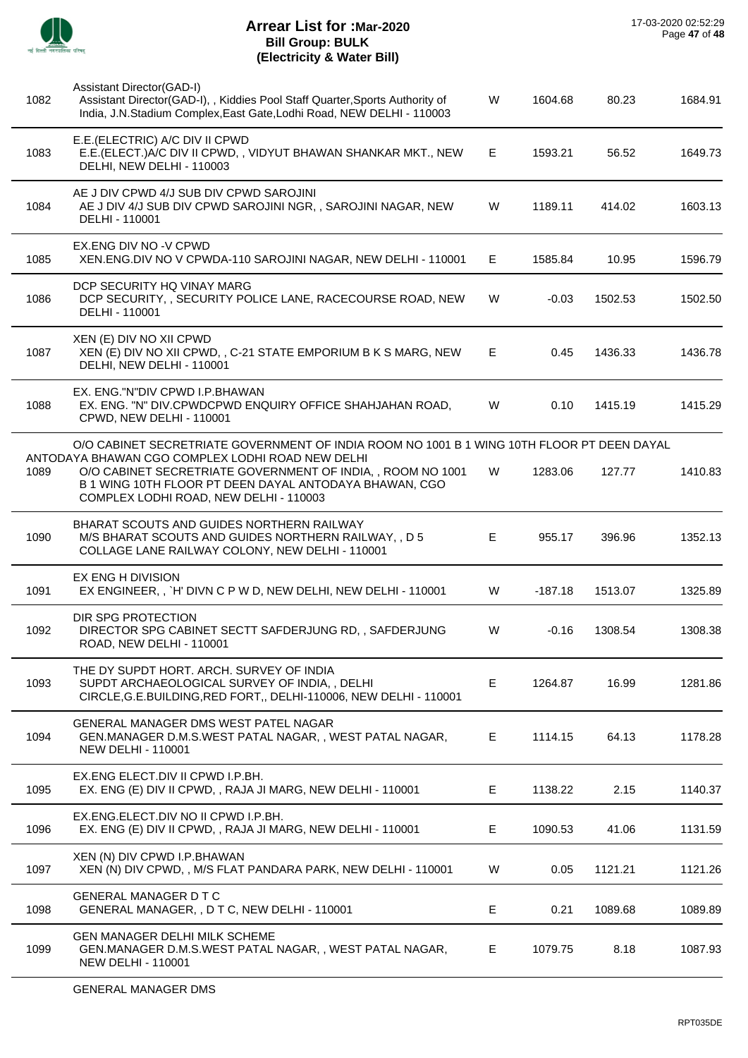

| 1082 | Assistant Director(GAD-I)<br>Assistant Director(GAD-I), , Kiddies Pool Staff Quarter, Sports Authority of<br>India, J.N.Stadium Complex, East Gate, Lodhi Road, NEW DELHI - 110003                                 | W  | 1604.68   | 80.23   | 1684.91 |
|------|--------------------------------------------------------------------------------------------------------------------------------------------------------------------------------------------------------------------|----|-----------|---------|---------|
| 1083 | E.E.(ELECTRIC) A/C DIV II CPWD<br>E.E. (ELECT.) A/C DIV II CPWD,, VIDYUT BHAWAN SHANKAR MKT., NEW<br>DELHI, NEW DELHI - 110003                                                                                     | E. | 1593.21   | 56.52   | 1649.73 |
| 1084 | AE J DIV CPWD 4/J SUB DIV CPWD SAROJINI<br>AE J DIV 4/J SUB DIV CPWD SAROJINI NGR, , SAROJINI NAGAR, NEW<br>DELHI - 110001                                                                                         | W  | 1189.11   | 414.02  | 1603.13 |
| 1085 | EX.ENG DIV NO -V CPWD<br>XEN.ENG.DIV NO V CPWDA-110 SAROJINI NAGAR, NEW DELHI - 110001                                                                                                                             | E. | 1585.84   | 10.95   | 1596.79 |
| 1086 | DCP SECURITY HQ VINAY MARG<br>DCP SECURITY, , SECURITY POLICE LANE, RACECOURSE ROAD, NEW<br>DELHI - 110001                                                                                                         | W  | $-0.03$   | 1502.53 | 1502.50 |
| 1087 | XEN (E) DIV NO XII CPWD<br>XEN (E) DIV NO XII CPWD, , C-21 STATE EMPORIUM B K S MARG, NEW<br>DELHI, NEW DELHI - 110001                                                                                             | Е  | 0.45      | 1436.33 | 1436.78 |
| 1088 | EX. ENG."N"DIV CPWD I.P.BHAWAN<br>EX. ENG. "N" DIV.CPWDCPWD ENQUIRY OFFICE SHAHJAHAN ROAD,<br>CPWD, NEW DELHI - 110001                                                                                             | W  | 0.10      | 1415.19 | 1415.29 |
|      | O/O CABINET SECRETRIATE GOVERNMENT OF INDIA ROOM NO 1001 B 1 WING 10TH FLOOR PT DEEN DAYAL                                                                                                                         |    |           |         |         |
| 1089 | ANTODAYA BHAWAN CGO COMPLEX LODHI ROAD NEW DELHI<br>O/O CABINET SECRETRIATE GOVERNMENT OF INDIA,, ROOM NO 1001<br>B 1 WING 10TH FLOOR PT DEEN DAYAL ANTODAYA BHAWAN, CGO<br>COMPLEX LODHI ROAD, NEW DELHI - 110003 | W  | 1283.06   | 127.77  | 1410.83 |
| 1090 | BHARAT SCOUTS AND GUIDES NORTHERN RAILWAY<br>M/S BHARAT SCOUTS AND GUIDES NORTHERN RAILWAY, , D 5<br>COLLAGE LANE RAILWAY COLONY, NEW DELHI - 110001                                                               | Е  | 955.17    | 396.96  | 1352.13 |
| 1091 | EX ENG H DIVISION<br>EX ENGINEER,, `H' DIVN C P W D, NEW DELHI, NEW DELHI - 110001                                                                                                                                 | W  | $-187.18$ | 1513.07 | 1325.89 |
| 1092 | DIR SPG PROTECTION<br>DIRECTOR SPG CABINET SECTT SAFDERJUNG RD,, SAFDERJUNG<br>ROAD, NEW DELHI - 110001                                                                                                            | W  | $-0.16$   | 1308.54 | 1308.38 |
| 1093 | THE DY SUPDT HORT. ARCH. SURVEY OF INDIA<br>SUPDT ARCHAEOLOGICAL SURVEY OF INDIA, , DELHI<br>CIRCLE, G.E. BUILDING, RED FORT,, DELHI-110006, NEW DELHI-110001                                                      | Е  | 1264.87   | 16.99   | 1281.86 |
| 1094 | GENERAL MANAGER DMS WEST PATEL NAGAR<br>GEN.MANAGER D.M.S.WEST PATAL NAGAR,, WEST PATAL NAGAR,<br><b>NEW DELHI - 110001</b>                                                                                        | E  | 1114.15   | 64.13   | 1178.28 |
| 1095 | EX.ENG ELECT.DIV II CPWD I.P.BH.<br>EX. ENG (E) DIV II CPWD, , RAJA JI MARG, NEW DELHI - 110001                                                                                                                    | E. | 1138.22   | 2.15    | 1140.37 |
| 1096 | EX.ENG.ELECT.DIV NO II CPWD I.P.BH.<br>EX. ENG (E) DIV II CPWD, , RAJA JI MARG, NEW DELHI - 110001                                                                                                                 | E  | 1090.53   | 41.06   | 1131.59 |
| 1097 | XEN (N) DIV CPWD I.P.BHAWAN<br>XEN (N) DIV CPWD, , M/S FLAT PANDARA PARK, NEW DELHI - 110001                                                                                                                       | W  | 0.05      | 1121.21 | 1121.26 |
| 1098 | <b>GENERAL MANAGER D T C</b><br>GENERAL MANAGER, , D T C, NEW DELHI - 110001                                                                                                                                       | E. | 0.21      | 1089.68 | 1089.89 |
| 1099 | GEN MANAGER DELHI MILK SCHEME<br>GEN.MANAGER D.M.S.WEST PATAL NAGAR,, WEST PATAL NAGAR,<br><b>NEW DELHI - 110001</b>                                                                                               | Е  | 1079.75   | 8.18    | 1087.93 |